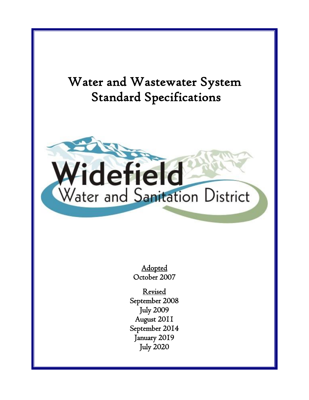

September 2008 July 2009 August 2011 September 2014 January 2019 July 2020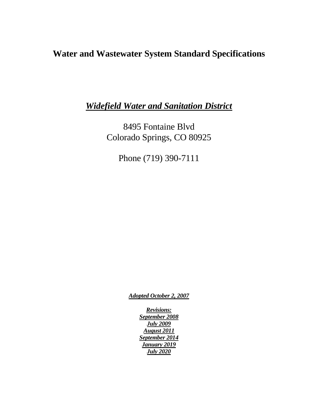# **Water and Wastewater System Standard Specifications**

*Widefield Water and Sanitation District*

8495 Fontaine Blvd Colorado Springs, CO 80925

Phone (719) 390-7111

*Adopted October 2, 2007*

*Revisions: September 2008 July 2009 August 2011 September 2014 January 2019 July 2020*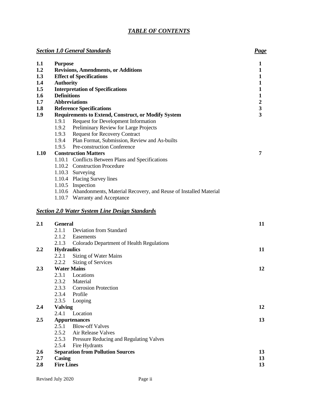# *TABLE OF CONTENTS*

|             | <b>Section 1.0 General Standards</b>                                    | <b>Page</b>             |  |
|-------------|-------------------------------------------------------------------------|-------------------------|--|
| 1.1         | <b>Purpose</b>                                                          | 1                       |  |
| 1.2         | <b>Revisions, Amendments, or Additions</b>                              |                         |  |
| 1.3         | <b>Effect of Specifications</b>                                         | 1                       |  |
| 1.4         | <b>Authority</b>                                                        | 1                       |  |
| 1.5         | <b>Interpretation of Specifications</b>                                 | 1                       |  |
| 1.6         | <b>Definitions</b>                                                      | $\mathbf{1}$            |  |
| 1.7         | <b>Abbreviations</b>                                                    | $\overline{2}$          |  |
| 1.8         | <b>Reference Specifications</b>                                         | 3                       |  |
| 1.9         | <b>Requirements to Extend, Construct, or Modify System</b>              | $\overline{\mathbf{3}}$ |  |
|             | <b>Request for Development Information</b><br>1.9.1                     |                         |  |
|             | 1.9.2<br>Preliminary Review for Large Projects                          |                         |  |
|             | 1.9.3<br><b>Request for Recovery Contract</b>                           |                         |  |
|             | Plan Format, Submission, Review and As-builts<br>1.9.4                  |                         |  |
|             | Pre-construction Conference<br>1.9.5                                    |                         |  |
| <b>1.10</b> | <b>Construction Matters</b>                                             | 7                       |  |
|             | Conflicts Between Plans and Specifications<br>1.10.1                    |                         |  |
|             | 1.10.2 Construction Procedure                                           |                         |  |
|             | 1.10.3 Surveying                                                        |                         |  |
|             | 1.10.4 Placing Survey lines                                             |                         |  |
|             | 1.10.5 Inspection                                                       |                         |  |
|             | 1.10.6 Abandonments, Material Recovery, and Reuse of Installed Material |                         |  |
|             | 1.10.7 Warranty and Acceptance                                          |                         |  |
|             | <b>Section 2.0 Water System Line Design Standards</b>                   |                         |  |
|             |                                                                         |                         |  |
| 2.1         | <b>General</b>                                                          | 11                      |  |
|             | 2.1.1<br><b>Deviation from Standard</b>                                 |                         |  |
|             | 2.1.2<br>Easements                                                      |                         |  |
|             | 2.1.3<br>Colorado Department of Health Regulations                      |                         |  |
| 2.2         | <b>Hydraulics</b>                                                       | 11                      |  |
|             | 2.2.1<br>Sizing of Water Mains                                          |                         |  |
|             | 2.2.2<br>Sizing of Services                                             |                         |  |
| 2.3         | <b>Water Mains</b>                                                      | 12                      |  |
|             | 2.3.1<br>Locations                                                      |                         |  |
|             | Material<br>2.3.2                                                       |                         |  |
|             | 2.3.3<br><b>Corrosion Protection</b>                                    |                         |  |
|             | 2.3.4<br>Profile                                                        |                         |  |
|             | 2.3.5<br>Looping                                                        |                         |  |
| 2.4         | <b>Valving</b>                                                          | 12                      |  |
|             | 2.4.1<br>Location                                                       |                         |  |
| 2.5         | <b>Appurtenances</b>                                                    | 13                      |  |
|             | <b>Blow-off Valves</b><br>2.5.1                                         |                         |  |
|             | 2.5.2<br>Air Release Valves                                             |                         |  |
|             | 2.5.3<br>Pressure Reducing and Regulating Valves                        |                         |  |
|             | 2.5.4<br>Fire Hydrants                                                  |                         |  |
| 2.6         | <b>Separation from Pollution Sources</b>                                | 13                      |  |
| 2.7         | Casing                                                                  | 13                      |  |
| 2.8         | <b>Fire Lines</b>                                                       | 13                      |  |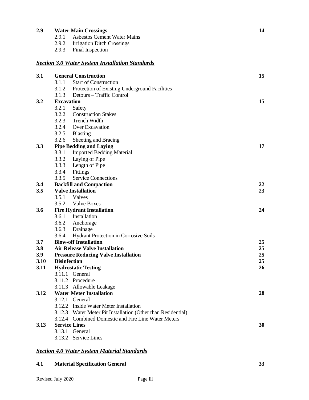### **2.9 Water Main Crossings 14**

2.9.2 Irrigation Ditch Crossings

2.9.3 Final Inspection

# *Section 3.0 Water System Installation Standards*

| 3.1  |                     | <b>General Construction</b>                                  | 15 |
|------|---------------------|--------------------------------------------------------------|----|
|      | 3.1.1               | <b>Start of Construction</b>                                 |    |
|      | 3.1.2               | Protection of Existing Underground Facilities                |    |
|      | 3.1.3               | Detours – Traffic Control                                    |    |
| 3.2  | <b>Excavation</b>   |                                                              | 15 |
|      | 3.2.1               | Safety                                                       |    |
|      | 3.2.2               | <b>Construction Stakes</b>                                   |    |
|      | 3.2.3               | <b>Trench Width</b>                                          |    |
|      | 3.2.4               | Over Excavation                                              |    |
|      | 3.2.5               | Blasting                                                     |    |
|      | 3.2.6               | Sheeting and Bracing                                         |    |
| 3.3  |                     | <b>Pipe Bedding and Laying</b>                               | 17 |
|      | 3.3.1               | <b>Imported Bedding Material</b>                             |    |
|      | 3.3.2               | Laying of Pipe                                               |    |
|      | 3.3.3               | Length of Pipe                                               |    |
|      | 3.3.4               | Fittings                                                     |    |
|      | 3.3.5               | <b>Service Connections</b>                                   |    |
| 3.4  |                     | <b>Backfill and Compaction</b>                               | 22 |
| 3.5  |                     | <b>Valve Installation</b>                                    | 23 |
|      | 3.5.1               | Valves                                                       |    |
|      | 3.5.2               | <b>Valve Boxes</b>                                           |    |
| 3.6  |                     | <b>Fire Hydrant Installation</b>                             | 24 |
|      | 3.6.1               | Installation                                                 |    |
|      | 3.6.2               | Anchorage                                                    |    |
|      | 3.6.3               | Drainage                                                     |    |
|      | 3.6.4               | Hydrant Protection in Corrosive Soils                        |    |
| 3.7  |                     | <b>Blow-off Installation</b>                                 | 25 |
| 3.8  |                     | <b>Air Release Valve Installation</b>                        | 25 |
| 3.9  |                     | <b>Pressure Reducing Valve Installation</b>                  | 25 |
| 3.10 | <b>Disinfection</b> |                                                              | 25 |
| 3.11 |                     | <b>Hydrostatic Testing</b>                                   | 26 |
|      |                     | 3.11.1 General                                               |    |
|      |                     | 3.11.2 Procedure                                             |    |
|      | 3.11.3              | Allowable Leakage                                            |    |
| 3.12 |                     | <b>Water Meter Installation</b>                              | 28 |
|      | 3.12.1              | General                                                      |    |
|      | 3.12.2              | Inside Water Meter Installation                              |    |
|      |                     | 3.12.3 Water Meter Pit Installation (Other than Residential) |    |
|      |                     | 3.12.4 Combined Domestic and Fire Line Water Meters          |    |
| 3.13 |                     | <b>Service Lines</b>                                         | 30 |
|      |                     | 3.13.1 General                                               |    |
|      |                     | 3.13.2 Service Lines                                         |    |

# *Section 4.0 Water System Material Standards*

| 4.1 | <b>Material Specification General</b> |  |
|-----|---------------------------------------|--|
|-----|---------------------------------------|--|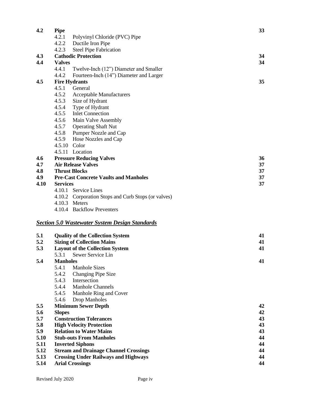| 4.2                                           | <b>Pipe</b>     |                                                       | 33 |  |
|-----------------------------------------------|-----------------|-------------------------------------------------------|----|--|
|                                               | 4.2.1           | Polyvinyl Chloride (PVC) Pipe                         |    |  |
|                                               | 4.2.2           | Ductile Iron Pipe                                     |    |  |
|                                               | 4.2.3           | <b>Steel Pipe Fabrication</b>                         |    |  |
| 4.3                                           |                 | <b>Cathodic Protection</b>                            | 34 |  |
| 4.4                                           | <b>Valves</b>   |                                                       | 34 |  |
|                                               | 4.4.1           | Twelve-Inch (12") Diameter and Smaller                |    |  |
|                                               | 4.4.2           | Fourteen-Inch (14") Diameter and Larger               |    |  |
| 4.5                                           |                 | <b>Fire Hydrants</b>                                  | 35 |  |
|                                               | 4.5.1           | General                                               |    |  |
|                                               | 4.5.2           | <b>Acceptable Manufacturers</b>                       |    |  |
|                                               | 4.5.3           | Size of Hydrant                                       |    |  |
|                                               | 4.5.4           | Type of Hydrant                                       |    |  |
|                                               | 4.5.5           | <b>Inlet Connection</b>                               |    |  |
|                                               | 4.5.6           | Main Valve Assembly                                   |    |  |
|                                               | 4.5.7           | <b>Operating Shaft Nut</b>                            |    |  |
|                                               | 4.5.8           | Pumper Nozzle and Cap                                 |    |  |
|                                               | 4.5.9           | Hose Nozzles and Cap                                  |    |  |
|                                               |                 | 4.5.10 Color                                          |    |  |
|                                               |                 | 4.5.11 Location                                       |    |  |
| 4.6                                           |                 | <b>Pressure Reducing Valves</b>                       | 36 |  |
| 4.7                                           |                 | <b>Air Release Valves</b>                             | 37 |  |
| 4.8                                           |                 | <b>Thrust Blocks</b>                                  | 37 |  |
| 4.9                                           |                 | <b>Pre-Cast Concrete Vaults and Manholes</b>          | 37 |  |
| 4.10                                          | <b>Services</b> |                                                       |    |  |
|                                               |                 | 4.10.1 Service Lines                                  | 37 |  |
|                                               |                 | 4.10.2 Corporation Stops and Curb Stops (or valves)   |    |  |
|                                               |                 | 4.10.3 Meters                                         |    |  |
|                                               |                 | 4.10.4 Backflow Preventers                            |    |  |
|                                               |                 |                                                       |    |  |
|                                               |                 | <b>Section 5.0 Wastewater System Design Standards</b> |    |  |
| 5.1                                           |                 | <b>Quality of the Collection System</b>               | 41 |  |
| 5.2                                           |                 | <b>Sizing of Collection Mains</b>                     | 41 |  |
| 5.3<br><b>Layout of the Collection System</b> |                 |                                                       |    |  |
|                                               |                 | 5.3.1 Sewer Service Lin                               |    |  |
| 5.4                                           | <b>Manholes</b> |                                                       | 41 |  |
|                                               | 5.4.1           | <b>Manhole Sizes</b>                                  |    |  |
|                                               | 5.4.2           | <b>Changing Pipe Size</b>                             |    |  |
|                                               | 5.4.3           | Intersection                                          |    |  |
|                                               | 5.4.4           | <b>Manhole Channels</b>                               |    |  |
|                                               | 5.4.5           | Manhole Ring and Cover                                |    |  |
|                                               | 5.4.6           | Drop Manholes                                         |    |  |
| 5.5                                           |                 | <b>Minimum Sewer Depth</b>                            | 42 |  |
| 5.6                                           | <b>Slopes</b>   |                                                       | 42 |  |
| 5.7                                           |                 | <b>Construction Tolerances</b>                        | 43 |  |
| 5.8                                           |                 | <b>High Velocity Protection</b>                       | 43 |  |
| 5.9                                           |                 | <b>Relation to Water Mains</b>                        | 43 |  |
| 5.10                                          |                 | <b>Stub-outs From Manholes</b>                        | 44 |  |
| 5.11                                          |                 | <b>Inverted Siphons</b>                               | 44 |  |
| 5.12                                          |                 | <b>Stream and Drainage Channel Crossings</b>          | 44 |  |
| 5.13                                          |                 | <b>Crossing Under Railways and Highways</b>           | 44 |  |
| 5.14                                          |                 | <b>Arial Crossings</b>                                | 44 |  |
|                                               |                 |                                                       |    |  |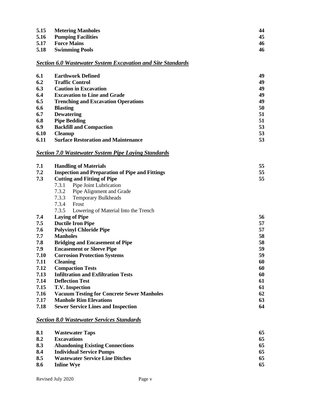| 5.15 Metering Manholes         | 44 |
|--------------------------------|----|
| <b>5.16</b> Pumping Facilities | 45 |
| <b>5.17</b> Force Mains        | 46 |
| <b>5.18</b> Swimming Pools     | 46 |

# *Section 6.0 Wastewater System Excavation and Site Standards*

| 6.1  | <b>Earthwork Defined</b>                   | 49 |
|------|--------------------------------------------|----|
| 6.2  | <b>Traffic Control</b>                     | 49 |
| 6.3  | <b>Caution in Excavation</b>               | 49 |
| 6.4  | <b>Excavation to Line and Grade</b>        | 49 |
| 6.5  | <b>Trenching and Excavation Operations</b> | 49 |
| 6.6  | <b>Blasting</b>                            | 50 |
| 6.7  | <b>Dewatering</b>                          | 51 |
| 6.8  | <b>Pipe Bedding</b>                        | 51 |
| 6.9  | <b>Backfill and Compaction</b>             | 53 |
| 6.10 | <b>Cleanup</b>                             | 53 |
| 6.11 | <b>Surface Restoration and Maintenance</b> | 53 |

# *Section 7.0 Wastewater System Pipe Laying Standards*

| 7.1<br>7.2<br>7.3 | <b>Handling of Materials</b><br><b>Inspection and Preparation of Pipe and Fittings</b><br><b>Cutting and Fitting of Pipe</b> | 55<br>55<br>55 |
|-------------------|------------------------------------------------------------------------------------------------------------------------------|----------------|
|                   | Pipe Joint Lubrication<br>7.3.1                                                                                              |                |
|                   | 7.3.2<br>Pipe Alignment and Grade                                                                                            |                |
|                   | <b>Temporary Bulkheads</b><br>7.3.3                                                                                          |                |
|                   | 7.3.4<br>Frost                                                                                                               |                |
|                   | 7.3.5<br>Lowering of Material Into the Trench                                                                                |                |
| 7.4               | <b>Laying of Pipe</b>                                                                                                        | 56             |
| 7.5               | <b>Ductile Iron Pipe</b>                                                                                                     | 57             |
| 7.6               | <b>Polyvinyl Chloride Pipe</b>                                                                                               | 57             |
| 7.7               | <b>Manholes</b>                                                                                                              | 58             |
| 7.8               | <b>Bridging and Encasement of Pipe</b>                                                                                       | 58             |
| 7.9               | <b>Encasement or Sleeve Pipe</b>                                                                                             | 59             |
| 7.10              | <b>Corrosion Protection Systems</b>                                                                                          | 59             |
| 7.11              | <b>Cleaning</b>                                                                                                              | 60             |
| 7.12              | <b>Compaction Tests</b>                                                                                                      | 60             |
| 7.13              | <b>Infiltration and Exfiltration Tests</b>                                                                                   | 60             |
| 7.14              | <b>Deflection Test</b>                                                                                                       | 61             |
| 7.15              | T.V. Inspection                                                                                                              | 61             |
| 7.16              | <b>Vacuum Testing for Concrete Sewer Manholes</b>                                                                            | 62             |
| 7.17              | <b>Manhole Rim Elevations</b>                                                                                                | 63             |
| 7.18              | <b>Sewer Service Lines and Inspection</b>                                                                                    | 64             |

# *Section 8.0 Wastewater Services Standards*

| 8.1 | <b>Wastewater Taps</b>                 | 65 |
|-----|----------------------------------------|----|
| 8.2 | <b>Excavations</b>                     | 65 |
| 8.3 | <b>Abandoning Existing Connections</b> | 65 |
| 8.4 | <b>Individual Service Pumps</b>        | 65 |
| 8.5 | <b>Wastewater Service Line Ditches</b> | 65 |
| 8.6 | <b>Inline Wye</b>                      | 65 |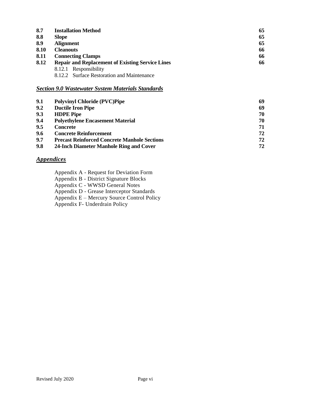| 8.7  | <b>Installation Method</b>                              | 65 |
|------|---------------------------------------------------------|----|
| 8.8  | <b>Slope</b>                                            | 65 |
| 8.9  | <b>Alignment</b>                                        | 65 |
| 8.10 | <b>Cleanouts</b>                                        | 66 |
| 8.11 | <b>Connecting Clamps</b>                                | 66 |
| 8.12 | <b>Repair and Replacement of Existing Service Lines</b> | 66 |
|      | 8.12.1 Responsibility                                   |    |

8.12.2 Surface Restoration and Maintenance

# *Section 9.0 Wastewater System Materials Standards*

| 9.1 | <b>Polyvinyl Chloride (PVC)Pipe</b>                 | 69 |
|-----|-----------------------------------------------------|----|
| 9.2 | <b>Ductile Iron Pipe</b>                            | 69 |
| 9.3 | <b>HDPE</b> Pipe                                    | 70 |
| 9.4 | <b>Polyethylene Encasement Material</b>             | 70 |
| 9.5 | <b>Concrete</b>                                     | 71 |
| 9.6 | <b>Concrete Reinforcement</b>                       | 72 |
| 9.7 | <b>Precast Reinforced Concrete Manhole Sections</b> | 72 |
| 9.8 | 24-Inch Diameter Manhole Ring and Cover             | 72 |

# *Appendices*

|  |  | Appendix A - Request for Deviation Form |  |
|--|--|-----------------------------------------|--|

- Appendix B District Signature Blocks
- Appendix C WWSD General Notes
- Appendix D Grease Interceptor Standards
- Appendix E Mercury Source Control Policy
- Appendix F- Underdrain Policy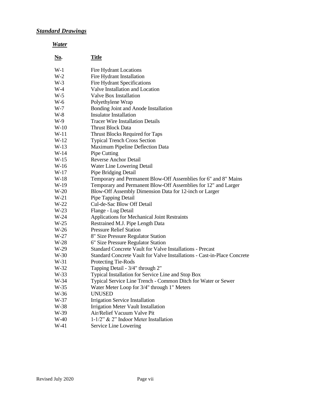# *Water*

| <u>No.</u> | <b>Title</b>                                                             |
|------------|--------------------------------------------------------------------------|
| $W-1$      | Fire Hydrant Locations                                                   |
| $W-2$      | Fire Hydrant Installation                                                |
| $W-3$      | <b>Fire Hydrant Specifications</b>                                       |
| $W-4$      | Valve Installation and Location                                          |
| $W-5$      | Valve Box Installation                                                   |
| $W-6$      | Polyethylene Wrap                                                        |
| $W-7$      | Bonding Joint and Anode Installation                                     |
| $W-8$      | <b>Insulator Installation</b>                                            |
| $W-9$      | <b>Tracer Wire Installation Details</b>                                  |
| $W-10$     | <b>Thrust Block Data</b>                                                 |
| $W-11$     | Thrust Blocks Required for Taps                                          |
| $W-12$     | <b>Typical Trench Cross Section</b>                                      |
| $W-13$     | Maximum Pipeline Deflection Data                                         |
| W-14       | Pipe Cutting                                                             |
| $W-15$     | <b>Reverse Anchor Detail</b>                                             |
| $W-16$     | Water Line Lowering Detail                                               |
| $W-17$     | Pipe Bridging Detail                                                     |
| $W-18$     | Temporary and Permanent Blow-Off Assemblies for 6" and 8" Mains          |
| $W-19$     | Temporary and Permanent Blow-Off Assemblies for 12" and Larger           |
| $W-20$     | Blow-Off Assembly Dimension Data for 12-inch or Larger                   |
| $W-21$     | Pipe Tapping Detail                                                      |
| $W-22$     | Cul-de-Sac Blow Off Detail                                               |
| $W-23$     | Flange - Lug Detail                                                      |
| $W-24$     | Applications for Mechanical Joint Restraints                             |
| $W-25$     | Restrained M.J. Pipe Length Data                                         |
| $W-26$     | <b>Pressure Relief Station</b>                                           |
| $W-27$     | 8" Size Pressure Regulator Station                                       |
| $W-28$     | 6" Size Pressure Regulator Station                                       |
| $W-29$     | <b>Standard Concrete Vault for Valve Installations - Precast</b>         |
| $W-30$     | Standard Concrete Vault for Valve Installations - Cast-in-Place Concrete |
| $W-31$     | Protecting Tie-Rods                                                      |
| $W-32$     | Tapping Detail - 3/4" through 2"                                         |
| $W-33$     | Typical Installation for Service Line and Stop Box                       |
| W-34       | Typical Service Line Trench - Common Ditch for Water or Sewer            |
| $W-35$     | Water Meter Loop for 3/4" through 1" Meters                              |
| W-36       | <b>UNUSED</b>                                                            |
| W-37       | Irrigation Service Installation                                          |
| W-38       | Irrigation Meter Vault Installation                                      |
| W-39       | Air/Relief Vacuum Valve Pit                                              |
| $W-40$     | $1-1/2$ " & 2" Indoor Meter Installation                                 |

W-41 Service Line Lowering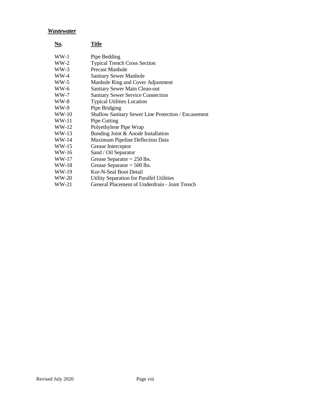# *Wastewater*

| No.          | Title                                               |
|--------------|-----------------------------------------------------|
| $WW-1$       | Pipe Bedding                                        |
| $WW-2$       | <b>Typical Trench Cross Section</b>                 |
| $WW-3$       | Precast Manhole                                     |
| WW-4         | <b>Sanitary Sewer Manhole</b>                       |
| $WW-5$       | Manhole Ring and Cover Adjustment                   |
| $WW-6$       | Sanitary Sewer Main Clean-out                       |
| $WW-7$       | <b>Sanitary Sewer Service Connection</b>            |
| WW-8         | <b>Typical Utilities Location</b>                   |
| $WW-9$       | Pipe Bridging                                       |
| $WW-10$      | Shallow Sanitary Sewer Line Protection / Encasement |
| $WW-11$      | Pipe Cutting                                        |
| $WW-12$      | Polyethylene Pipe Wrap                              |
| $WW-13$      | Bonding Joint & Anode Installation                  |
| WW-14        | Maximum Pipeline Deflection Data                    |
| $WW-15$      | Grease Interceptor                                  |
| $WW-16$      | Sand / Oil Separator                                |
| $WW-17$      | Grease Separator = $250$ lbs.                       |
| <b>WW-18</b> | Grease Separator = $500$ lbs.                       |
| WW-19        | Kor-N-Seal Boot Detail                              |
| $WW-20$      | Utility Separation for Parallel Utilities           |
| $WW-21$      | General Placement of Underdrain - Joint Trench      |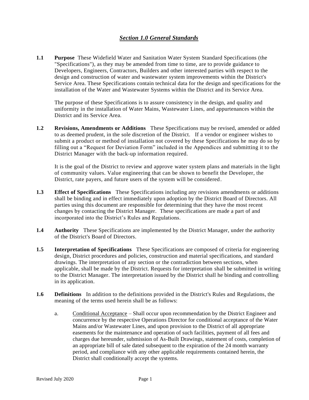# *Section 1.0 General Standards*

**1.1 Purpose** These Widefield Water and Sanitation Water System Standard Specifications (the "Specifications"), as they may be amended from time to time, are to provide guidance to Developers, Engineers, Contractors, Builders and other interested parties with respect to the design and construction of water and wastewater system improvements within the District's Service Area. These Specifications contain technical data for the design and specifications for the installation of the Water and Wastewater Systems within the District and its Service Area.

The purpose of these Specifications is to assure consistency in the design, and quality and uniformity in the installation of Water Mains, Wastewater Lines, and appurtenances within the District and its Service Area.

**1.2 Revisions, Amendments or Additions** These Specifications may be revised, amended or added to as deemed prudent, in the sole discretion of the District. If a vendor or engineer wishes to submit a product or method of installation not covered by these Specifications he may do so by filling out a "Request for Deviation Form" included in the Appendices and submitting it to the District Manager with the back-up information required.

It is the goal of the District to review and approve water system plans and materials in the light of community values. Value engineering that can be shown to benefit the Developer, the District, rate payers, and future users of the system will be considered.

- **1.3 Effect of Specifications** These Specifications including any revisions amendments or additions shall be binding and in effect immediately upon adoption by the District Board of Directors. All parties using this document are responsible for determining that they have the most recent changes by contacting the District Manager. These specifications are made a part of and incorporated into the District's Rules and Regulations.
- **1.4 Authority** These Specifications are implemented by the District Manager, under the authority of the District's Board of Directors.
- **1.5 Interpretation of Specifications** These Specifications are composed of criteria for engineering design, District procedures and policies, construction and material specifications, and standard drawings. The interpretation of any section or the contradiction between sections, when applicable, shall be made by the District. Requests for interpretation shall be submitted in writing to the District Manager. The interpretation issued by the District shall he binding and controlling in its application.
- **1.6 Definitions** In addition to the definitions provided in the District's Rules and Regulations, the meaning of the terms used herein shall be as follows:
	- a. Conditional Acceptance Shall occur upon recommendation by the District Engineer and concurrence by the respective Operations Director for conditional acceptance of the Water Mains and/or Wastewater Lines, and upon provision to the District of all appropriate easements for the maintenance and operation of such facilities, payment of all fees and charges due hereunder, submission of As-Built Drawings, statement of costs, completion of an appropriate bill of sale dated subsequent to the expiration of the 24 month warranty period, and compliance with any other applicable requirements contained herein, the District shall conditionally accept the systems.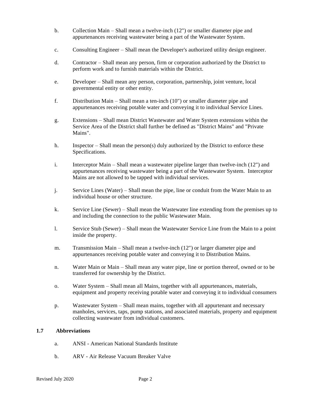- b. Collection Main Shall mean a twelve-inch (12") or smaller diameter pipe and appurtenances receiving wastewater being a part of the Wastewater System.
- c. Consulting Engineer Shall mean the Developer's authorized utility design engineer.
- d. Contractor Shall mean any person, firm or corporation authorized by the District to perform work and to furnish materials within the District.
- e. Developer Shall mean any person, corporation, partnership, joint venture, local governmental entity or other entity.
- f. Distribution Main Shall mean a ten-inch (10") or smaller diameter pipe and appurtenances receiving potable water and conveying it to individual Service Lines.
- g. Extensions Shall mean District Wastewater and Water System extensions within the Service Area of the District shall further be defined as "District Mains" and "Private Mains".
- h. Inspector Shall mean the person(s) duly authorized by the District to enforce these Specifications.
- i. Interceptor Main Shall mean a wastewater pipeline larger than twelve-inch  $(12<sup>n</sup>)$  and appurtenances receiving wastewater being a part of the Wastewater System. Interceptor Mains are not allowed to be tapped with individual services.
- j. Service Lines (Water) Shall mean the pipe, line or conduit from the Water Main to an individual house or other structure.
- k. Service Line (Sewer) Shall mean the Wastewater line extending from the premises up to and including the connection to the public Wastewater Main.
- l. Service Stub (Sewer) Shall mean the Wastewater Service Line from the Main to a point inside the property.
- m. Transmission Main Shall mean a twelve-inch (12") or larger diameter pipe and appurtenances receiving potable water and conveying it to Distribution Mains.
- n. Water Main or Main Shall mean any water pipe, line or portion thereof, owned or to be transferred for ownership by the District.
- o. Water System Shall mean all Mains, together with all appurtenances, materials, equipment and property receiving potable water and conveying it to individual consumers
- p. Wastewater System Shall mean mains, together with all appurtenant and necessary manholes, services, taps, pump stations, and associated materials, property and equipment collecting wastewater from individual customers.

### **1.7 Abbreviations**

- a. ANSI American National Standards Institute
- b. ARV Air Release Vacuum Breaker Valve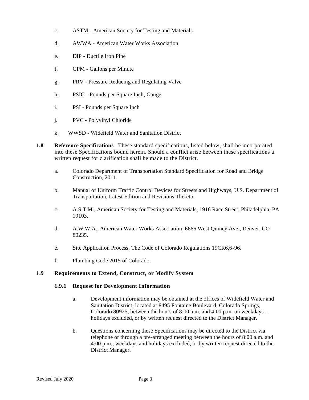- c. ASTM American Society for Testing and Materials
- d. AWWA American Water Works Association
- e. DIP Ductile Iron Pipe
- f. GPM Gallons per Minute
- g. PRV Pressure Reducing and Regulating Valve
- h. PSIG Pounds per Square Inch, Gauge
- i. PSI Pounds per Square Inch
- j. PVC Polyvinyl Chloride
- k. WWSD Widefield Water and Sanitation District
- **1.8 Reference Specifications** These standard specifications, listed below, shall be incorporated into these Specifications bound herein. Should a conflict arise between these specifications a written request for clarification shall be made to the District.
	- a. Colorado Department of Transportation Standard Specification for Road and Bridge Construction, 2011.
	- b. Manual of Uniform Traffic Control Devices for Streets and Highways, U.S. Department of Transportation, Latest Edition and Revisions Thereto.
	- c. A.S.T.M., American Society for Testing and Materials, 1916 Race Street, Philadelphia, PA 19103.
	- d. A.W.W.A., American Water Works Association, 6666 West Quincy Ave., Denver, CO 80235.
	- e. Site Application Process, The Code of Colorado Regulations 19CR6,6-96.
	- f. Plumbing Code 2015 of Colorado.

#### **1.9 Requirements to Extend, Construct, or Modify System**

#### **1.9.1 Request for Development Information**

- a. Development information may be obtained at the offices of Widefield Water and Sanitation District, located at 8495 Fontaine Boulevard, Colorado Springs, Colorado 80925, between the hours of 8:00 a.m. and 4:00 p.m. on weekdays holidays excluded, or by written request directed to the District Manager.
- b. Questions concerning these Specifications may be directed to the District via telephone or through a pre-arranged meeting between the hours of 8:00 a.m. and 4:00 p.m., weekdays and holidays excluded, or by written request directed to the District Manager.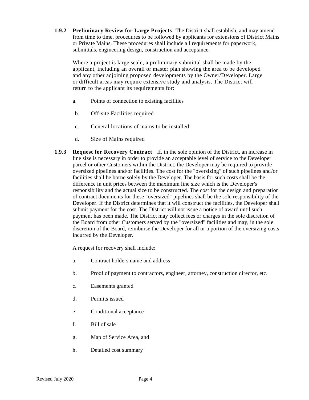**1.9.2 Preliminary Review for Large Projects** The District shall establish, and may amend from time to time, procedures to be followed by applicants for extensions of District Mains or Private Mains. These procedures shall include all requirements for paperwork, submittals, engineering design, construction and acceptance.

Where a project is large scale, a preliminary submittal shall be made by the applicant, including an overall or master plan showing the area to be developed and any other adjoining proposed developments by the Owner/Developer. Large or difficult areas may require extensive study and analysis. The District will return to the applicant its requirements for:

- a. Points of connection to existing facilities
- b. Off-site Facilities required
- c. General locations of mains to be installed
- d. Size of Mains required
- **1.9.3 Request for Recovery Contract** If, in the sole opinion of the District, an increase in line size is necessary in order to provide an acceptable level of service to the Developer parcel or other Customers within the District, the Developer may be required to provide oversized pipelines and/or facilities. The cost for the "oversizing" of such pipelines and/or facilities shall be borne solely by the Developer. The basis for such costs shall be the difference in unit prices between the maximum line size which is the Developer's responsibility and the actual size to be constructed. The cost for the design and preparation of contract documents for these "oversized" pipelines shall be the sole responsibility of the Developer. If the District determines that it will construct the facilities, the Developer shall submit payment for the cost. The District will not issue a notice of award until such payment has been made. The District may collect fees or charges in the sole discretion of the Board from other Customers served by the "oversized" facilities and may, in the sole discretion of the Board, reimburse the Developer for all or a portion of the oversizing costs incurred by the Developer.

A request for recovery shall include:

- a. Contract holders name and address
- b. Proof of payment to contractors, engineer, attorney, construction director, etc.
- c. Easements granted
- d. Permits issued
- e. Conditional acceptance
- f. Bill of sale
- g. Map of Service Area, and
- h. Detailed cost summary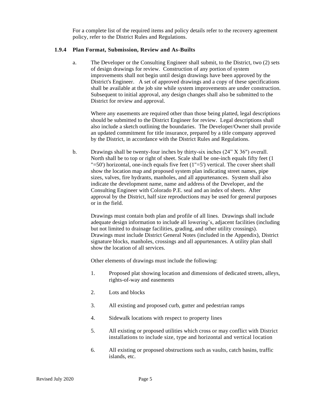For a complete list of the required items and policy details refer to the recovery agreement policy, refer to the District Rules and Regulations.

#### **1.9.4 Plan Format, Submission, Review and As-Builts**

a. The Developer or the Consulting Engineer shall submit, to the District, two (2) sets of design drawings for review. Construction of any portion of system improvements shall not begin until design drawings have been approved by the District's Engineer. A set of approved drawings and a copy of these specifications shall be available at the job site while system improvements are under construction. Subsequent to initial approval, any design changes shall also be submitted to the District for review and approval.

Where any easements are required other than those being platted, legal descriptions should be submitted to the District Engineer for review. Legal descriptions shall also include a sketch outlining the boundaries. The Developer/Owner shall provide an updated commitment for title insurance, prepared by a title company approved by the District, in accordance with the District Rules and Regulations.

b. Drawings shall be twenty-four inches by thirty-six inches (24" X 36") overall. North shall be to top or right of sheet. Scale shall be one-inch equals fifty feet (1 "=50") horizontal, one-inch equals five feet  $(1"=5")$  vertical. The cover sheet shall show the location map and proposed system plan indicating street names, pipe sizes, valves, fire hydrants, manholes, and all appurtenances. System shall also indicate the development name, name and address of the Developer, and the Consulting Engineer with Colorado P.E. seal and an index of sheets. After approval by the District, half size reproductions may be used for general purposes or in the field.

Drawings must contain both plan and profile of all lines. Drawings shall include adequate design information to include all lowering's, adjacent facilities (including but not limited to drainage facilities, grading, and other utility crossings). Drawings must include District General Notes (included in the Appendix), District signature blocks, manholes, crossings and all appurtenances. A utility plan shall show the location of all services.

Other elements of drawings must include the following:

- 1. Proposed plat showing location and dimensions of dedicated streets, alleys, rights-of-way and easements
- 2. Lots and blocks
- 3. All existing and proposed curb, gutter and pedestrian ramps
- 4. Sidewalk locations with respect to property lines
- 5. All existing or proposed utilities which cross or may conflict with District installations to include size, type and horizontal and vertical location
- 6. All existing or proposed obstructions such as vaults, catch basins, traffic islands, etc.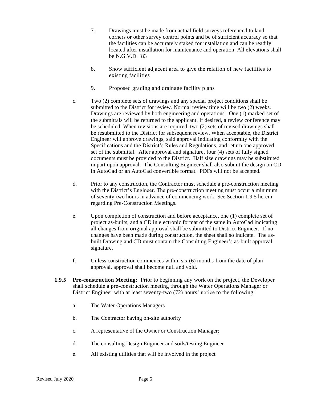- 7. Drawings must be made from actual field surveys referenced to land corners or other survey control points and be of sufficient accuracy so that the facilities can be accurately staked for installation and can be readily located after installation for maintenance and operation. All elevations shall be N.G.V.D. `83
- 8. Show sufficient adjacent area to give the relation of new facilities to existing facilities
- 9. Proposed grading and drainage facility plans
- c. Two (2) complete sets of drawings and any special project conditions shall be submitted to the District for review. Normal review time will be two (2) weeks. Drawings are reviewed by both engineering and operations. One (1) marked set of the submittals will be returned to the applicant. If desired, a review conference may be scheduled. When revisions are required, two (2) sets of revised drawings shall be resubmitted to the District for subsequent review. When acceptable, the District Engineer will approve drawings, said approval indicating conformity with the Specifications and the District's Rules and Regulations, and return one approved set of the submittal. After approval and signature, four (4) sets of fully signed documents must be provided to the District. Half size drawings may be substituted in part upon approval. The Consulting Engineer shall also submit the design on CD in AutoCad or an AutoCad convertible format. PDFs will not be accepted.
- d. Prior to any construction, the Contractor must schedule a pre-construction meeting with the District's Engineer. The pre-construction meeting must occur a minimum of seventy-two hours in advance of commencing work. See Section 1.9.5 herein regarding Pre-Construction Meetings.
- e. Upon completion of construction and before acceptance, one (1) complete set of project as-builts, and a CD in electronic format of the same in AutoCad indicating all changes from original approval shall be submitted to District Engineer. If no changes have been made during construction, the sheet shall so indicate. The asbuilt Drawing and CD must contain the Consulting Engineer's as-built approval signature.
- f. Unless construction commences within six (6) months from the date of plan approval, approval shall become null and void.
- **1.9.5 Pre-construction Meeting:** Prior to beginning any work on the project, the Developer shall schedule a pre-construction meeting through the Water Operations Manager or District Engineer with at least seventy-two (72) hours' notice to the following:
	- a. The Water Operations Managers
	- b. The Contractor having on-site authority
	- c. A representative of the Owner or Construction Manager;
	- d. The consulting Design Engineer and soils/testing Engineer
	- e. All existing utilities that will be involved in the project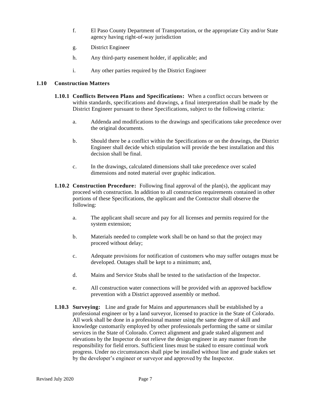- f. El Paso County Department of Transportation, or the appropriate City and/or State agency having right-of-way jurisdiction
- g. District Engineer
- h. Any third-party easement holder, if applicable; and
- i. Any other parties required by the District Engineer

#### **1.10 Construction Matters**

- **1.10.1 Conflicts Between Plans and Specifications:** When a conflict occurs between or within standards, specifications and drawings, a final interpretation shall be made by the District Engineer pursuant to these Specifications, subject to the following criteria:
	- a. Addenda and modifications to the drawings and specifications take precedence over the original documents.
	- b. Should there be a conflict within the Specifications or on the drawings, the District Engineer shall decide which stipulation will provide the best installation and this decision shall be final.
	- c. In the drawings, calculated dimensions shall take precedence over scaled dimensions and noted material over graphic indication.
- **1.10.2 Construction Procedure:** Following final approval of the plan(s), the applicant may proceed with construction. In addition to all construction requirements contained in other portions of these Specifications, the applicant and the Contractor shall observe the following:
	- a. The applicant shall secure and pay for all licenses and permits required for the system extension;
	- b. Materials needed to complete work shall be on hand so that the project may proceed without delay;
	- c. Adequate provisions for notification of customers who may suffer outages must be developed. Outages shall be kept to a minimum; and,
	- d. Mains and Service Stubs shall be tested to the satisfaction of the Inspector.
	- e. All construction water connections will be provided with an approved backflow prevention with a District approved assembly or method.
- **1.10.3 Surveying:** Line and grade for Mains and appurtenances shall be established by a professional engineer or by a land surveyor, licensed to practice in the State of Colorado. All work shall be done in a professional manner using the same degree of skill and knowledge customarily employed by other professionals performing the same or similar services in the State of Colorado. Correct alignment and grade staked alignment and elevations by the Inspector do not relieve the design engineer in any manner from the responsibility for field errors. Sufficient lines must be staked to ensure continual work progress. Under no circumstances shall pipe be installed without line and grade stakes set by the developer's engineer or surveyor and approved by the Inspector.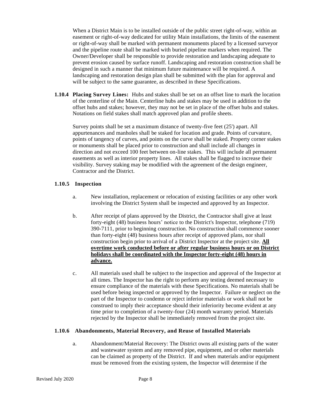When a District Main is to be installed outside of the public street right-of-way, within an easement or right-of-way dedicated for utility Main installations, the limits of the easement or right-of-way shall be marked with permanent monuments placed by a licensed surveyor and the pipeline route shall be marked with buried pipeline markers when required. The Owner/Developer shall be responsible to provide restoration and landscaping adequate to prevent erosion caused by surface runoff. Landscaping and restoration construction shall be designed in such a manner that minimum future maintenance will be required. A landscaping and restoration design plan shall be submitted with the plan for approval and will be subject to the same guarantee, as described in these Specifications.

**1.10.4 Placing Survey Lines:** Hubs and stakes shall be set on an offset line to mark the location of the centerline of the Main. Centerline hubs and stakes may be used in addition to the offset hubs and stakes; however, they may not be set in place of the offset hubs and stakes. Notations on field stakes shall match approved plan and profile sheets.

Survey points shall be set a maximum distance of twenty-five feet (25') apart. All appurtenances and manholes shall be staked for location and grade. Points of curvature, points of tangency of curves, and points on the curve shall be staked. Property corner stakes or monuments shall be placed prior to construction and shall include all changes in direction and not exceed 100 feet between on-line stakes. This will include all permanent easements as well as interior property lines. All stakes shall be flagged to increase their visibility. Survey staking may be modified with the agreement of the design engineer, Contractor and the District.

#### **1.10.5 Inspection**

- a. New installation, replacement or relocation of existing facilities or any other work involving the District System shall be inspected and approved by an Inspector.
- b. After receipt of plans approved by the District, the Contractor shall give at least forty-eight (48) business hours' notice to the District's Inspector, telephone (719) 390-7111, prior to beginning construction. No construction shall commence sooner than forty-eight (48) business hours after receipt of approved plans, nor shall construction begin prior to arrival of a District Inspector at the project site. **All overtime work conducted before or after regular business hours or on District holidays shall be coordinated with the Inspector forty-eight (48) hours in advance.**
- c. All materials used shall be subject to the inspection and approval of the Inspector at all times. The Inspector has the right to perform any testing deemed necessary to ensure compliance of the materials with these Specifications. No materials shall be used before being inspected or approved by the Inspector. Failure or neglect on the part of the Inspector to condemn or reject inferior materials or work shall not be construed to imply their acceptance should their inferiority become evident at any time prior to completion of a twenty-four (24) month warranty period. Materials rejected by the Inspector shall be immediately removed from the project site.

#### **1.10.6 Abandonments, Material Recovery, and Reuse of Installed Materials**

a. Abandonment/Material Recovery: The District owns all existing parts of the water and wastewater system and any removed pipe, equipment, and or other materials can be claimed as property of the District. If and when materials and/or equipment must be removed from the existing system, the Inspector will determine if the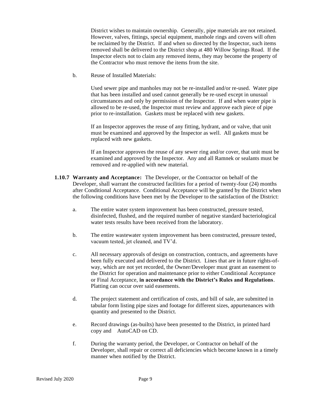District wishes to maintain ownership. Generally, pipe materials are not retained. However, valves, fittings, special equipment, manhole rings and covers will often be reclaimed by the District. If and when so directed by the Inspector, such items removed shall be delivered to the District shop at 480 Willow Springs Road. If the Inspector elects not to claim any removed items, they may become the property of the Contractor who must remove the items from the site.

b. Reuse of Installed Materials:

Used sewer pipe and manholes may not be re-installed and/or re-used. Water pipe that has been installed and used cannot generally be re-used except in unusual circumstances and only by permission of the Inspector. If and when water pipe is allowed to be re-used, the Inspector must review and approve each piece of pipe prior to re-installation. Gaskets must be replaced with new gaskets.

If an Inspector approves the reuse of any fitting, hydrant, and or valve, that unit must be examined and approved by the Inspector as well. All gaskets must be replaced with new gaskets.

If an Inspector approves the reuse of any sewer ring and/or cover, that unit must be examined and approved by the Inspector. Any and all Ramnek or sealants must be removed and re-applied with new material.

- **1.10.7 Warranty and Acceptance:** The Developer, or the Contractor on behalf of the Developer, shall warrant the constructed facilities for a period of twenty-four (24) months after Conditional Acceptance. Conditional Acceptance will be granted by the District when the following conditions have been met by the Developer to the satisfaction of the District:
	- a. The entire water system improvement has been constructed, pressure tested, disinfected, flushed, and the required number of negative standard bacteriological water tests results have been received from the laboratory.
	- b. The entire wastewater system improvement has been constructed, pressure tested, vacuum tested, jet cleaned, and TV'd.
	- c. All necessary approvals of design on construction, contracts, and agreements have been fully executed and delivered to the District. Lines that are in future rights-ofway, which are not yet recorded, the Owner/Developer must grant an easement to the District for operation and maintenance prior to either Conditional Acceptance or Final Acceptance, **in accordance with the District's Rules and Regulations**. Platting can occur over said easements.
	- d. The project statement and certification of costs, and bill of sale, are submitted in tabular form listing pipe sizes and footage for different sizes, appurtenances with quantity and presented to the District.
	- e. Record drawings (as-builts) have been presented to the District, in printed hard copy and AutoCAD on CD.
	- f. During the warranty period, the Developer, or Contractor on behalf of the Developer, shall repair or correct all deficiencies which become known in a timely manner when notified by the District.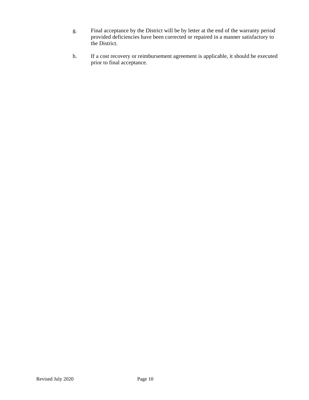- g. Final acceptance by the District will be by letter at the end of the warranty period provided deficiencies have been corrected or repaired in a manner satisfactory to the District.
- h. If a cost recovery or reimbursement agreement is applicable, it should be executed prior to final acceptance.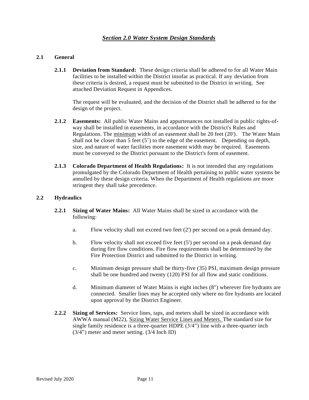#### **2.1 General**

**2.1.1 Deviation from Standard:** These design criteria shall be adhered to for all Water Main facilities to be installed within the District insofar as practical. If any deviation from these criteria is desired, a request must be submitted to the District in writing. See attached Deviation Request in Appendices.

The request will be evaluated, and the decision of the District shall be adhered to for the design of the project.

- **2.1.2 Easements:** All public Water Mains and appurtenances not installed in public rights-ofway shall be installed in easements, in accordance with the District's Rules and Regulations. The minimum width of an easement shall be 20 feet (20'). The Water Main shall not be closer than 5 feet (5') to the edge of the easement. Depending on depth, size, and nature of water facilities more easement width may be required. Easements must be conveyed to the District pursuant to the District's form of easement.
- **2.1.3 Colorado Department of Health Regulations:** It is not intended that any regulations promulgated by the Colorado Department of Health pertaining to public water systems be annulled by these design criteria. When the Department of Health regulations are more stringent they shall take precedence.

#### **2.2 Hydraulics**

- **2.2.1 Sizing of Water Mains:** All Water Mains shall be sized in accordance with the following:
	- a. Flow velocity shall not exceed two feet (2') per second on a peak demand day.
	- b. Flow velocity shall not exceed five feet (5') per second on a peak demand day during fire flow conditions. Fire flow requirements shall be determined by the Fire Protection District and submitted to the District in writing.
	- c. Minimum design pressure shall be thirty-five (35) PSI, maximum design pressure shall be one hundred and twenty (120) PSI for all flow and static conditions.
	- d. Minimum diameter of Water Mains is eight inches (8") wherever fire hydrants are connected. Smaller lines may be accepted only where no fire hydrants are located upon approval by the District Engineer.
- **2.2.2 Sizing of Services:** Service lines, taps, and meters shall be sized in accordance with AWWA manual (M22), Sizing Water Service Lines and Meters. The standard size for single family residence is a three-quarter HDPE (3/4") line with a three-quarter inch (3/4") meter and meter setting. (3/4 Inch ID)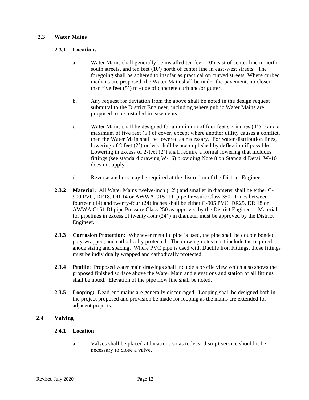#### **2.3 Water Mains**

#### **2.3.1 Locations**

- a. Water Mains shall generally be installed ten feet (10') east of center line in north south streets, and ten feet (10') north of center line in east-west streets. The foregoing shall be adhered to insofar as practical on curved streets. Where curbed medians are proposed, the Water Main shall be under the pavement, no closer than five feet (5') to edge of concrete curb and/or gutter.
- b. Any request for deviation from the above shall be noted in the design request submittal to the District Engineer, including where public Water Mains are proposed to be installed in easements.
- c. Water Mains shall be designed for a minimum of four feet six inches (4'6") and a maximum of five feet (5') of cover, except where another utility causes a conflict, then the Water Main shall be lowered as necessary. For water distribution lines, lowering of 2 feet (2') or less shall be accomplished by deflection if possible. Lowering in excess of 2-feet (2') shall require a formal lowering that includes fittings (see standard drawing W-16) providing Note 8 on Standard Detail W-16 does not apply.
- d. Reverse anchors may be required at the discretion of the District Engineer.
- **2.3.2 Material:** All Water Mains twelve-inch (12") and smaller in diameter shall be either C-900 PVC, DR18, DR 14 or AWWA C151 DI pipe Pressure Class 350. Lines between fourteen (14) and twenty-four (24) inches shall be either C-905 PVC, DR25, DR 18 or AWWA C151 DI pipe Pressure Class 250 as approved by the District Engineer. Material for pipelines in excess of twenty-four (24") in diameter must be approved by the District Engineer.
- **2.3.3 Corrosion Protection:** Whenever metallic pipe is used, the pipe shall be double bonded, poly wrapped, and cathodically protected. The drawing notes must include the required anode sizing and spacing. Where PVC pipe is used with Ductile Iron Fittings, those fittings must be individually wrapped and cathodically protected.
- **2.3.4 Profile:** Proposed water main drawings shall include a profile view which also shows the proposed finished surface above the Water Main and elevations and station of all fittings shall be noted. Elevation of the pipe flow line shall be noted.
- **2.3.5 Looping:** Dead-end mains are generally discouraged. Looping shall be designed both in the project proposed and provision be made for looping as the mains are extended for adjacent projects.

### **2.4 Valving**

#### **2.4.1 Location**

a. Valves shall be placed at locations so as to least disrupt service should it be necessary to close a valve.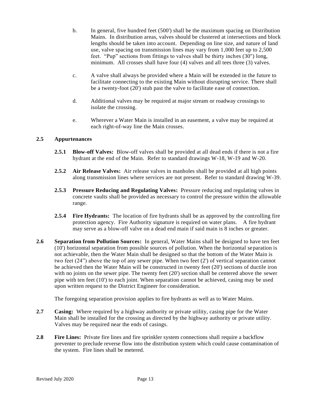- b. In general, five hundred feet (500') shall be the maximum spacing on Distribution Mains. In distribution areas, valves should be clustered at intersections and block lengths should be taken into account. Depending on line size, and nature of land use, valve spacing on transmission lines may vary from 1,000 feet up to 2,500 feet. "Pup" sections from fittings to valves shall be thirty inches (30") long, minimum. All crosses shall have four (4) valves and all tees three (3) valves.
- c. A valve shall always be provided where a Main will be extended in the future to facilitate connecting to the existing Main without disrupting service. There shall be a twenty-foot (20') stub past the valve to facilitate ease of connection.
- d. Additional valves may be required at major stream or roadway crossings to isolate the crossing.
- e. Wherever a Water Main is installed in an easement, a valve may be required at each right-of-way line the Main crosses.

#### **2.5 Appurtenances**

- **2.5.1 Blow-off Valves:** Blow-off valves shall be provided at all dead ends if there is not a fire hydrant at the end of the Main. Refer to standard drawings W-18, W-19 and W-20.
- **2.5.2 Air Release Valves:** Air release valves in manholes shall be provided at all high points along transmission lines where services are not present. Refer to standard drawing W-39.
- **2.5.3 Pressure Reducing and Regulating Valves:** Pressure reducing and regulating valves in concrete vaults shall be provided as necessary to control the pressure within the allowable range.
- **2.5.4 Fire Hydrants:** The location of fire hydrants shall be as approved by the controlling fire protection agency. Fire Authority signature is required on water plans. A fire hydrant may serve as a blow-off valve on a dead end main if said main is 8 inches or greater.
- **2.6 Separation from Pollution Sources:** In general, Water Mains shall be designed to have ten feet (10') horizontal separation from possible sources of pollution. When the horizontal separation is not achievable, then the Water Main shall be designed so that the bottom of the Water Main is two feet (24") above the top of any sewer pipe. When two feet (2') of vertical separation cannot be achieved then the Water Main will be constructed in twenty feet (20') sections of ductile iron with no joints on the sewer pipe. The twenty feet (20') section shall be centered above the sewer pipe with ten feet (10') to each joint. When separation cannot be achieved, casing may be used upon written request to the District Engineer for consideration.

The foregoing separation provision applies to fire hydrants as well as to Water Mains.

- **2.7 Casing:** Where required by a highway authority or private utility, casing pipe for the Water Main shall be installed for the crossing as directed by the highway authority or private utility. Valves may be required near the ends of casings.
- **2.8 Fire Lines:** Private fire lines and fire sprinkler system connections shall require a backflow preventer to preclude reverse flow into the distribution system which could cause contamination of the system. Fire lines shall be metered.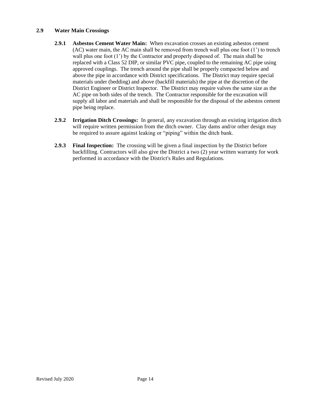### **2.9 Water Main Crossings**

- **2.9.1 Asbestos Cement Water Main:** When excavation crosses an existing asbestos cement (AC) water main, the AC main shall be removed from trench wall plus one foot (1') to trench wall plus one foot  $(1')$  by the Contractor and properly disposed of. The main shall be replaced with a Class 52 DIP, or similar PVC pipe, coupled to the remaining AC pipe using approved couplings. The trench around the pipe shall be properly compacted below and above the pipe in accordance with District specifications. The District may require special materials under (bedding) and above (backfill materials) the pipe at the discretion of the District Engineer or District Inspector. The District may require valves the same size as the AC pipe on both sides of the trench. The Contractor responsible for the excavation will supply all labor and materials and shall be responsible for the disposal of the asbestos cement pipe being replace.
- **2.9.2 Irrigation Ditch Crossings:** In general, any excavation through an existing irrigation ditch will require written permission from the ditch owner. Clay dams and/or other design may be required to assure against leaking or "piping" within the ditch bank.
- **2.9.3 Final Inspection:** The crossing will be given a final inspection by the District before backfilling. Contractors will also give the District a two (2) year written warranty for work performed in accordance with the District's Rules and Regulations.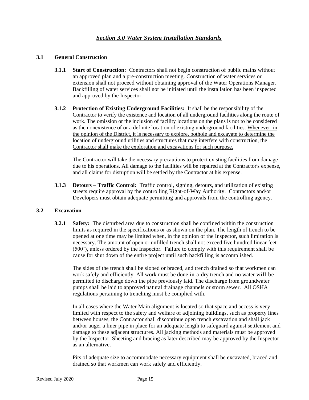#### **3.1 General Construction**

- **3.1.1 Start of Construction:** Contractors shall not begin construction of public mains without an approved plan and a pre-construction meeting. Construction of water services or extension shall not proceed without obtaining approval of the Water Operations Manager. Backfilling of water services shall not be initiated until the installation has been inspected and approved by the Inspector.
- **3.1.2 Protection of Existing Underground Facilities:** It shall be the responsibility of the Contractor to verify the existence and location of all underground facilities along the route of work. The omission or the inclusion of facility locations on the plans is not to be considered as the nonexistence of or a definite location of existing underground facilities. Whenever, in the opinion of the District, it is necessary to explore, pothole and excavate to determine the location of underground utilities and structures that may interfere with construction, the Contractor shall make the exploration and excavations for such purpose.

The Contractor will take the necessary precautions to protect existing facilities from damage due to his operations. All damage to the facilities will be repaired at the Contractor's expense, and all claims for disruption will be settled by the Contractor at his expense.

**3.1.3 Detours – Traffic Control:** Traffic control, signing, detours, and utilization of existing streets require approval by the controlling Right-of-Way Authority. Contractors and/or Developers must obtain adequate permitting and approvals from the controlling agency.

#### **3.2 Excavation**

**3.2.1** Safety: The disturbed area due to construction shall be confined within the construction limits as required in the specifications or as shown on the plan. The length of trench to be opened at one time may be limited when, in the opinion of the Inspector, such limitation is necessary. The amount of open or unfilled trench shall not exceed five hundred linear feet (500'), unless ordered by the Inspector. Failure to comply with this requirement shall be cause for shut down of the entire project until such backfilling is accomplished.

The sides of the trench shall be sloped or braced, and trench drained so that workmen can work safely and efficiently. All work must be done in a dry trench and no water will be permitted to discharge down the pipe previously laid. The discharge from groundwater pumps shall be laid to approved natural drainage channels or storm sewer. All OSHA regulations pertaining to trenching must be complied with.

In all cases where the Water Main alignment is located so that space and access is very limited with respect to the safety and welfare of adjoining buildings, such as property lines between houses, the Contractor shall discontinue open trench excavation and shall jack and/or auger a liner pipe in place for an adequate length to safeguard against settlement and damage to these adjacent structures. All jacking methods and materials must be approved by the Inspector. Sheeting and bracing as later described may be approved by the Inspector as an alternative.

Pits of adequate size to accommodate necessary equipment shall be excavated, braced and drained so that workmen can work safely and efficiently.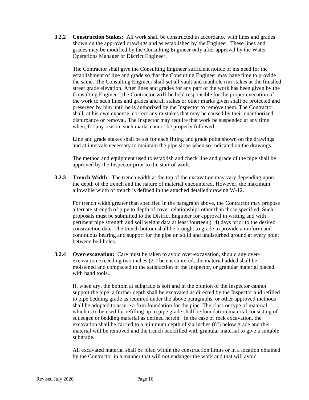**3.2.2 Construction Stakes:** All work shall be constructed in accordance with lines and grades shown on the approved drawings and as established by the Engineer. These lines and grades may be modified by the Consulting Engineer only after approval by the Water Operations Manager or District Engineer.

The Contractor shall give the Consulting Engineer sufficient notice of his need for the establishment of line and grade so that the Consulting Engineer may have time to provide the same. The Consulting Engineer shall set all vault and manhole rim stakes at the finished street grade elevation. After lines and grades for any part of the work has been given by the Consulting Engineer, the Contractor will be held responsible for the proper execution of the work to such lines and grades and all stakes or other marks given shall be protected and preserved by him until he is authorized by the Inspector to remove them. The Contractor shall, at his own expense, correct any mistakes that may be caused by their unauthorized disturbance or removal. The Inspector may require that work be suspended at any time when, for any reason, such marks cannot be properly followed.

Line and grade stakes shall be set for each fitting and grade point shown on the drawings and at intervals necessary to maintain the pipe slope when so indicated on the drawings.

The method and equipment used to establish and check line and grade of the pipe shall be approved by the Inspector prior to the start of work.

**3.2.3 Trench Width:** The trench width at the top of the excavation may vary depending upon the depth of the trench and the nature of material encountered. However, the maximum allowable width of trench is defined in the attached detailed drawing W-12.

For trench width greater than specified in the paragraph above, the Contractor may propose alternate strength of pipe to depth of cover relationships other than those specified. Such proposals must be submitted to the District Engineer for approval in writing and with pertinent pipe strength and soil weight data at least fourteen (14) days prior to the desired construction date. The trench bottom shall be brought to grade to provide a uniform and continuous bearing and support for the pipe on solid and undisturbed ground at every point between bell holes.

**3.2.4 Over-excavation:** Care must be taken to avoid over-excavation, should any overexcavation exceeding two inches (2") be encountered, the material added shall be moistened and compacted to the satisfaction of the Inspector, or granular material placed with hand tools.

If, when dry, the bottom at subgrade is soft and in the opinion of the Inspector cannot support the pipe, a further depth shall be excavated as directed by the Inspector and refilled to pipe bedding grade as required under the above paragraphs, or other approved methods shall be adopted to assure a firm foundation for the pipe. The class or type of material which is to be used for refilling up to pipe grade shall be foundation material consisting of squeegee or bedding material as defined herein. In the case of rock excavation, the excavation shall be carried to a minimum depth of six inches (6") below grade and this material will be removed and the trench backfilled with granular material to give a suitable subgrade.

All excavated material shall be piled within the construction limits or in a location obtained by the Contractor in a manner that will not endanger the work and that will avoid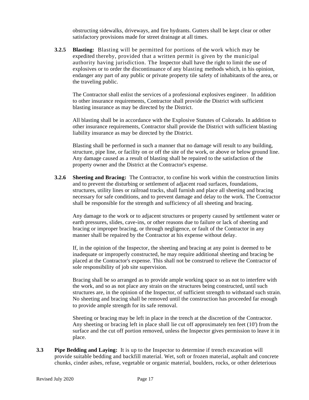obstructing sidewalks, driveways, and fire hydrants. Gutters shall be kept clear or other satisfactory provisions made for street drainage at all times.

**3.2.5 Blasting:** Blasting will be permitted for portions of the work which may be expedited thereby, provided that a written permit is given by the municipal authority having jurisdiction. The Inspector shall have the right to limit the use of explosives or to order the discontinuance of any blasting methods which, in his opinion, endanger any part of any public or private property tile safety of inhabitants of the area, or the traveling public.

The Contractor shall enlist the services of a professional explosives engineer. In addition to other insurance requirements, Contractor shall provide the District with sufficient blasting insurance as may be directed by the District.

All blasting shall be in accordance with the Explosive Statutes of Colorado. In addition to other insurance requirements, Contractor shall provide the District with sufficient blasting liability insurance as may be directed by the District.

Blasting shall be performed in such a manner that no damage will result to any building, structure, pipe line, or facility on or off the site of the work, or above or below ground line. Any damage caused as a result of blasting shall be repaired to the satisfaction of the property owner and the District at the Contractor's expense.

**3.2.6 Sheeting and Bracing:** The Contractor, to confine his work within the construction limits and to prevent the disturbing or settlement of adjacent road surfaces, foundations, structures, utility lines or railroad tracks, shall furnish and place all sheeting and bracing necessary for safe conditions, and to prevent damage and delay to the work. The Contractor shall be responsible for the strength and sufficiency of all sheeting and bracing.

Any damage to the work or to adjacent structures or property caused by settlement water or earth pressures, slides, cave-ins, or other reasons due to failure or lack of sheeting and bracing or improper bracing, or through negligence, or fault of the Contractor in any manner shall be repaired by the Contractor at his expense without delay.

If, in the opinion of the Inspector, the sheeting and bracing at any point is deemed to be inadequate or improperly constructed, he may require additional sheeting and bracing be placed at the Contractor's expense. This shall not be construed to relieve the Contractor of sole responsibility of job site supervision.

Bracing shall be so arranged as to provide ample working space so as not to interfere with the work, and so as not place any strain on the structures being constructed, until such structures are, in the opinion of the Inspector, of sufficient strength to withstand such strain. No sheeting and bracing shall be removed until the construction has proceeded far enough to provide ample strength for its safe removal.

Sheeting or bracing may be left in place in the trench at the discretion of the Contractor. Any sheeting or bracing left in place shall lie cut off approximately ten feet (10') from the surface and the cut off portion removed, unless the Inspector gives permission to leave it in place.

**3.3 Pipe Bedding and Laying:** It is up to the Inspector to determine if trench excavation will provide suitable bedding and backfill material. Wet, soft or frozen material, asphalt and concrete chunks, cinder ashes, refuse, vegetable or organic material, boulders, rocks, or other deleterious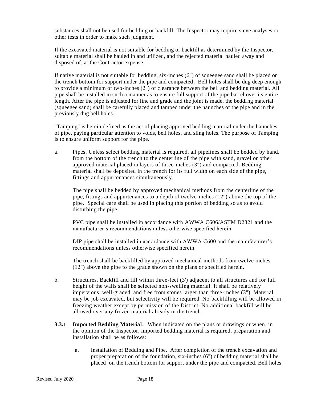substances shall not be used for bedding or backfill. The Inspector may require sieve analyses or other tests in order to make such judgment.

If the excavated material is not suitable for bedding or backfill as determined by the Inspector, suitable material shall be hauled in and utilized, and the rejected material hauled away and disposed of, at the Contractor expense.

If native material is not suitable for bedding, six-inches (6") of squeegee sand shall be placed on the trench bottom for support under the pipe and compacted. Bell holes shall be dug deep enough to provide a minimum of two-inches (2") of clearance between the bell and bedding material. All pipe shall be installed in such a manner as to ensure full support of the pipe barrel over its entire length. After the pipe is adjusted for line and grade and the joint is made, the bedding material (squeegee sand) shall be carefully placed and tamped under the haunches of the pipe and in the previously dug bell holes.

"Tamping" is herein defined as the act of placing approved bedding material under the haunches of pipe, paying particular attention to voids, bell holes, and sling holes. The purpose of Tamping is to ensure uniform support for the pipe.

a. Pipes. Unless select bedding material is required, all pipelines shall be bedded by hand, from the bottom of the trench to the centerline of the pipe with sand, gravel or other approved material placed in layers of three-inches (3") and compacted. Bedding material shall be deposited in the trench for its full width on each side of the pipe, fittings and appurtenances simultaneously.

The pipe shall be bedded by approved mechanical methods from the centerline of the pipe, fittings and appurtenances to a depth of twelve-inches (12'') above the top of the pipe. Special care shall be used in placing this portion of bedding so as to avoid disturbing the pipe.

PVC pipe shall be installed in accordance with AWWA C606/ASTM D2321 and the manufacturer's recommendations unless otherwise specified herein.

DIP pipe shall be installed in accordance with AWWA C600 and the manufacturer's recommendations unless otherwise specified herein.

The trench shall be backfilled by approved mechanical methods from twelve inches (12") above the pipe to the grade shown on the plans or specified herein.

- b. Structures. Backfill and fill within three-feet (3') adjacent to all structures and for full height of the walls shall be selected non-swelling material. It shall be relatively impervious, well-graded, and free from stones larger than three-inches (3"). Material may be job excavated, but selectivity will be required. No backfilling will be allowed in freezing weather except by permission of the District. No additional backfill will be allowed over any frozen material already in the trench.
- **3.3.1 Imported Bedding Material:** When indicated on the plans or drawings or when, in the opinion of the Inspector, imported bedding material is required, preparation and installation shall be as follows:
	- a. Installation of Bedding and Pipe. After completion of the trench excavation and proper preparation of the foundation, six-inches (6") of bedding material shall be placed on the trench bottom for support under the pipe and compacted. Bell holes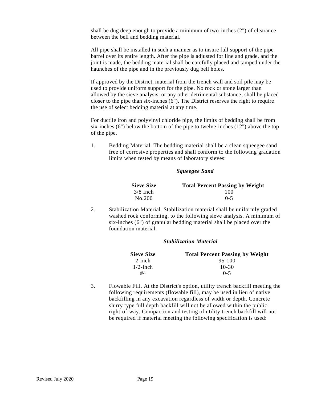shall be dug deep enough to provide a minimum of two-inches (2") of clearance between the bell and bedding material.

All pipe shall be installed in such a manner as to insure full support of the pipe barrel over its entire length. After the pipe is adjusted for line and grade, and the joint is made, the bedding material shall be carefully placed and tamped under the haunches of the pipe and in the previously dug bell holes.

If approved by the District, material from the trench wall and soil pile may be used to provide uniform support for the pipe. No rock or stone larger than allowed by the sieve analysis, or any other detrimental substance, shall be placed closer to the pipe than six-inches (6"). The District reserves the right to require the use of select bedding material at any time.

For ductile iron and polyvinyl chloride pipe, the limits of bedding shall be from six-inches (6") below the bottom of the pipe to twelve-inches (12") above the top of the pipe.

1. Bedding Material. The bedding material shall be a clean squeegee sand free of corrosive properties and shall conform to the following gradation limits when tested by means of laboratory sieves:

#### *Squeegee Sand*

| <b>Sieve Size</b> | <b>Total Percent Passing by Weight</b> |
|-------------------|----------------------------------------|
| $3/8$ Inch        | 100                                    |
| No.200            | $0 - 5$                                |

2. Stabilization Material. Stabilization material shall be uniformly graded washed rock conforming, to the following sieve analysis. A minimum of six-inches (6") of granular bedding material shall be placed over the foundation material.

#### *Stabilization Material*

| <b>Sieve Size</b> | <b>Total Percent Passing by Weight</b> |
|-------------------|----------------------------------------|
| $2$ -inch         | $95 - 100$                             |
| $1/2$ -inch       | $10-30$                                |
| #4                | $(1 - 5)$                              |

3. Flowable Fill. At the District's option, utility trench backfill meeting the following requirements (flowable fill), may be used in lieu of native backfilling in any excavation regardless of width or depth. Concrete slurry type full depth backfill will not be allowed within the public right-of-way. Compaction and testing of utility trench backfill will not be required if material meeting the following specification is used: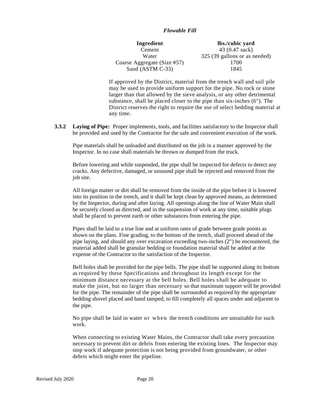#### *Flowable Fill*

| Ingredient                  | lbs./cubic yard               |
|-----------------------------|-------------------------------|
| Cement                      | 43 (0.47 sack)                |
| Water                       | 325 (39 gallons or as needed) |
| Coarse Aggregate (Size #57) | 1700                          |
| Sand (ASTM C-33)            | 1845                          |
|                             |                               |

If approved by the District, material from the trench wall and soil pile may be used to provide uniform support for the pipe. No rock or stone larger than that allowed by the sieve analysis, or any other detrimental substance, shall be placed closer to the pipe than six-inches (6"). The District reserves the right to require the use of select bedding material at any time.

**3.3.2 Laying of Pipe:** Proper implements, tools, and facilities satisfactory to the Inspector shall be provided and used by the Contractor for the safe and convenient execution of the work.

Pipe materials shall be unloaded and distributed on the job in a manner approved by the Inspector. In no case shall materials be thrown or dumped from the truck.

Before lowering and while suspended, the pipe shall be inspected for defects to detect any cracks. Any defective, damaged, or unsound pipe shall be rejected and removed from the job site.

All foreign matter or dirt shall be removed from the inside of the pipe before it is lowered into its position in the trench, and it shall be kept clean by approved means, as determined by the Inspector, during and after laying. All openings along the line of Water Main shall be securely closed as directed, and in the suspension of work at any time, suitable plugs shall be placed to prevent earth or other substances from entering the pipe.

Pipes shall be laid to a true line and at uniform rates of grade between grade points as shown on the plans. Fine grading, to the bottom of the trench, shall proceed ahead of the pipe laying, and should any over excavation exceeding two-inches (2") be encountered, the material added shall be granular bedding or foundation material shall be added at the expense of the Contractor to the satisfaction of the Inspector.

Bell holes shall be provided for the pipe bells. The pipe shall be supported along its bottom as required by these Specifications and throughout its length except for the minimum distance necessary at the bell holes. Bell holes s hall be adequate to make the joint, but no larger than necessary so that maximum support will be provided for the pipe. The remainder of the pipe shall be surrounded as required by the appropriate bedding shovel placed and hand tamped, to fill completely all spaces under and adjacent to the pipe.

No pipe shall be laid in water or when the trench conditions are unsuitable for such work.

When connecting to existing Water Mains, the Contractor shall take every precaution necessary to prevent dirt or debris from entering the existing lines. The Inspector may stop work if adequate protection is not being provided from groundwater, or other debris which might enter the pipeline.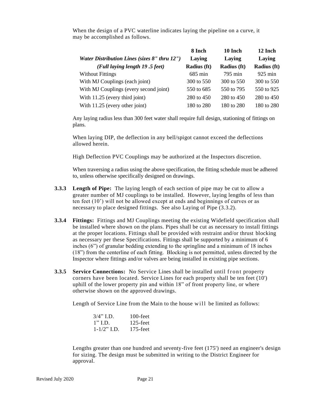When the design of a PVC waterline indicates laying the pipeline on a curve, it may be accomplished as follows.

|                                              | 8 Inch      | 10 Inch     | 12 Inch           |
|----------------------------------------------|-------------|-------------|-------------------|
| Water Distribution Lines (sizes 8" thru 12") | Laying      | Laying      | Laying            |
| (Full laying length 19.5 feet)               | Radius (ft) | Radius (ft) | Radius (ft)       |
| <b>Without Fittings</b>                      | 685 min     | 795 min     | $925 \text{ min}$ |
| With MJ Couplings (each joint)               | 300 to 550  | 300 to 550  | 300 to 550        |
| With MJ Couplings (every second joint)       | 550 to 685  | 550 to 795  | 550 to 925        |
| With 11.25 (every third joint)               | 280 to 450  | 280 to 450  | 280 to 450        |
| With 11.25 (every other joint)               | 180 to 280  | 180 to 280  | 180 to 280        |

Any laying radius less than 300 feet water shall require full design, stationing of fittings on plans.

When laying DIP, the deflection in any bell/spigot cannot exceed the deflections allowed herein.

High Deflection PVC Couplings may be authorized at the Inspectors discretion.

When traversing a radius using the above specification, the fitting schedule must be adhered to, unless otherwise specifically designed on drawings.

- **3.3.3 Length of Pipe:** The laying length of each section of pipe may be cut to allow a greater number of MJ couplings to be installed. However, laying lengths of less than ten feet (10') will not be allowed except at ends and beginnings of curves or as necessary to place designed fittings. See also Laying of Pipe (3.3.2).
- **3.3.4 Fittings:** Fittings and MJ Couplings meeting the existing Widefield specification shall be installed where shown on the plans. Pipes shall be cut as necessary to install fittings at the proper locations. Fittings shall be provided with restraint and/or thrust blocking as necessary per these Specifications. Fittings shall be supported by a minimum of 6 inches (6") of granular bedding extending to the springline and a minimum of 18 inches (18") from the centerline of each fitting. Blocking is not permitted, unless directed by the Inspector where fittings and/or valves are being installed in existing pipe sections.
- **3.3.5 Service Connections:** No Service Lines shall be installed until front property corners have been located. Service Lines for each property shall be ten feet (10') uphill of the lower property pin and within 18" of front property line, or where otherwise shown on the approved drawings.

Length of Service Line from the Main to the house will be limited as follows:

| $3/4"$ I.D.   | $100$ -feet |
|---------------|-------------|
| $1"$ LD.      | $125$ -feet |
| $1-1/2"$ I.D. | $175$ -feet |

Lengths greater than one hundred and seventy-five feet (175') need an engineer's design for sizing. The design must be submitted in writing to the District Engineer for approval.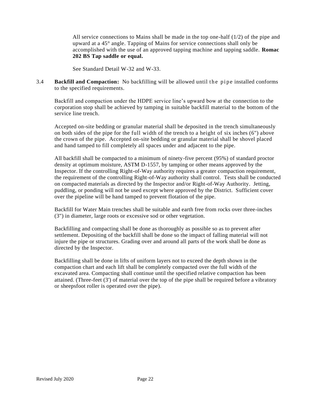All service connections to Mains shall be made in the top one-half  $(1/2)$  of the pipe and upward at a 45° angle. Tapping of Mains for service connections shall only be accomplished with the use of an approved tapping machine and tapping saddle. **Romac 202 BS Tap saddle or equal.**

See Standard Detail W-32 and W-33.

3.4 **Backfill and Compaction:** No backfilling will be allowed until the pipe installed conforms to the specified requirements.

Backfill and compaction under the HDPE service line's upward bow at the connection to the corporation stop shall be achieved by tamping in suitable backfill material to the bottom of the service line trench.

Accepted on-site bedding or granular material shall be deposited in the trench simultaneously on both sides of the pipe for the full width of the trench to a height of six inches (6") above the crown of the pipe. Accepted on-site bedding or granular material shall be shovel placed and hand tamped to fill completely all spaces under and adjacent to the pipe.

All backfill shall be compacted to a minimum of ninety-five percent (95%) of standard proctor density at optimum moisture, ASTM D-1557, by tamping or other means approved by the Inspector. If the controlling Right-of-Way authority requires a greater compaction requirement, the requirement of the controlling Right-of-Way authority shall control. Tests shall be conducted on compacted materials as directed by the Inspector and/or Right-of-Way Authority. Jetting, puddling, or ponding will not be used except where approved by the District. Sufficient cover over the pipeline will be hand tamped to prevent flotation of the pipe.

Backfill for Water Main trenches shall be suitable and earth free from rocks over three-inches (3") in diameter, large roots or excessive sod or other vegetation.

Backfilling and compacting shall be done as thoroughly as possible so as to prevent after settlement. Depositing of the backfill shall be done so the impact of falling material will not injure the pipe or structures. Grading over and around all parts of the work shall be done as directed by the Inspector.

Backfilling shall be done in lifts of uniform layers not to exceed the depth shown in the compaction chart and each lift shall be completely compacted over the full width of the excavated area. Compacting shall continue until the specified relative compaction has been attained. (Three-feet (3') of material over the top of the pipe shall be required before a vibratory or sheepsfoot roller is operated over the pipe).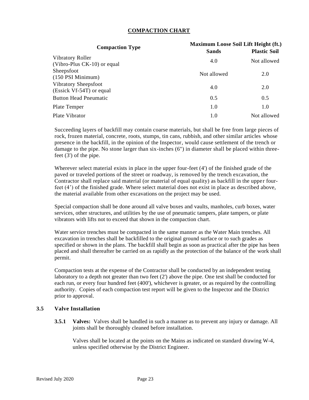#### **COMPACTION CHART**

| <b>Compaction Type</b>                           | <b>Sands</b> | Maximum Loose Soil Lift Height (ft.)<br><b>Plastic Soil</b> |  |  |
|--------------------------------------------------|--------------|-------------------------------------------------------------|--|--|
| Vibratory Roller<br>(Vibro-Plus CK-10) or equal  | 4.0          | Not allowed                                                 |  |  |
| Sheepsfoot<br>$(150$ PSI Minimum $)$             | Not allowed  | 2.0                                                         |  |  |
| Vibratory Sheepsfoot<br>(Essick Vf-54T) or equal | 4.0          | 2.0                                                         |  |  |
| <b>Button Head Pneumatic</b>                     | 0.5          | 0.5                                                         |  |  |
| Plate Temper                                     | 1.0          | 1.0                                                         |  |  |
| Plate Vibrator                                   | 1.0          | Not allowed                                                 |  |  |

Succeeding layers of backfill may contain coarse materials, but shall be free from large pieces of rock, frozen material, concrete, roots, stumps, tin cans, rubbish, and other similar articles whose presence in the backfill, in the opinion of the Inspector, would cause settlement of the trench or damage to the pipe. No stone larger than six-inches (6") in diameter shall be placed within threefeet (3') of the pipe.

Wherever select material exists in place in the upper four-feet (4') of the finished grade of the paved or traveled portions of the street or roadway, is removed by the trench excavation, the Contractor shall replace said material (or material of equal quality) as backfill in the upper fourfeet (4') of the finished grade. Where select material does not exist in place as described above, the material available from other excavations on the project may be used.

Special compaction shall be done around all valve boxes and vaults, manholes, curb boxes, water services, other structures, and utilities by the use of pneumatic tampers, plate tampers, or plate vibrators with lifts not to exceed that shown in the compaction chart.

Water service trenches must be compacted in the same manner as the Water Main trenches. All excavation in trenches shall be backfilled to the original ground surface or to such grades as specified or shown in the plans. The backfill shall begin as soon as practical after the pipe has been placed and shall thereafter be carried on as rapidly as the protection of the balance of the work shall permit.

Compaction tests at the expense of the Contractor shall be conducted by an independent testing laboratory to a depth not greater than two feet (2') above the pipe. One test shall be conducted for each run, or every four hundred feet (400'), whichever is greater, or as required by the controlling authority. Copies of each compaction test report will be given to the Inspector and the District prior to approval.

#### **3.5 Valve Installation**

**3.5.1 Valves:** Valves shall be handled in such a manner as to prevent any injury or damage. All joints shall be thoroughly cleaned before installation.

Valves shall be located at the points on the Mains as indicated on standard drawing W-4, unless specified otherwise by the District Engineer.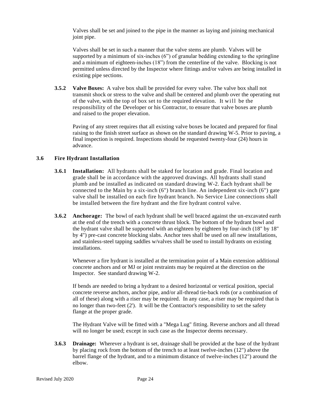Valves shall be set and joined to the pipe in the manner as laying and joining mechanical joint pipe.

Valves shall be set in such a manner that the valve stems are plumb. Valves will be supported by a minimum of six-inches (6") of granular bedding extending to the springline and a minimum of eighteen-inches (18") from the centerline of the valve. Blocking is not permitted unless directed by the Inspector where fittings and/or valves are being installed in existing pipe sections.

**3.5.2 Valve Boxes:** A valve box shall be provided for every valve. The valve box shall not transmit shock or stress to the valve and shall be centered and plumb over the operating nut of the valve, with the top of box set to the required elevation. It will be the responsibility of the Developer or his Contractor, to ensure that valve boxes are plumb and raised to the proper elevation.

Paving of any street requires that all existing valve boxes be located and prepared for final raising to the finish street surface as shown on the standard drawing W-5. Prior to paving, a final inspection is required. Inspections should be requested twenty-four (24) hours in advance.

#### **3.6 Fire Hydrant Installation**

- **3.6.1 Installation:** All hydrants shall be staked for location and grade. Final location and grade shall be in accordance with the approved drawings. All hydrants shall stand plumb and be installed as indicated on standard drawing W-2. Each hydrant shall be connected to the Main by a six-inch (6") branch line. An independent six-inch (6") gate valve shall be installed on each fire hydrant branch. No Service Line connections shall be installed between the fire hydrant and the fire hydrant control valve.
- **3.6.2 Anchorage:** The bowl of each hydrant shall be well braced against the un-excavated earth at the end of the trench with a concrete thrust block. The bottom of the hydrant bowl and the hydrant valve shall be supported with an eighteen by eighteen by four-inch (18" by 18" by 4") pre-cast concrete blocking slabs. Anchor tees shall be used on all new installations, and stainless-steel tapping saddles w/valves shall be used to install hydrants on existing installations.

Whenever a fire hydrant is installed at the termination point of a Main extension additional concrete anchors and or MJ or joint restraints may be required at the direction on the Inspector. See standard drawing W-2.

If bends are needed to bring a hydrant to a desired horizontal or vertical position, special concrete reverse anchors, anchor pipe, and/or all-thread tie-back rods (or a combination of all of these) along with a riser may be required. In any case, a riser may be required that is no longer than two-feet (2'). It will be the Contractor's responsibility to set the safety flange at the proper grade.

The Hydrant Valve will be fitted with a "Mega Lug" fitting. Reverse anchors and all thread will no longer be used; except in such case as the Inspector deems necessary.

**3.6.3 Drainage:** Wherever a hydrant is set, drainage shall be provided at the base of the hydrant by placing rock from the bottom of the trench to at least twelve-inches (12") above the barrel flange of the hydrant, and to a minimum distance of twelve-inches (12") around the elbow.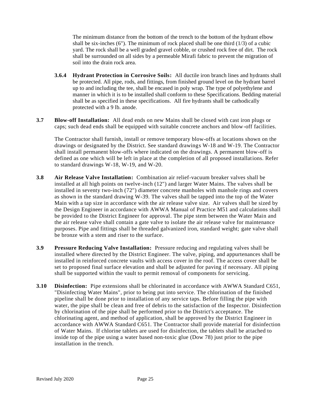The minimum distance from the bottom of the trench to the bottom of the hydrant elbow shall be six-inches (6"). The minimum of rock placed shall be one third  $(1/3)$  of a cubic yard. The rock shall be a well graded gravel cobble, or crushed rock free of dirt. The rock shall be surrounded on all sides by a permeable Mirafi fabric to prevent the migration of soil into the drain rock area.

- **3.6.4 Hydrant Protection in Corrosive Soils:** All ductile iron branch lines and hydrants shall be protected. All pipe, rods, and fittings, from finished ground level on the hydrant barrel up to and including the tee, shall be encased in poly wrap. The type of polyethylene and manner in which it is to be installed shall conform to these Specifications. Bedding material shall be as specified in these specifications. All fire hydrants shall be cathodically protected with a 9 lb. anode.
- **3.7 Blow-off Installation:** All dead ends on new Mains shall be closed with cast iron plugs or caps; such dead ends shall be equipped with suitable concrete anchors and blow-off facilities.

The Contractor shall furnish, install or remove temporary blow-offs at locations shown on the drawings or designated by the District. See standard drawings W-18 and W-19. The Contractor shall install permanent blow-offs where indicated on the drawings. A permanent blow-off is defined as one which will be left in place at the completion of all proposed installations. Refer to standard drawings W-18, W-19, and W-20.

- **3.8 Air Release Valve Installation:** Combination air relief-vacuum breaker valves shall be installed at all high points on twelve-inch (12") and larger Water Mains. The valves shall be installed in seventy two-inch (72") diameter concrete manholes with manhole rings and covers as shown in the standard drawing W-39. The valves shall be tapped into the top of the Water Main with a tap size in accordance with the air release valve size. Air valves shall be sized by the Design Engineer in accordance with AWWA Manual of Practice M51 and calculations shall be provided to the District Engineer for approval. The pipe stem between the Water Main and the air release valve shall contain a gate valve to isolate the air release valve for maintenance purposes. Pipe and fittings shall be threaded galvanized iron, standard weight; gate valve shall be bronze with a stem and riser to the surface.
- **3.9 Pressure Reducing Valve Installation:** Pressure reducing and regulating valves shall be installed where directed by the District Engineer. The valve, piping, and appurtenances shall be installed in reinforced concrete vaults with access cover in the roof. The access cover shall be set to proposed final surface elevation and shall be adjusted for paving if necessary. All piping shall be supported within the vault to permit removal of components for servicing.
- **3.10 Disinfection:** Pipe extensions shall be chlorinated in accordance with AWWA Standard C651, "Disinfecting Water Mains", prior to being put into service. The chlorination of the finished pipeline shall be done prior to installation of any service taps. Before filling the pipe with water, the pipe shall be clean and free of debris to the satisfaction of the Inspector. Disinfection by chlorination of the pipe shall be performed prior to the District's acceptance. The chlorinating agent, and method of application, shall be approved by the District Engineer in accordance with AWWA Standard C651. The Contractor shall provide material for disinfection of Water Mains. If chlorine tablets are used for disinfection, the tablets shall be attached to inside top of the pipe using a water based non-toxic glue (Dow 78) just prior to the pipe installation in the trench.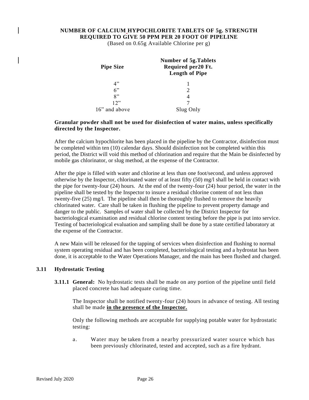### **NUMBER OF CALCIUM HYPOCHLORITE TABLETS OF 5g. STRENGTH REQUIRED TO GIVE 50 PPM PER 20 FOOT OF PIPELINE**

(Based on 0.65g Available Chlorine per g)

| <b>Pipe Size</b> | <b>Number of 5g. Tablets</b><br>Required per20 Ft.<br><b>Length of Pipe</b> |  |  |
|------------------|-----------------------------------------------------------------------------|--|--|
| 4"               |                                                                             |  |  |
| 6"               | 2                                                                           |  |  |
| 8"               | 4                                                                           |  |  |
| 12"              |                                                                             |  |  |
| 16" and above    | Slug Only                                                                   |  |  |

#### **Granular powder shall not be used for disinfection of water mains, unless specifically directed by the Inspector.**

After the calcium hypochlorite has been placed in the pipeline by the Contractor, disinfection must be completed within ten (10) calendar days. Should disinfection not be completed within this period, the District will void this method of chlorination and require that the Main be disinfected by mobile gas chlorinator, or slug method, at the expense of the Contractor.

After the pipe is filled with water and chlorine at less than one foot/second, and unless approved otherwise by the Inspector, chlorinated water of at least fifty (50) mg/l shall be held in contact with the pipe for twenty-four (24) hours. At the end of the twenty-four (24) hour period, the water in the pipeline shall be tested by the Inspector to insure a residual chlorine content of not less than twenty-five (25) mg/l. The pipeline shall then be thoroughly flushed to remove the heavily chlorinated water. Care shall be taken in flushing the pipeline to prevent property damage and danger to the public. Samples of water shall be collected by the District Inspector for bacteriological examination and residual chlorine content testing before the pipe is put into service. Testing of bacteriological evaluation and sampling shall be done by a state certified laboratory at the expense of the Contractor.

A new Main will be released for the tapping of services when disinfection and flushing to normal system operating residual and has been completed, bacteriological testing and a hydrostat has been done, it is acceptable to the Water Operations Manager, and the main has been flushed and charged.

### **3.11 Hydrostatic Testing**

**3.11.1 General:** No hydrostatic tests shall be made on any portion of the pipeline until field placed concrete has had adequate curing time.

The Inspector shall be notified twenty-four (24) hours in advance of testing. All testing shall be made **in the presence of the Inspector.**

Only the following methods are acceptable for supplying potable water for hydrostatic testing:

a. Water may be taken from a nearby pressurized water source which has been previously chlorinated, tested and accepted, such as a fire hydrant.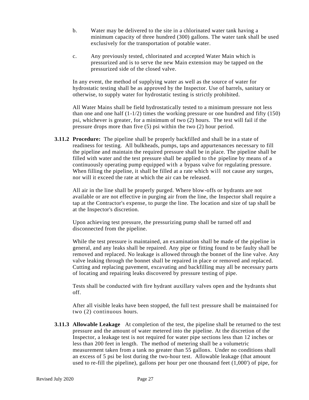- b. Water may be delivered to the site in a chlorinated water tank having a minimum capacity of three hundred (300) gallons. The water tank shall be used exclusively for the transportation of potable water.
- c. Any previously tested, chlorinated and accepted Water Main which is pressurized and is to serve the new Main extension may be tapped on the pressurized side of the closed valve.

In any event, the method of supplying water as well as the source of water for hydrostatic testing shall be as approved by the Inspector. Use of barrels, sanitary or otherwise, to supply water for hydrostatic testing is strictly prohibited.

All Water Mains shall be field hydrostatically tested to a minimum pressure not less than one and one half (1-1/2) times the working pressure or one hundred and fifty (150) psi, whichever is greater, for a minimum of two (2) hours. The test will fail if the pressure drops more than five (5) psi within the two (2) hour period.

**3.11.2 Procedure:** The pipeline shall be properly backfilled and shall be in a state of readiness for testing. All bulkheads, pumps, taps and appurtenances necessary to fill the pipeline and maintain the required pressure shall be in place. The pipeline shall be filled with water and the test pressure shall be applied to the pipeline by means of a continuously operating pump equipped with a bypass valve for regulating pressure. When filling the pipeline, it shall be filled at a rate which will not cause any surges, nor will it exceed the rate at which the air can be released.

All air in the line shall be properly purged. Where blow-offs or hydrants are not available or are not effective in purging air from the line, the Inspector shall require a tap at the Contractor's expense, to purge the line. The location and size of tap shall be at the Inspector's discretion.

Upon achieving test pressure, the pressurizing pump shall be turned off and disconnected from the pipeline.

While the test pressure is maintained, an examination shall be made of the pipeline in general, and any leaks shall be repaired. Any pipe or fitting found to be faulty shall be removed and replaced. No leakage is allowed through the bonnet of the line valve. Any valve leaking through the bonnet shall be repaired in place or removed and replaced. Cutting and replacing pavement, excavating and backfilling may all be necessary parts of locating and repairing leaks discovered by pressure testing of pipe.

Tests shall be conducted with fire hydrant auxillary valves open and the hydrants shut off.

After all visible leaks have been stopped, the full test pressure shall be maintained for two (2) continuous hours.

**3.11.3 Allowable Leakage** At completion of the test, the pipeline shall be returned to the test pressure and the amount of water metered into the pipeline. At the discretion of the Inspector, a leakage test is not required for water pipe sections less than 12 inches or less than 200 feet in length. The method of metering shall be a volumetric measurement taken from a tank no greater than 55 gallons. Under no conditions shall an excess of 5 psi be lost during the two-hour test. Allowable leakage (that amount used to re-fill the pipeline), gallons per hour per one thousand feet (1,000') of pipe, for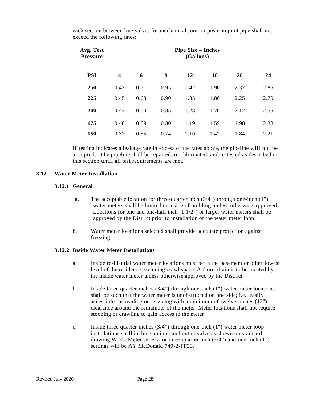each section between line valves for mechanical joint or push-on joint pipe shall not exceed the following rates:

| Avg. Test<br><b>Pressure</b> | <b>Pipe Size – Inches</b><br>(Gallons) |      |      |      |           |      |      |
|------------------------------|----------------------------------------|------|------|------|-----------|------|------|
| <b>PSI</b>                   | $\overline{\mathbf{4}}$                | 6    | 8    | 12   | <b>16</b> | 20   | 24   |
| 250                          | 0.47                                   | 0.71 | 0.95 | 1.42 | 1.90      | 2.37 | 2.85 |
| 225                          | 0.45                                   | 0.68 | 0.90 | 1.35 | 1.80      | 2.25 | 2.70 |
| 200                          | 0.43                                   | 0.64 | 0.85 | 1.28 | 1.70      | 2.12 | 2.55 |
| 175                          | 0.40                                   | 0.59 | 0.80 | 1.19 | 1.59      | 1.98 | 2.38 |
| 150                          | 0.37                                   | 0.55 | 0.74 | 1.10 | 1.47      | 1.84 | 2.21 |

If testing indicates a leakage rate in excess of the rates above, the pipeline will not be accepted. The pipeline shall be repaired, re-chlorinated, and re-tested as described in this section until all test requirements are met.

# **3.12 Water Meter Installation**

# **3.12.1 General**

- a. The acceptable location for three-quarter inch  $(3/4)$  through one-inch  $(1)$ water meters shall be limited to inside of building, unless otherwise approved. Locations for one and one-half inch (1 1/2") or larger water meters shall be approved by the District prior to installation of the water meter loop.
- b. Water meter locations selected shall provide adequate protection against freezing.

### **3.12.2 Inside Water Meter Installations**

- a. Inside residential water meter locations must be in the basement or other lowest level of the residence excluding crawl space. A floor drain is to be located by the inside water meter unless otherwise approved by the District.
- b. Inside three quarter inches (3/4") through one-inch (1") water meter locations shall be such that the water meter is unobstructed on one side; i.e., easily accessible for reading or servicing with a minimum of twelve-inches (12") clearance around the remainder of the meter. Meter locations shall not require stooping or crawling to gain access to the meter.
- c. Inside three quarter inches  $(3/4)$  through one-inch  $(1)$  water meter loop installations shall include an inlet and outlet valve as shown on standard drawing W-35. Meter setters for three quarter inch  $(3/4)$  and one-inch  $(1)$ settings will be AY McDonald 740-2-FF33.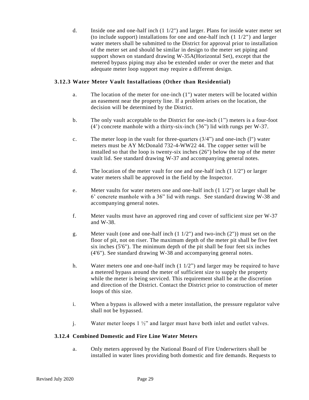d. Inside one and one-half inch  $(1 1/2)$  and larger. Plans for inside water meter set (to include support) installations for one and one-half inch  $(1\ 1/2)$  and larger water meters shall be submitted to the District for approval prior to installation of the meter set and should be similar in design to the meter set piping and support shown on standard drawing W-35A(Horizontal Set), except that the metered bypass piping may also be extended under or over the meter and that adequate meter loop support may require a different design.

# **3.12.3 Water Meter Vault Installations (Other than Residential)**

- a. The location of the meter for one-inch (1") water meters will be located within an easement near the property line. If a problem arises on the location, the decision will be determined by the District.
- b. The only vault acceptable to the District for one-inch (1") meters is a four-foot (4') concrete manhole with a thirty-six-inch (36") lid with rungs per W-37.
- c. The meter loop in the vault for three-quarters  $(3/4)$  and one-inch  $(1)$  water meters must be AY McDonald 732-4-WW22 44. The copper setter will be installed so that the loop is twenty-six inches (26") below the top of the meter vault lid. See standard drawing W-37 and accompanying general notes.
- d. The location of the meter vault for one and one-half inch  $(1\ 1/2)$  or larger water meters shall be approved in the field by the Inspector.
- e. Meter vaults for water meters one and one-half inch  $(1\ 1/2)$  or larger shall be 6' concrete manhole with a 36" lid with rungs. See standard drawing W-38 and accompanying general notes.
- f. Meter vaults must have an approved ring and cover of sufficient size per W-37 and W-38.
- g. Meter vault (one and one-half inch (1 1/2") and two-inch (2")) must set on the floor of pit, not on riser. The maximum depth of the meter pit shall be five feet six inches (5'6"). The minimum depth of the pit shall be four feet six inches (4'6"). See standard drawing W-38 and accompanying general notes.
- h. Water meters one and one-half inch  $(1 1/2)$  and larger may be required to have a metered bypass around the meter of sufficient size to supply the property while the meter is being serviced. This requirement shall be at the discretion and direction of the District. Contact the District prior to construction of meter loops of this size.
- i. When a bypass is allowed with a meter installation, the pressure regulator valve shall not be bypassed.
- j. Water meter loops  $1 \frac{1}{2}$  and larger must have both inlet and outlet valves.

### **3.12.4 Combined Domestic and Fire Line Water Meters**

a. Only meters approved by the National Board of Fire Underwriters shall be installed in water lines providing both domestic and fire demands. Requests to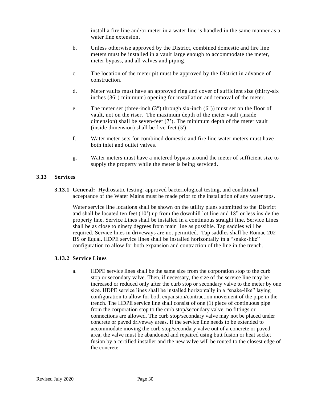install a fire line and/or meter in a water line is handled in the same manner as a water line extension.

- b. Unless otherwise approved by the District, combined domestic and fire line meters must be installed in a vault large enough to accommodate the meter, meter bypass, and all valves and piping.
- c. The location of the meter pit must be approved by the District in advance of construction.
- d. Meter vaults must have an approved ring and cover of sufficient size (thirty-six inches (36") minimum) opening for installation and removal of the meter.
- e. The meter set (three-inch (3") through six-inch (6")) must set on the floor of vault, not on the riser. The maximum depth of the meter vault (inside dimension) shall be seven-feet (7'). The minimum depth of the meter vault (inside dimension) shall be five-feet (5').
- f. Water meter sets for combined domestic and fire line water meters must have both inlet and outlet valves.
- g. Water meters must have a metered bypass around the meter of sufficient size to supply the property while the meter is being serviced.

#### **3.13 Services**

**3.13.1 General:** Hydrostatic testing, approved bacteriological testing, and conditional acceptance of the Water Mains must be made prior to the installation of any water taps.

Water service line locations shall be shown on the utility plans submitted to the District and shall be located ten feet (10') up from the downhill lot line and 18" or less inside the property line. Service Lines shall be installed in a continuous straight line. Service Lines shall be as close to ninety degrees from main line as possible. Tap saddles will be required. Service lines in driveways are not permitted. Tap saddles shall be Romac 202 BS or Equal. HDPE service lines shall be installed horizontally in a "snake-like" configuration to allow for both expansion and contraction of the line in the trench.

### **3.13.2 Service Lines**

a. HDPE service lines shall be the same size from the corporation stop to the curb stop or secondary valve. Then, if necessary, the size of the service line may be increased or reduced only after the curb stop or secondary valve to the meter by one size. HDPE service lines shall be installed horizontally in a "snake-like" laying configuration to allow for both expansion/contraction movement of the pipe in the trench. The HDPE service line shall consist of one (1) piece of continuous pipe from the corporation stop to the curb stop/secondary valve, no fittings or connections are allowed. The curb stop/secondary valve may not be placed under concrete or paved driveway areas. If the service line needs to be extended to accommodate moving the curb stop/secondary valve out of a concrete or paved area, the valve must be abandoned and repaired using butt fusion or heat socket fusion by a certified installer and the new valve will be routed to the closest edge of the concrete.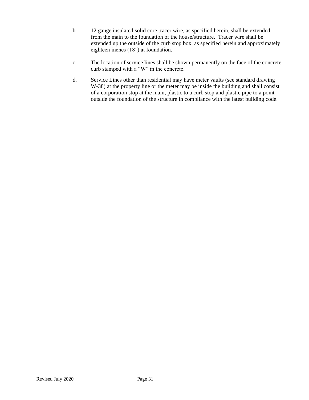- b. 12 gauge insulated solid core tracer wire, as specified herein, shall be extended from the main to the foundation of the house/structure. Tracer wire shall be extended up the outside of the curb stop box, as specified herein and approximately eighteen inches (18") at foundation.
- c. The location of service lines shall be shown permanently on the face of the concrete curb stamped with a "W" in the concrete.
- d. Service Lines other than residential may have meter vaults (see standard drawing W-38) at the property line or the meter may be inside the building and shall consist of a corporation stop at the main, plastic to a curb stop and plastic pipe to a point outside the foundation of the structure in compliance with the latest building code.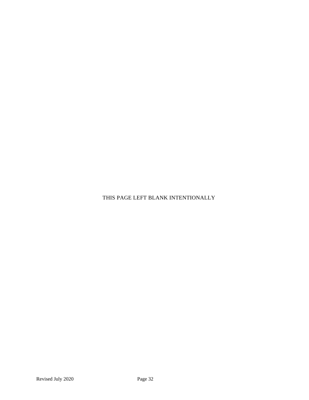THIS PAGE LEFT BLANK INTENTIONALLY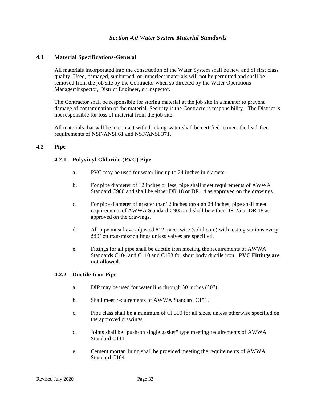# *Section 4.0 Water System Material Standards*

### **4.1 Material Specifications-General**

All materials incorporated into the construction of the Water System shall be new and of first class quality. Used, damaged, sunburned, or imperfect materials will not be permitted and shall be removed from the job site by the Contractor when so directed by the Water Operations Manager/Inspector, District Engineer, or Inspector.

The Contractor shall be responsible for storing material at the job site in a manner to prevent damage of contamination of the material. Security is the Contractor's responsibility. The District is not responsible for loss of material from the job site.

All materials that will be in contact with drinking water shall be certified to meet the lead-free requirements of NSF/ANSI 61 and NSF/ANSI 371.

### **4.2 Pipe**

### **4.2.1 Polyvinyl Chloride (PVC) Pipe**

- a. PVC may be used for water line up to 24 inches in diameter.
- b. For pipe diameter of 12 inches or less, pipe shall meet requirements of AWWA Standard C900 and shall be either DR 18 or DR 14 as approved on the drawings.
- c. For pipe diameter of greater than12 inches through 24 inches, pipe shall meet requirements of AWWA Standard C905 and shall be either DR 25 or DR 18 as approved on the drawings.
- d. All pipe must have adjusted #12 tracer wire (solid core) with testing stations every 550' on transmission lines unless valves are specified.
- e. Fittings for all pipe shall be ductile iron meeting the requirements of AWWA Standards C104 and C110 and C153 for short body ductile iron. **PVC Fittings are not allowed.**

### **4.2.2 Ductile Iron Pipe**

- a. DIP may be used for water line through 30 inches (30").
- b. Shall meet requirements of AWWA Standard C151.
- c. Pipe class shall be a minimum of Cl 350 for all sizes, unless otherwise specified on the approved drawings.
- d. Joints shall be "push-on single gasket" type meeting requirements of AWWA Standard C111.
- e. Cement mortar lining shall be provided meeting the requirements of AWWA Standard C104.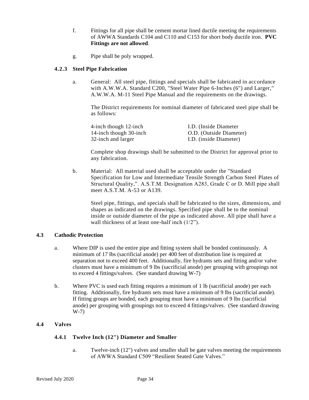- f. Fittings for all pipe shall be cement mortar lined ductile meeting the requirements of AWWA Standards C104 and C110 and C153 for short body ductile iron. **PVC Fittings are not allowed**.
- g. Pipe shall be poly wrapped.

# **4.2.3 Steel Pipe Fabrication**

a. General: All steel pipe, fittings and specials shall be fabricated in accordance with A.W.W.A. Standard C200, "Steel Water Pipe 6-Inches (6") and Larger," A.W.W.A. M-11 Steel Pipe Manual and the requirements on the drawings.

The District requirements for nominal diameter of fabricated steel pipe shall be as follows:

| 4-inch though 12-inch  | I.D. (Inside Diameter   |
|------------------------|-------------------------|
| 14-inch though 30-inch | O.D. (Outside Diameter) |
| 32-inch and larger     | I.D. (inside Diameter)  |

Complete shop drawings shall be submitted to the District for approval prior to any fabrication.

b. Material: All material used shall be acceptable under the "Standard Specification for Low and Intermediate Tensile Strength Carbon Steel Plates of Structural Quality,". A.S.T.M. Designation A283, Grade C or D. Mill pipe shall meet A.S.T.M. A-53 or A139.

Steel pipe, fittings, and specials shall be fabricated to the sizes, dimensions, and shapes as indicated on the drawings. Specified pipe shall be to the nominal inside or outside diameter of the pipe as indicated above. All pipe shall have a wall thickness of at least one-half inch  $(1/2)$ .

### **4.3 Cathodic Protection**

- a. Where DIP is used the entire pipe and fitting system shall be bonded continuously. A minimum of 17 lbs (sacrificial anode) per 400 feet of distribution line is required at separation not to exceed 400 feet. Additionally, fire hydrants sets and fitting and/or valve clusters must have a minimum of 9 lbs (sacrificial anode) per grouping with groupings not to exceed 4 fittings/valves. (See standard drawing W-7)
- b. Where PVC is used each fitting requires a minimum of 1 lb (sacrificial anode) per each fitting. Additionally, fire hydrants sets must have a minimum of 9 lbs (sacrificial anode). If fitting groups are bonded, each grouping must have a minimum of 9 lbs (sacrificial anode) per grouping with groupings not to exceed 4 fittings/valves. (See standard drawing W-7)

# **4.4 Valves**

# **4.4.1 Twelve Inch (12") Diameter and Smaller**

a. Twelve-inch (12") valves and smaller shall be gate valves meeting the requirements of AWWA Standard C509 "Resilient Seated Gate Valves."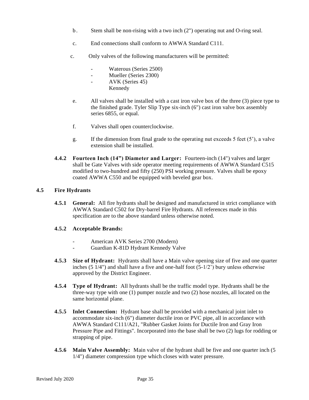- b . Stem shall be non-rising with a two inch (2") operating nut and O-ring seal.
- c. End connections shall conform to AWWA Standard C111.
- c. Only valves of the following manufacturers will be permitted:
	- Waterous (Series 2500)
	- Mueller (Series 2300)
	- AVK (Series 45)
	- Kennedy
- e. All valves shall be installed with a cast iron valve box of the three (3) piece type to the finished grade. Tyler Slip Type six-inch (6") cast iron valve box assembly series 6855, or equal.
- f. Valves shall open counterclockwise.
- g. If the dimension from final grade to the operating nut exceeds 5 feet (5'), a valve extension shall be installed.
- **4.4.2 Fourteen Inch (14") Diameter and Larger:** Fourteen-inch (14") valves and larger shall be Gate Valves with side operator meeting requirements of AWWA Standard C515 modified to two-hundred and fifty (250) PSI working pressure. Valves shall be epoxy coated AWWA C550 and be equipped with beveled gear box.

# **4.5 Fire Hydrants**

**4.5.1 General:** All fire hydrants shall be designed and manufactured in strict compliance with AWWA Standard C502 for Dry-barrel Fire Hydrants. All references made in this specification are to the above standard unless otherwise noted.

### **4.5.2 Acceptable Brands:**

- American AVK Series 2700 (Modern)
- Guardian K-81D Hydrant Kennedy Valve
- **4.5.3 Size of Hydrant:** Hydrants shall have a Main valve opening size of five and one quarter inches (5  $1/4$ ") and shall have a five and one-half foot (5- $1/2$ ") bury unless otherwise approved by the District Engineer.
- **4.5.4 Type of Hydrant:** All hydrants shall be the traffic model type. Hydrants shall be the three-way type with one (1) pumper nozzle and two (2) hose nozzles, all located on the same horizontal plane.
- **4.5.5 Inlet Connection:** Hydrant base shall be provided with a mechanical joint inlet to accommodate six-inch (6") diameter ductile iron or PVC pipe, all in accordance with AWWA Standard C111/A21, "Rubber Gasket Joints for Ductile Iron and Gray Iron Pressure Pipe and Fittings". Incorporated into the base shall be two (2) lugs for rodding or strapping of pipe.
- **4.5.6 Main Valve Assembly:** Main valve of the hydrant shall be five and one quarter inch (5 1/4") diameter compression type which closes with water pressure.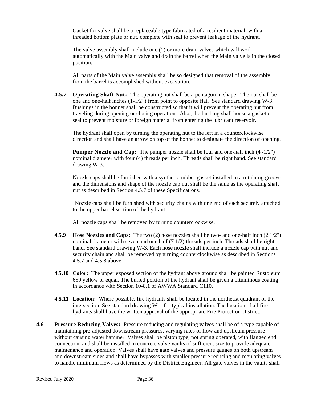Gasket for valve shall be a replaceable type fabricated of a resilient material, with a threaded bottom plate or nut, complete with seal to prevent leakage of the hydrant.

The valve assembly shall include one (1) or more drain valves which will work automatically with the Main valve and drain the barrel when the Main valve is in the closed position.

All parts of the Main valve assembly shall be so designed that removal of the assembly from the barrel is accomplished without excavation.

**4.5.7 Operating Shaft Nut:** The operating nut shall be a pentagon in shape. The nut shall be one and one-half inches  $(1-1/2)$  from point to opposite flat. See standard drawing W-3. Bushings in the bonnet shall be constructed so that it will prevent the operating nut from traveling during opening or closing operation. Also, the bushing shall house a gasket or seal to prevent moisture or foreign material from entering the lubricant reservoir.

The hydrant shall open by turning the operating nut to the left in a counterclockwise direction and shall have an arrow on top of the bonnet to designate the direction of opening.

**Pumper Nozzle and Cap:** The pumper nozzle shall be four and one-half inch  $(4'-1/2")$ nominal diameter with four (4) threads per inch. Threads shall be right hand. See standard drawing W-3.

Nozzle caps shall be furnished with a synthetic rubber gasket installed in a retaining groove and the dimensions and shape of the nozzle cap nut shall be the same as the operating shaft nut as described in Section 4.5.7 of these Specifications.

Nozzle caps shall be furnished with security chains with one end of each securely attached to the upper barrel section of the hydrant.

All nozzle caps shall be removed by turning counterclockwise.

- **4.5.9 Hose Nozzles and Caps:** The two (2) hose nozzles shall be two- and one-half inch (2 1/2") nominal diameter with seven and one half  $(7 \frac{1}{2})$  threads per inch. Threads shall be right hand. See standard drawing W-3. Each hose nozzle shall include a nozzle cap with nut and security chain and shall be removed by turning counterclockwise as described in Sections 4.5.7 and 4.5.8 above.
- **4.5.10 Color:** The upper exposed section of the hydrant above ground shall be painted Rustoleum 659 yellow or equal. The buried portion of the hydrant shall be given a bituminous coating in accordance with Section 10-8.1 of AWWA Standard C110.
- **4.5.11 Location:** Where possible, fire hydrants shall be located in the northeast quadrant of the intersection. See standard drawing W-1 for typical installation. The location of all fire hydrants shall have the written approval of the appropriate Fire Protection District.
- **4.6 Pressure Reducing Valves:** Pressure reducing and regulating valves shall be of a type capable of maintaining pre-adjusted downstream pressures, varying rates of flow and upstream pressure without causing water hammer. Valves shall be piston type, not spring operated, with flanged end connection, and shall be installed in concrete valve vaults of sufficient size to provide adequate maintenance and operation. Valves shall have gate valves and pressure gauges on both upstream and downstream sides and shall have bypasses with smaller pressure reducing and regulating valves to handle minimum flows as determined by the District Engineer. All gate valves in the vaults shall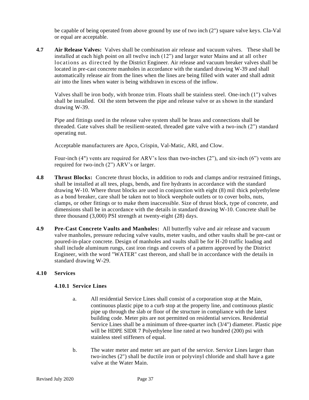be capable of being operated from above ground by use of two inch (2") square valve keys. Cla-Val or equal are acceptable.

**4.7 Air Release Valves:** Valves shall be combination air release and vacuum valves. These shall be installed at each high point on all twelve inch (12") and larger water Mains and at all other locations as directed by the District Engineer. Air release and vacuum breaker valves shall be located in pre-cast concrete manholes in accordance with the standard drawing W-39 and shall automatically release air from the lines when the lines are being filled with water and shall admit air into the lines when water is being withdrawn in excess of the inflow.

Valves shall be iron body, with bronze trim. Floats shall be stainless steel. One-inch (1") valves shall be installed. Oil the stem between the pipe and release valve or as shown in the standard drawing W-39.

Pipe and fittings used in the release valve system shall be brass and connections shall be threaded. Gate valves shall be resilient-seated, threaded gate valve with a two-inch (2") standard operating nut.

Acceptable manufacturers are Apco, Crispin, Val-Matic, ARI, and Clow.

Four-inch  $(4<sup>n</sup>)$  vents are required for ARV's less than two-inches  $(2<sup>n</sup>)$ , and six-inch  $(6<sup>n</sup>)$  vents are required for two-inch (2") ARV's or larger.

- **4.8 Thrust Blocks:** Concrete thrust blocks, in addition to rods and clamps and/or restrained fittings, shall be installed at all tees, plugs, bends, and fire hydrants in accordance with the standard drawing W-10. Where thrust blocks are used in conjunction with eight (8) mil thick polyethylene as a bond breaker, care shall be taken not to block weephole outlets or to cover bolts, nuts, clamps, or other fittings or to make them inaccessible. Size of thrust block, type of concrete, and dimensions shall be in accordance with the details in standard drawing W-10. Concrete shall be three thousand (3,000) PSI strength at twenty-eight (28) days.
- **4.9 Pre-Cast Concrete Vaults and Manholes:** All butterfly valve and air release and vacuum valve manholes, pressure reducing valve vaults, meter vaults, and other vaults shall be pre-cast or poured-in-place concrete. Design of manholes and vaults shall be for H-20 traffic loading and shall include aluminum rungs, cast iron rings and covers of a pattern approved by the District Engineer, with the word "WATER" cast thereon, and shall be in accordance with the details in standard drawing W-29.

### **4.10 Services**

### **4.10.1 Service Lines**

- a. All residential Service Lines shall consist of a corporation stop at the Main, continuous plastic pipe to a curb stop at the property line, and continuous plastic pipe up through the slab or floor of the structure in compliance with the latest building code. Meter pits are not permitted on residential services. Residential Service Lines shall be a minimum of three-quarter inch (3/4") diameter. Plastic pipe will be HDPE SIDR 7 Polyethylene line rated at two hundred (200) psi with stainless steel stiffeners of equal.
- b. The water meter and meter set are part of the service. Service Lines larger than two-inches (2") shall be ductile iron or polyvinyl chloride and shall have a gate valve at the Water Main.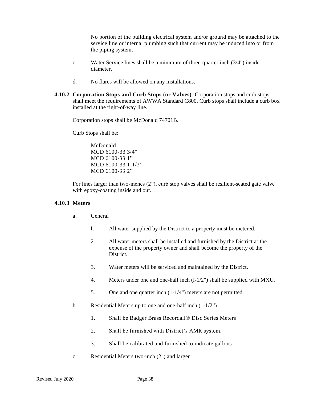No portion of the building electrical system and/or ground may be attached to the service line or internal plumbing such that current may be induced into or from the piping system.

- c. Water Service lines shall be a minimum of three-quarter inch (3/4") inside diameter.
- d. No flares will be allowed on any installations.
- **4.10.2 Corporation Stops and Curb Stops (or Valves)** Corporation stops and curb stops shall meet the requirements of AWWA Standard C800. Curb stops shall include a curb box installed at the right-of-way line.

Corporation stops shall be McDonald 74701B.

Curb Stops shall be:

McDonald MCD 6100-33 3/4" MCD 6100-33 1" MCD 6100-33 1-1/2" MCD 6100-33 2"

For lines larger than two-inches (2"), curb stop valves shall be resilient-seated gate valve with epoxy-coating inside and out.

### **4.10.3 Meters**

- a. General
	- l. All water supplied by the District to a property must be metered.
	- 2. All water meters shall be installed and furnished by the District at the expense of the property owner and shall become the property of the District.
	- 3. Water meters will be serviced and maintained by the District.
	- 4. Meters under one and one-half inch (l-1/2") shall be supplied with MXU.
	- 5. One and one quarter inch (1-1/4") meters are not permitted.
- b. Residential Meters up to one and one-half inch  $(1-1/2)$ ")
	- 1. Shall be Badger Brass Recordall® Disc Series Meters
	- 2. Shall be furnished with District's AMR system.
	- 3. Shall be calibrated and furnished to indicate gallons
- c. Residential Meters two-inch (2") and larger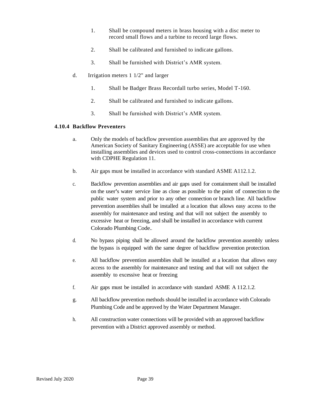- 1. Shall be compound meters in brass housing with a disc meter to record small flows and a turbine to record large flows.
- 2. Shall be calibrated and furnished to indicate gallons.
- 3. Shall be furnished with District's AMR system.
- d. Irrigation meters 1 1/2" and larger
	- 1. Shall be Badger Brass Recordall turbo series, Model T-160.
	- 2. Shall be calibrated and furnished to indicate gallons.
	- 3. Shall be furnished with District's AMR system.

### **4.10.4 Backflow Preventers**

- a. Only the models of backflow prevention assemblies that are approved by the American Society of Sanitary Engineering (ASSE) are acceptable for use when installing assemblies and devices used to control cross-connections in accordance with CDPHE Regulation 11.
- b. Air gaps must be installed in accordance with standard ASME A112.1.2.
- c. Backflow prevention assemblies and air gaps used for containment shall be installed on the user's water service line as close as possible to the point of connection to the public water system and prior to any other connection or branch line. All backflow prevention assemblies shall be installed at a location that allows easy access to the assembly for maintenance and testing and that will not subject the assembly to excessive heat or freezing, and shall be installed in accordance with current Colorado Plumbing Code..
- d. No bypass piping shall be allowed around the backflow prevention assembly unless the bypass is equipped with the same degree of backflow prevention protection.
- e. All backflow prevention assemblies shall be installed at a location that allows easy access to the assembly for maintenance and testing and that will not subject the assembly to excessive heat or freezing
- f. Air gaps must be installed in accordance with standard ASME A 112.1.2.
- g. All backflow prevention methods should be installed in accordance with Colorado Plumbing Code and be approved by the Water Department Manager.
- h. All construction water connections will be provided with an approved backflow prevention with a District approved assembly or method.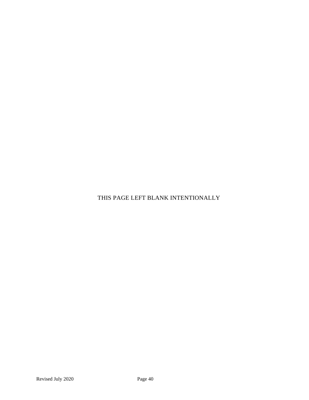THIS PAGE LEFT BLANK INTENTIONALLY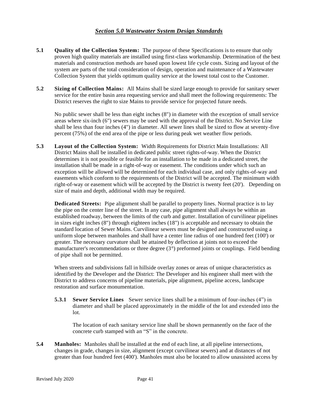# *Section 5.0 Wastewater System Design Standards*

- **5.1 Quality of the Collection System:** The purpose of these Specifications is to ensure that only proven high quality materials are installed using first-class workmanship. Determination of the best materials and construction methods are based upon lowest life cycle costs. Sizing and layout of the system are parts of the total consideration of design, operation and maintenance of a Wastewater Collection System that yields optimum quality service at the lowest total cost to the Customer.
- **5.2 Sizing of Collection Mains:** All Mains shall be sized large enough to provide for sanitary sewer service for the entire basin area requesting service and shall meet the following requirements: The District reserves the right to size Mains to provide service for projected future needs.

No public sewer shall be less than eight inches (8") in diameter with the exception of small service areas where six-inch (6") sewers may be used with the approval of the District. No Service Line shall be less than four inches (4") in diameter. All sewer lines shall be sized to flow at seventy-five percent (75%) of the end area of the pipe or less during peak wet weather flow periods.

**5.3 Layout of the Collection System:** Width Requirements for District Main Installations: All District Mains shall be installed in dedicated public street rights-of-way. When the District determines it is not possible or feasible for an installation to be made in a dedicated street, the installation shall be made in a right-of-way or easement. The conditions under which such an exception will be allowed will be determined for each individual case, and only rights-of-way and easements which conform to the requirements of the District will be accepted. The minimum width right-of-way or easement which will be accepted by the District is twenty feet (20'). Depending on size of main and depth, additional width may be required.

**Dedicated Streets:** Pipe alignment shall be parallel to property lines. Normal practice is to lay the pipe on the center line of the street. In any case, pipe alignment shall always be within an established roadway, between the limits of the curb and gutter. Installation of curvilinear pipelines in sizes eight inches  $(8)$  through eighteen inches  $(18)$  is acceptable and necessary to obtain the standard location of Sewer Mains. Curvilinear sewers must be designed and constructed using a uniform slope between manholes and shall have a center line radius of one hundred feet (100') or greater. The necessary curvature shall be attained by deflection at joints not to exceed the manufacturer's recommendations or three degree (3°) preformed joints or couplings. Field bending of pipe shall not be permitted.

When streets and subdivisions fall in hillside overlay zones or areas of unique characteristics as identified by the Developer and the District: The Developer and his engineer shall meet with the District to address concerns of pipeline materials, pipe alignment, pipeline access, landscape restoration and surface monumentation.

**5.3.1 Sewer Service Lines** Sewer service lines shall be a minimum of four-inches (4") in diameter and shall be placed approximately in the middle of the lot and extended into the lot.

The location of each sanitary service line shall be shown permanently on the face of the concrete curb stamped with an "S" in the concrete.

**5.4 Manholes:** Manholes shall be installed at the end of each line, at all pipeline intersections, changes in grade, changes in size, alignment (except curvilinear sewers) and at distances of not greater than four hundred feet (400'). Manholes must also be located to allow unassisted access by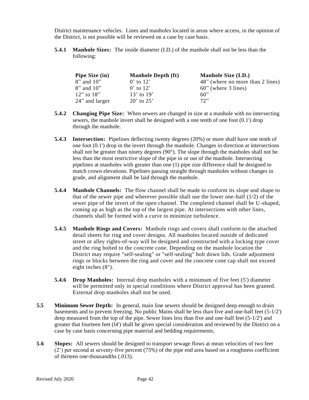District maintenance vehicles. Lines and manholes located in areas where access, in the opinion of the District, is not possible will be reviewed on a case by case basis.

**5.4.1 Manhole Sizes:** The inside diameter (I.D.) of the manhole shall not be less than the following:

| <b>Pipe Size (in)</b> | <b>Manhole Depth (ft)</b> | <b>Manhole Size (I.D.)</b>       |
|-----------------------|---------------------------|----------------------------------|
| $8$ " and $10$ "      | $0'$ to 12'               | 48" (where no more than 2 lines) |
| 8" and 10"            | $0'$ to $12'$             | $60$ " (where 3 lines)           |
| $12"$ to $18"$        | $13'$ to $19'$            | 60"                              |
| 24" and larger        | $20'$ to $25'$            | 72"                              |

- **5.4.2 Changing Pipe Size:** When sewers are changed in size at a manhole with no intersecting sewers, the manhole invert shall be designed with a one tenth of one foot (0.1') drop through the manhole.
- **5.4.3 Intersection:** Pipelines deflecting twenty degrees (20%) or more shall have one tenth of one foot (0.1') drop in the invert through the manhole. Changes in direction at intersections shall not be greater than ninety degrees (90°). The slope through the manholes shall not be less than the most restrictive slope of the pipe in or out of the manhole. Intersecting pipelines at manholes with greater than one (1) pipe size difference shall be designed to match crown elevations. Pipelines passing straight through manholes without changes in grade, and alignment shall be laid through the manhole.
- **5.4.4 Manhole Channels:** The flow channel shall be made to conform its slope and shape to that of the sewer pipe and wherever possible shall use the lower one-half  $(1/2)$  of the sewer pipe of the invert of the open channel. The completed channel shall be U-shaped, coming up as high as the top of the largest pipe. At intersections with other lines, channels shall be formed with a curve to minimize turbulence.
- **5.4.5 Manhole Rings and Covers:** Manhole rings and covers shall conform to the attached detail sheets for ring and cover designs. All manholes located outside of dedicated street or alley rights-of-way will be designed and constructed with a locking type cover and the ring bolted to the concrete cone. Depending on the manhole location the District may require "self-sealing" or "self-sealing" bolt down lids. Grade adjustment rings or blocks between the ring and cover and the concrete cone cap shall not exceed eight inches (8").
- **5.4.6 Drop Manholes:** Internal drop manholes with a minimum of five feet (5') diameter will be permitted only in special conditions where District approval has been granted. External drop manholes shall not be used.
- **5.5 Minimum Sewer Depth:** In general, main line sewers should be designed deep enough to drain basements and to prevent freezing. No public Mains shall be less than five and one-half feet (5-1/2') deep measured from the top of the pipe. Sewer lines less than five and one-half feet (5-1/2') and greater that fourteen feet (l4') shall be given special consideration and reviewed by the District on a case by case basis concerning pipe material and bedding requirements.
- **5.6 Slopes:** All sewers should be designed to transport sewage flows at mean velocities of two feet (2') per second at seventy-five percent (75%) of the pipe end area based on a roughness coefficient of thirteen one-thousandths (.013).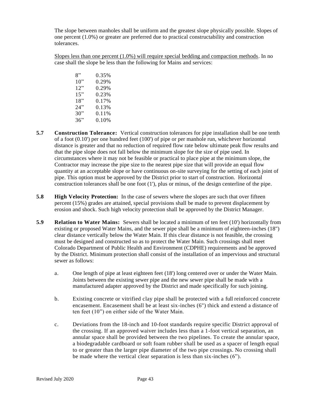The slope between manholes shall be uniform and the greatest slope physically possible. Slopes of one percent (1.0%) or greater are preferred due to practical constructability and construction tolerances.

Slopes less than one percent (1.0%) will require special bedding and compaction methods. In no case shall the slope be less than the following for Mains and services:

8" 0.35%  $10"$  0.29%<br>12" 0.29% 0.29% 15" 0.23% 18" 0.17% 24" 0.13% 30" 0.11% 36" 0.10%

- **5.7 Construction Tolerance:** Vertical construction tolerances for pipe installation shall be one tenth of a foot (0.10') per one hundred feet (100') of pipe or per manhole run, whichever horizontal distance is greater and that no reduction of required flow rate below ultimate peak flow results and that the pipe slope does not fall below the minimum slope for the size of pipe used. In circumstances where it may not be feasible or practical to place pipe at the minimum slope, the Contractor may increase the pipe size to the nearest pipe size that will provide an equal flow quantity at an acceptable slope or have continuous on-site surveying for the setting of each joint of pipe. This option must be approved by the District prior to start of construction. Horizontal construction tolerances shall be one foot (1'), plus or minus, of the design centerline of the pipe.
- **5.8 High Velocity Protection:** In the case of sewers where the slopes are such that over fifteen percent (15%) grades are attained, special provisions shall be made to prevent displacement by erosion and shock. Such high velocity protection shall be approved by the District Manager.
- **5.9 Relation to Water Mains:** Sewers shall be located a minimum of ten feet (10') horizontally from existing or proposed Water Mains, and the sewer pipe shall be a minimum of eighteen-inches (18") clear distance vertically below the Water Main. If this clear distance is not feasible, the crossing must be designed and constructed so as to protect the Water Main. Such crossings shall meet Colorado Department of Public Health and Environment (CDPHE) requirements and be approved by the District. Minimum protection shall consist of the installation of an impervious and structural sewer as follows:
	- a. One length of pipe at least eighteen feet (18') long centered over or under the Water Main. Joints between the existing sewer pipe and the new sewer pipe shall be made with a manufactured adapter approved by the District and made specifically for such joining.
	- b. Existing concrete or vitrified clay pipe shall be protected with a full reinforced concrete encasement. Encasement shall be at least six-inches (6") thick and extend a distance of ten feet (10") on either side of the Water Main.
	- c. Deviations from the 18-inch and 10-foot standards require specific District approval of the crossing. If an approved waiver includes less than a 1-foot vertical separation, an annular space shall be provided between the two pipelines. To create the annular space, a biodegradable cardboard or soft foam rubber shall be used as a spacer of length equal to or greater than the larger pipe diameter of the two pipe crossings. No crossing shall be made where the vertical clear separation is less than six-inches (6").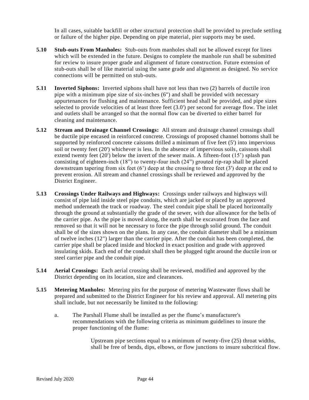In all cases, suitable backfill or other structural protection shall be provided to preclude settling or failure of the higher pipe. Depending on pipe material, pier supports may be used.

- **5.10 Stub-outs From Manholes:** Stub-outs from manholes shall not be allowed except for lines which will be extended in the future. Designs to complete the manhole run shall be submitted for review to insure proper grade and alignment of future construction. Future extension of stub-outs shall be of like material using the same grade and alignment as designed. No service connections will be permitted on stub-outs.
- **5.11 Inverted Siphons:** Inverted siphons shall have not less than two (2) barrels of ductile iron pipe with a minimum pipe size of six-inches (6") and shall be provided with necessary appurtenances for flushing and maintenance. Sufficient head shall be provided, and pipe sizes selected to provide velocities of at least three feet (3.0') per second for average flow. The inlet and outlets shall be arranged so that the normal flow can be diverted to either barrel for cleaning and maintenance.
- **5.12 Stream and Drainage Channel Crossings:** All stream and drainage channel crossings shall be ductile pipe encased in reinforced concrete. Crossings of proposed channel bottoms shall be supported by reinforced concrete caissons drilled a minimum of five feet (5') into impervious soil or twenty feet (20') whichever is less. In the absence of impervious soils, caissons shall extend twenty feet (20') below the invert of the sewer main. A fifteen-foot (15') splash pan consisting of eighteen-inch (18") to twenty-four inch (24") grouted rip-rap shall be placed downstream tapering from six feet  $(6')$  deep at the crossing to three feet  $(3')$  deep at the end to prevent erosion. All stream and channel crossings shall be reviewed and approved by the District Engineer.
- **5.13 Crossings Under Railways and Highways:** Crossings under railways and highways will consist of pipe laid inside steel pipe conduits, which are jacked or placed by an approved method underneath the track or roadway. The steel conduit pipe shall be placed horizontally through the ground at substantially the grade of the sewer, with due allowance for the bells of the carrier pipe. As the pipe is moved along, the earth shall be excavated from the face and removed so that it will not be necessary to force the pipe through solid ground. The conduit shall be of the sizes shown on the plans. In any case, the conduit diameter shall be a minimum of twelve inches (12") larger than the carrier pipe. After the conduit has been completed, the carrier pipe shall be placed inside and blocked in exact position and grade with approved insulating skids. Each end of the conduit shall then be plugged tight around the ductile iron or steel carrier pipe and the conduit pipe.
- **5.14 Aerial Crossings:** Each aerial crossing shall be reviewed, modified and approved by the District depending on its location, size and clearances.
- **5.15 Metering Manholes:** Metering pits for the purpose of metering Wastewater flows shall be prepared and submitted to the District Engineer for his review and approval. All metering pits shall include, but not necessarily be limited to the following:
	- a. The Parshall Flume shall be installed as per the flume's manufacturer's recommendations with the following criteria as minimum guidelines to insure the proper functioning of the flume:

Upstream pipe sections equal to a minimum of twenty-five (25) throat widths, shall be free of bends, dips, elbows, or flow junctions to insure subcritical flow.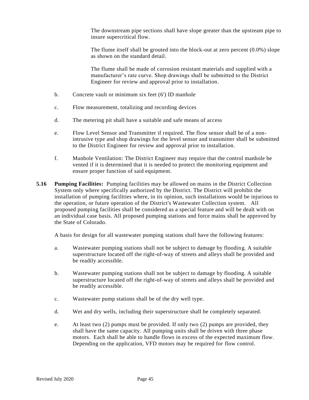The downstream pipe sections shall have slope greater than the upstream pipe to insure supercritical flow.

The flume itself shall be grouted into the block-out at zero percent (0.0%) slope as shown on the standard detail.

The flume shall be made of corrosion resistant materials and supplied with a manufacturer's rate curve. Shop drawings shall be submitted to the District Engineer for review and approval prior to installation.

- b. Concrete vault or minimum six feet (6') ID manhole
- c. Flow measurement, totalizing and recording devices
- d. The metering pit shall have a suitable and safe means of access
- e. Flow Level Sensor and Transmitter if required. The flow sensor shall be of a nonintrusive type and shop drawings for the level sensor and transmitter shall be submitted to the District Engineer for review and approval prior to installation.
- f. Manhole Ventilation: The District Engineer may require that the control manhole be vented if it is determined that it is needed to protect the monitoring equipment and ensure proper function of said equipment.
- **5.16 Pumping Facilities:** Pumping facilities may be allowed on mains in the District Collection System only where specifically authorized by the District. The District will prohibit the installation of pumping facilities where, in its opinion, such installations would be injurious to the operation, or future operation of the District's Wastewater Collection system. All proposed pumping facilities shall be considered as a special feature and will be dealt with on an individual case basis. All proposed pumping stations and force mains shall be approved by the State of Colorado.

A basis for design for all wastewater pumping stations shall have the following features:

- a. Wastewater pumping stations shall not be subject to damage by flooding. A suitable superstructure located off the right-of-way of streets and alleys shall be provided and be readily accessible.
- b. Wastewater pumping stations shall not be subject to damage by flooding. A suitable superstructure located off the right-of-way of streets and alleys shall be provided and be readily accessible.
- c. Wastewater pump stations shall be of the dry well type.
- d. Wet and dry wells, including their superstructure shall be completely separated.
- e. At least two (2) pumps must be provided. If only two (2) pumps are provided, they shall have the same capacity. All pumping units shall be driven with three phase motors. Each shall be able to handle flows in excess of the expected maximum flow. Depending on the application, VFD motors may be required for flow control.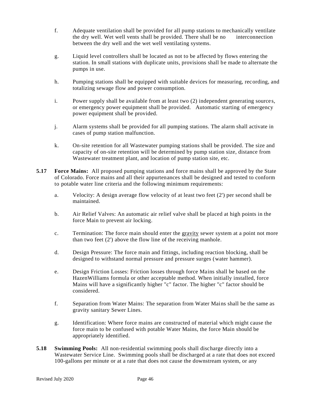- f. Adequate ventilation shall be provided for all pump stations to mechanically ventilate the dry well. Wet well vents shall be provided. There shall be no interconnection between the dry well and the wet well ventilating systems.
- g. Liquid level controllers shall be located as not to be affected by flows entering the station. In small stations with duplicate units, provisions shall be made to alternate the pumps in use.
- h. Pumping stations shall be equipped with suitable devices for measuring, recording, and totalizing sewage flow and power consumption.
- i. Power supply shall be available from at least two (2) independent generating source s, or emergency power equipment shall be provided. Automatic starting of emergency power equipment shall be provided.
- j. Alarm systems shall be provided for all pumping stations. The alarm shall activate in cases of pump station malfunction.
- k. On-site retention for all Wastewater pumping stations shall be provided. The size and capacity of on-site retention will be determined by pump station size, distance from Wastewater treatment plant, and location of pump station site, etc.
- **5.17 Force Mains:** All proposed pumping stations and force mains shall be approved by the State of Colorado. Force mains and all their appurtenances shall be designed and tested to conform to potable water line criteria and the following minimum requirements:
	- a. Velocity: A design average flow velocity of at least two feet (2') per second shall be maintained.
	- b. Air Relief Valves: An automatic air relief valve shall be placed at high points in the force Main to prevent air locking.
	- c. Termination: The force main should enter the gravity sewer system at a point not more than two feet (2') above the flow line of the receiving manhole.
	- d. Design Pressure: The force main and fittings, including reaction blocking, shall be designed to withstand normal pressure and pressure surges (water hammer).
	- e. Design Friction Losses: Friction losses through force Mains shall be based on the HazenWilliams formula or other acceptable method. When initially installed, force Mains will have a significantly higher "c" factor. The higher "c" factor should be considered.
	- f. Separation from Water Mains: The separation from Water Mains shall be the same as gravity sanitary Sewer Lines.
	- g. Identification: Where force mains are constructed of material which might cause the force main to be confused with potable Water Mains, the force Main should be appropriately identified.
- **5.18 Swimming Pools:** All non-residential swimming pools shall discharge directly into a Wastewater Service Line. Swimming pools shall be discharged at a rate that does not exceed 100-gallons per minute or at a rate that does not cause the downstream system, or any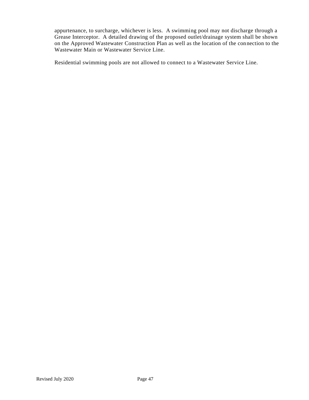appurtenance, to surcharge, whichever is less. A swimming pool may not discharge through a Grease Interceptor. A detailed drawing of the proposed outlet/drainage system shall be shown on the Approved Wastewater Construction Plan as well as the location of the connection to the Wastewater Main or Wastewater Service Line.

Residential swimming pools are not allowed to connect to a Wastewater Service Line.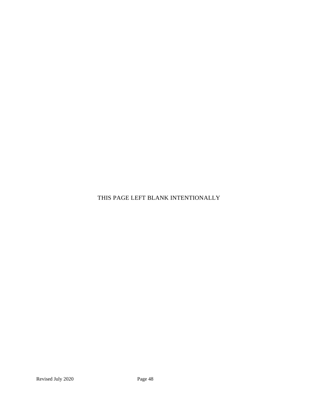THIS PAGE LEFT BLANK INTENTIONALLY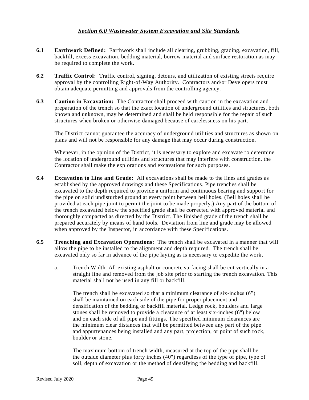# *Section 6.0 Wastewater System Excavation and Site Standards*

- **6.1 Earthwork Defined:** Earthwork shall include all clearing, grubbing, grading, excavation, fill, backfill, excess excavation, bedding material, borrow material and surface restoration as may be required to complete the work.
- **6.2 Traffic Control:** Traffic control, signing, detours, and utilization of existing streets require approval by the controlling Right-of-Way Authority. Contractors and/or Developers must obtain adequate permitting and approvals from the controlling agency.
- **6.3 Caution in Excavation:** The Contractor shall proceed with caution in the excavation and preparation of the trench so that the exact location of underground utilities and structures, both known and unknown, may be determined and shall be held responsible for the repair of such structures when broken or otherwise damaged because of carelessness on his part.

The District cannot guarantee the accuracy of underground utilities and structures as shown on plans and will not be responsible for any damage that may occur during construction.

Whenever, in the opinion of the District, it is necessary to explore and excavate to determine the location of underground utilities and structures that may interfere with construction, the Contractor shall make the explorations and excavations for such purposes.

- **6.4 Excavation to Line and Grade:** All excavations shall be made to the lines and grades as established by the approved drawings and these Specifications. Pipe trenches shall be excavated to the depth required to provide a uniform and continuous bearing and support for the pipe on solid undisturbed ground at every point between bell holes. (Bell holes shall be provided at each pipe joint to permit the joint to be made properly.) Any part of the bottom of the trench excavated below the specified grade shall be corrected with approved material and thoroughly compacted as directed by the District. The finished grade of the trench shall be prepared accurately by means of hand tools. Deviation from line and grade may be allowed when approved by the Inspector, in accordance with these Specifications.
- **6.5 Trenching and Excavation Operations:** The trench shall be excavated in a manner that will allow the pipe to be installed to the alignment and depth required. The trench shall be excavated only so far in advance of the pipe laying as is necessary to expedite the work.
	- a. Trench Width. All existing asphalt or concrete surfacing shall be cut vertically in a straight line and removed from the job site prior to starting the trench excavation. This material shall not be used in any fill or backfill.

The trench shall be excavated so that a minimum clearance of six-inches (6") shall be maintained on each side of the pipe for proper placement and densification of the bedding or backfill material. Ledge rock, boulders and large stones shall be removed to provide a clearance of at least six-inches (6") below and on each side of all pipe and fittings. The specified minimum clearances are the minimum clear distances that will be permitted between any part of the pipe and appurtenances being installed and any part, projection, or point of such rock, boulder or stone.

The maximum bottom of trench width, measured at the top of the pipe shall be the outside diameter plus forty inches (40") regardless of the type of pipe, type of soil, depth of excavation or the method of densifying the bedding and backfill.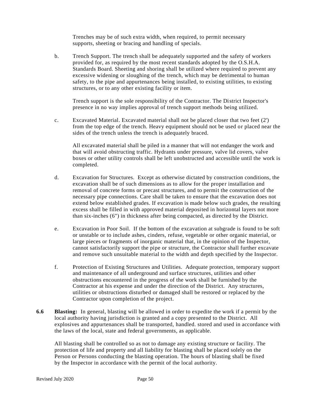Trenches may be of such extra width, when required, to permit necessary supports, sheeting or bracing and handling of specials.

b. Trench Support. The trench shall be adequately supported and the safety of workers provided for, as required by the most recent standards adopted by the O.S.H.A. Standards Board. Sheeting and shoring shall be utilized where required to prevent any excessive widening or sloughing of the trench, which may be detrimental to human safety, to the pipe and appurtenances being installed, to existing utilities, to existing structures, or to any other existing facility or item.

Trench support is the sole responsibility of the Contractor. The District Inspector's presence in no way implies approval of trench support methods being utilized.

c. Excavated Material. Excavated material shall not be placed closer that two feet (2') from the top edge of the trench. Heavy equipment should not be used or placed near the sides of the trench unless the trench is adequately braced.

All excavated material shall be piled in a manner that will not endanger the work and that will avoid obstructing traffic. Hydrants under pressure, valve lid covers, valve boxes or other utility controls shall be left unobstructed and accessible until the work is completed.

- d. Excavation for Structures. Except as otherwise dictated by construction conditions, the excavation shall be of such dimensions as to allow for the proper installation and removal of concrete forms or precast structures, and to permit the construction of the necessary pipe connections. Care shall be taken to ensure that the excavation does not extend below established grades. If excavation is made below such grades, the resulting excess shall be filled in with approved material deposited in horizontal layers not more than six-inches (6") in thickness after being compacted, as directed by the District.
- e. Excavation in Poor Soil. If the bottom of the excavation at subgrade is found to be soft or unstable or to include ashes, cinders, refuse, vegetable or other organic material, or large pieces or fragments of inorganic material that, in the opinion of the Inspector, cannot satisfactorily support the pipe or structure, the Contractor shall further excavate and remove such unsuitable material to the width and depth specified by the Inspector.
- f. Protection of Existing Structures and Utilities. Adequate protection, temporary support and maintenance of all underground and surface structures, utilities and other obstructions encountered in the progress of the work shall be furnished by the Contractor at his expense and under the direction of the District. Any structures, utilities or obstructions disturbed or damaged shall be restored or replaced by the Contractor upon completion of the project.
- **6.6 Blasting:** In general, blasting will be allowed in order to expedite the work if a permit by the local authority having jurisdiction is granted and a copy presented to the District. All explosives and appurtenances shall be transported, handled. stored and used in accordance with the laws of the local, state and federal governments, as applicable.

All blasting shall be controlled so as not to damage any existing structure or facility. The protection of life and property and all liability for blasting shall be placed solely on the Person or Persons conducting the blasting operation. The hours of blasting shall be fixed by the Inspector in accordance with the permit of the local authority.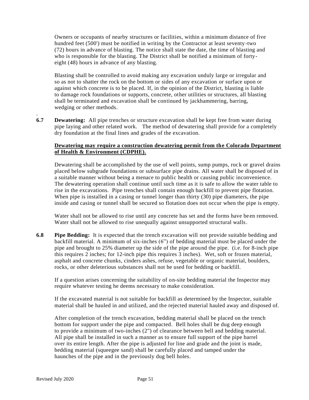Owners or occupants of nearby structures or facilities, within a minimum distance of five hundred feet (500') must be notified in writing by the Contractor at least seventy-two (72) hours in advance of blasting. The notice shall state the date, the time of blasting and who is responsible for the blasting. The District shall be notified a minimum of fortyeight (48) hours in advance of any blasting.

Blasting shall be controlled to avoid making any excavation unduly large or irregular and so as not to shatter the rock on the bottom or sides of any excavation or surface upon or against which concrete is to be placed. If, in the opinion of the District, blasting is liable to damage rock foundations or supports, concrete, other utilities or structures, all blasting shall be terminated and excavation shall be continued by jackhammering, barring, wedging or other methods.

**6.7 Dewatering:** All pipe trenches or structure excavation shall be kept free from water during pipe laying and other related work. The method of dewatering shall provide for a completely dry foundation at the final lines and grades of the excavation.

# **Dewatering may require a construction dewatering permit from the Colorado Department of Health & Environment (CDPHE).**

Dewatering shall be accomplished by the use of well points, sump pumps, rock or gravel drains placed below subgrade foundations or subsurface pipe drains. All water shall be disposed of in a suitable manner without being a menace to public health or causing public inconvenience. The dewatering operation shall continue until such time as it is safe to allow the water table to rise in the excavations. Pipe trenches shall contain enough backfill to prevent pipe flotation. When pipe is installed in a casing or tunnel longer than thirty (30) pipe diameters, the pipe inside and casing or tunnel shall be secured so flotation does not occur when the pipe is empty.

Water shall not be allowed to rise until any concrete has set and the forms have been removed. Water shall not be allowed to rise unequally against unsupported structural walls.

**6.8 Pipe Bedding:** It is expected that the trench excavation will not provide suitable bedding and backfill material. A minimum of six-inches (6") of bedding material must be placed under the pipe and brought to 25% diameter up the side of the pipe around the pipe. (i.e. for 8-inch pipe this requires 2 inches; for 12-inch pipe this requires 3 inches). Wet, soft or frozen material, asphalt and concrete chunks, cinders ashes, refuse, vegetable or organic material, boulders, rocks, or other deleterious substances shall not be used for bedding or backfill.

If a question arises concerning the suitability of on-site bedding material the Inspector may require whatever testing he deems necessary to make consideration.

If the excavated material is not suitable for backfill as determined by the Inspector, suitable material shall be hauled in and utilized, and the rejected material hauled away and disposed of.

After completion of the trench excavation, bedding material shall be placed on the trench bottom for support under the pipe and compacted. Bell holes shall be dug deep enough to provide a minimum of two-inches (2") of clearance between bell and bedding material. All pipe shall be installed in such a manner as to ensure full support of the pipe barrel over its entire length. After the pipe is adjusted for line and grade and the joint is made, bedding material (squeegee sand) shall be carefully placed and tamped under the haunches of the pipe and in the previously dug bell holes.

.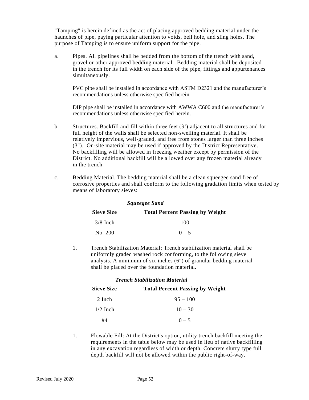"Tamping" is herein defined as the act of placing approved bedding material under the haunches of pipe, paying particular attention to voids, bell hole, and sling holes. The purpose of Tamping is to ensure uniform support for the pipe.

a. Pipes. All pipelines shall be bedded from the bottom of the trench with sand, gravel or other approved bedding material. Bedding material shall be deposited in the trench for its full width on each side of the pipe, fittings and appurtenances simultaneously.

PVC pipe shall be installed in accordance with ASTM D2321 and the manufacturer's recommendations unless otherwise specified herein.

DIP pipe shall be installed in accordance with AWWA C600 and the manufacturer's recommendations unless otherwise specified herein.

- b. Structures. Backfill and fill within three feet (3') adjacent to all structures and for full height of the walls shall be selected non-swelling material. It shall be relatively impervious, well-graded, and free from stones larger than three inches (3"). On-site material may be used if approved by the District Representative. No backfilling will be allowed in freezing weather except by permission of the District. No additional backfill will be allowed over any frozen material already in the trench.
- c. Bedding Material. The bedding material shall be a clean squeegee sand free of corrosive properties and shall conform to the following gradation limits when tested by means of laboratory sieves:

|                   | <i>Squeegee Sand</i>                   |
|-------------------|----------------------------------------|
| <b>Sieve Size</b> | <b>Total Percent Passing by Weight</b> |
| $3/8$ Inch        | 100                                    |
| No. 200           | $0 - 5$                                |

1. Trench Stabilization Material: Trench stabilization material shall be uniformly graded washed rock conforming, to the following sieve analysis. A minimum of six inches (6") of granular bedding material shall be placed over the foundation material.

### *Trench Stabilization Material*

| <b>Sieve Size</b> | <b>Total Percent Passing by Weight</b> |
|-------------------|----------------------------------------|
| 2 Inch            | $95 - 100$                             |
| $1/2$ Inch        | $10 - 30$                              |
| #4                | $0 - 5$                                |

1. Flowable Fill: At the District's option, utility trench backfill meeting the requirements in the table below may be used in lieu of native backfilling in any excavation regardless of width or depth. Concrete slurry type full depth backfill will not be allowed within the public right-of-way.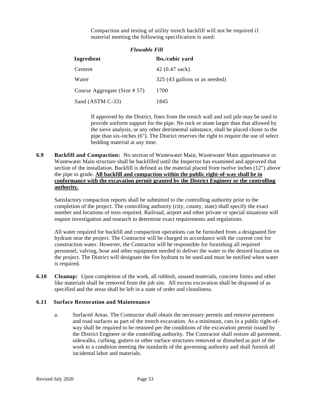Compaction and testing of utility trench backfill will not be required if material meeting the following specification is used:

| <b>Flowable Fill</b>            |                               |  |  |
|---------------------------------|-------------------------------|--|--|
| Ingredient                      | lbs./cubic yard               |  |  |
| Cement                          | 42 (0.47 sack)                |  |  |
| Water                           | 325 (43 gallons or as needed) |  |  |
| Course Aggregate (Size $# 57$ ) | 1700                          |  |  |
| Sand (ASTM C-33)                | 1845                          |  |  |

If approved by the District, fines from the trench wall and soil pile may be used to provide uniform support for the pipe. No rock or stone larger than that allowed by the sieve analysis, or any other detrimental substance, shall be placed closer to the pipe than six-inches (6"). The District reserves the right to require the use of select bedding material at any time.

**6.9 Backfill and Compaction:** No section of Wastewater Main, Wastewater Main appurtenance or Wastewater Main structure shall be backfilled until the Inspector has examined and approved that section of the installation. Backfill is defined as the material placed from twelve inches (12") above the pipe to grade. **All backfill and compaction within the public right-of-way shall be in conformance with the excavation permit granted by the District Engineer or the controlling authority.**

Satisfactory compaction reports shall be submitted to the controlling authority prior to the completion of the project. The controlling authority (city, county, state) shall specify the exact number and locations of tests required. Railroad, airport and other private or special situations will require investigation and research to determine exact requirements and regulations.

All water required for backfill and compaction operations can be furnished from a designated fire hydrant near the project. The Contractor will be charged in accordance with the current cost for construction water. However, the Contractor will be responsible for furnishing all required personnel, valving, hose and other equipment needed to deliver the water to the desired location on the project. The District will designate the fire hydrant to be used and must be notified when water is required.

**6.10 Cleanup:** Upon completion of the work, all rubbish, unused materials, concrete forms and other like materials shall be removed from the job site. All excess excavation shall be disposed of as specified and the areas shall be left in a state of order and cleanliness.

#### **6.11 Surface Restoration and Maintenance**

a. Surfaced Areas. The Contractor shall obtain the necessary permits and remove pavement and road surfaces as part of the trench excavation. As a minimum, cuts in a public right-ofway shall be required to be restored per the conditions of the excavation permit issued by the District Engineer or the controlling authority. The Contractor shall restore all pavement, sidewalks, curbing, gutters or other surface structures removed or disturbed as part of the work to a condition meeting the standards of the governing authority and shall furnish all incidental labor and materials.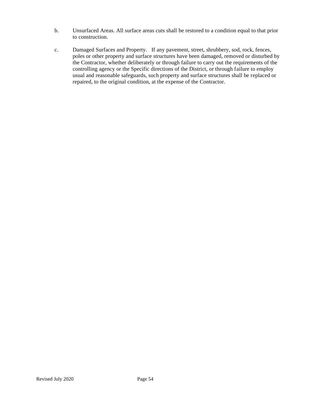- b. Unsurfaced Areas. All surface areas cuts shall be restored to a condition equal to that prior to construction.
- c. Damaged Surfaces and Property. If any pavement, street, shrubbery, sod, rock, fences, poles or other property and surface structures have been damaged, removed or disturbed by the Contractor, whether deliberately or through failure to carry out the requirements of the controlling agency or the Specific directions of the District, or through failure to employ usual and reasonable safeguards, such property and surface structures shall be replaced or repaired, to the original condition, at the expense of the Contractor.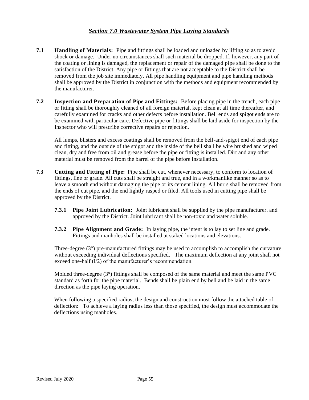# *Section 7.0 Wastewater System Pipe Laying Standards*

- **7.1 Handling of Materials:** Pipe and fittings shall be loaded and unloaded by lifting so as to avoid shock or damage. Under no circumstances shall such material be dropped. If, however, any part of the coating or lining is damaged, the replacement or repair of the damaged pipe shall be done to the satisfaction of the District. Any pipe or fittings that are not acceptable to the District shall be removed from the job site immediately. All pipe handling equipment and pipe handling methods shall be approved by the District in conjunction with the methods and equipment recommended by the manufacturer.
- **7.2 Inspection and Preparation of Pipe and Fittings:** Before placing pipe in the trench, each pipe or fitting shall be thoroughly cleaned of all foreign material, kept clean at all time thereafter, and carefully examined for cracks and other defects before installation. Bell ends and spigot ends are to be examined with particular care. Defective pipe or fittings shall be laid aside for inspection by the Inspector who will prescribe corrective repairs or rejection.

All lumps, blisters and excess coatings shall be removed from the bell-and-spigot end of each pipe and fitting, and the outside of the spigot and the inside of the bell shall be wire brushed and wiped clean, dry and free from oil and grease before the pipe or fitting is installed. Dirt and any other material must be removed from the barrel of the pipe before installation.

- **7.3 Cutting and Fitting of Pipe:** Pipe shall be cut, whenever necessary, to conform to location of fittings, line or grade. All cuts shall be straight and true, and in a workmanlike manner so as to leave a smooth end without damaging the pipe or its cement lining. All burrs shall be removed from the ends of cut pipe, and the end lightly rasped or filed. All tools used in cutting pipe shall be approved by the District.
	- **7.3.1 Pipe Joint Lubrication:** Joint lubricant shall be supplied by the pipe manufacturer, and approved by the District. Joint lubricant shall be non-toxic and water soluble.
	- **7.3.2 Pipe Alignment and Grade:** In laying pipe, the intent is to lay to set line and grade. Fittings and manholes shall be installed at staked locations and elevations.

Three-degree (3°) pre-manufactured fittings may be used to accomplish to accomplish the curvature without exceeding individual deflections specified. The maximum deflection at any joint shall not exceed one-half ( $1/2$ ) of the manufacturer's recommendation.

Molded three-degree  $(3^{\circ})$  fittings shall be composed of the same material and meet the same PVC standard as forth for the pipe material. Bends shall be plain end by bell and be laid in the same direction as the pipe laying operation.

When following a specified radius, the design and construction must follow the attached table of deflection: To achieve a laying radius less than those specified, the design must accommodate the deflections using manholes.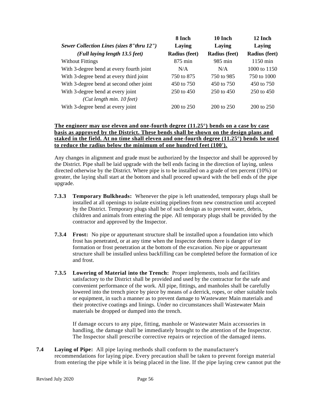|                                           | 8 Inch               | 10 Inch              | 12 Inch              |
|-------------------------------------------|----------------------|----------------------|----------------------|
| Sewer Collection Lines (sizes 8"thru 12") | Laying               | Laying               | Laying               |
| (Full laying length 13.5 feet)            | <b>Radius (feet)</b> | <b>Radius (feet)</b> | <b>Radius (feet)</b> |
| <b>Without Fittings</b>                   | $875 \text{ min}$    | 985 min              | $1150 \text{ min}$   |
| With 3-degree bend at every fourth joint  | N/A                  | N/A                  | 1000 to 1150         |
| With 3-degree bend at every third joint   | 750 to 875           | 750 to 985           | 750 to 1000          |
| With 3-degree bend at second other joint  | 450 to 750           | 450 to 750           | 450 to 750           |
| With 3-degree bend at every joint         | 250 to 450           | 250 to $450$         | 250 to $450$         |
| (Cut length min. 10 feet)                 |                      |                      |                      |
| With 3-degree bend at every joint         | 200 to 250           | 200 to 250           | 200 to 250           |

# **The engineer may use eleven and one-fourth degree (11.25°) bends on a case by case basis as approved by the District. These bends shall be shown on the design plans and staked in the field. At no time shall eleven and one-fourth degree (11.25°) bends be used to reduce the radius below the minimum of one hundred feet (100').**

Any changes in alignment and grade must be authorized by the Inspector and shall be approved by the District. Pipe shall be laid upgrade with the bell ends facing in the direction of laying, unless directed otherwise by the District. Where pipe is to be installed on a grade of ten percent (10%) or greater, the laying shall start at the bottom and shall proceed upward with the bell ends of the pipe upgrade.

- **7.3.3 Temporary Bulkheads:** Whenever the pipe is left unattended, temporary plugs shall be installed at all openings to isolate existing pipelines from new construction until accepted by the District. Temporary plugs shall be of such design as to prevent water, debris, children and animals from entering the pipe. All temporary plugs shall be provided by the contractor and approved by the Inspector.
- **7.3.4 Frost:** No pipe or appurtenant structure shall be installed upon a foundation into which frost has penetrated, or at any time when the Inspector deems there is danger of ice formation or frost penetration at the bottom of the excavation. No pipe or appurtenant structure shall be installed unless backfilling can be completed before the formation of ice and frost.
- **7.3.5 Lowering of Material into the Trench:** Proper implements, tools and facilities satisfactory to the District shall be provided and used by the contractor for the safe and convenient performance of the work. All pipe, fittings, and manholes shall be carefully lowered into the trench piece by piece by means of a derrick, ropes, or other suitable tools or equipment, in such a manner as to prevent damage to Wastewater Main materials and their protective coatings and linings. Under no circumstances shall Wastewater Main materials be dropped or dumped into the trench.

If damage occurs to any pipe, fitting, manhole or Wastewater Main accessories in handling, the damage shall be immediately brought to the attention of the Inspector. The Inspector shall prescribe corrective repairs or rejection of the damaged items.

**7.4 Laying of Pipe:** All pipe laying methods shall conform to the manufacturer's recommendations for laying pipe. Every precaution shall be taken to prevent foreign material from entering the pipe while it is being placed in the line. If the pipe laying crew cannot put the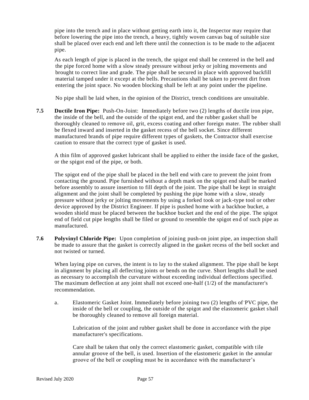pipe into the trench and in place without getting earth into it, the Inspector may require that before lowering the pipe into the trench, a heavy, tightly woven canvas bag of suitable size shall be placed over each end and left there until the connection is to be made to the adjacent pipe.

As each length of pipe is placed in the trench, the spigot end shall be centered in the bell and the pipe forced home with a slow steady pressure without jerky or jolting movements and brought to correct line and grade. The pipe shall be secured in place with approved backfill material tamped under it except at the bells. Precautions shall be taken to prevent dirt from entering the joint space. No wooden blocking shall be left at any point under the pipeline.

No pipe shall be laid when, in the opinion of the District, trench conditions are unsuitable.

**7.5 Ductile Iron Pipe:** Push-On-Joint: Immediately before two (2) lengths of ductile iron pipe, the inside of the bell, and the outside of the spigot end, and the rubber gasket shall be thoroughly cleaned to remove oil, grit, excess coating and other foreign mater. The rubber shall be flexed inward and inserted in the gasket recess of the bell socket. Since different manufactured brands of pipe require different types of gaskets, the Contractor shall exercise caution to ensure that the correct type of gasket is used.

A thin film of approved gasket lubricant shall be applied to either the inside face of the gasket, or the spigot end of the pipe, or both.

The spigot end of the pipe shall be placed in the bell end with care to prevent the joint from contacting the ground. Pipe furnished without a depth mark on the spigot end shall be marked before assembly to assure insertion to fill depth of the joint. The pipe shall be kept in straight alignment and the joint shall be completed by pushing the pipe home with a slow, steady pressure without jerky or jolting movements by using a forked took or jack-type tool or other device approved by the District Engineer. If pipe is pushed home with a backhoe bucket, a wooden shield must be placed between the backhoe bucket and the end of the pipe. The spigot end of field cut pipe lengths shall be filed or ground to resemble the spigot end of such pipe as manufactured.

**7.6 Polyvinyl Chloride Pipe:** Upon completion of joining push-on joint pipe, an inspection shall be made to assure that the gasket is correctly aligned in the gasket recess of the bell socket and not twisted or turned.

When laying pipe on curves, the intent is to lay to the staked alignment. The pipe shall be kept in alignment by placing all deflecting joints or bends on the curve. Short lengths shall be used as necessary to accomplish the curvature without exceeding individual deflections specified. The maximum deflection at any joint shall not exceed one-half (1/2) of the manufacturer's recommendation.

a. Elastomeric Gasket Joint. Immediately before joining two (2) lengths of-PVC pipe, the inside of the bell or coupling, the outside of the spigot and the elastomeric gasket s hall be thoroughly cleaned to remove all foreign material.

Lubrication of the joint and rubber gasket shall be done in accordance with the pipe manufacturer's specifications.

Care shall be taken that only the correct elastomeric gasket, compatible with tile annular groove of the bell, is used. Insertion of the elastomeric gasket in the annular groove of the bell or coupling must be in accordance with the manufacturer's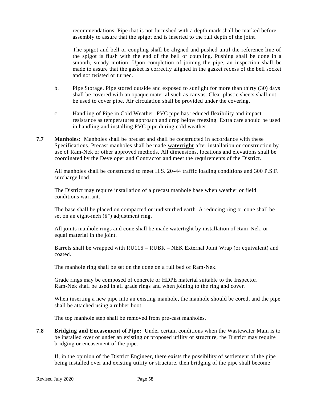recommendations. Pipe that is not furnished with a depth mark shall be marked before assembly to assure that the spigot end is inserted to the full depth of the joint.

The spigot and bell or coupling shall be aligned and pushed until the reference line of the spigot is flush with the end of the bell or coupling. Pushing shall be done in a smooth, steady motion. Upon completion of joining the pipe, an inspection shall be made to assure that the gasket is correctly aligned in the gasket recess of the bell socket and not twisted or turned.

- b. Pipe Storage. Pipe stored outside and exposed to sunlight for more than thirty (30) days shall be covered with an opaque material such as canvas. Clear plastic sheets shall not be used to cover pipe. Air circulation shall be provided under the covering.
- c. Handling of Pipe in Cold Weather. PVC pipe has reduced flexibility and impact resistance as temperatures approach and drop below freezing. Extra care should be used in handling and installing PVC pipe during cold weather.
- **7.7 Manholes:** Manholes shall be precast and shall be constructed in accordance with these Specifications. Precast manholes shall be made **watertight** after installation or construction by use of Ram-Nek or other approved methods. All dimensions, locations and elevations shall be coordinated by the Developer and Contractor and meet the requirements of the District.

All manholes shall be constructed to meet H.S. 20-44 traffic loading conditions and 300 P.S.F. surcharge load.

The District may require installation of a precast manhole base when weather or field conditions warrant.

The base shall be placed on compacted or undisturbed earth. A reducing ring or cone shall be set on an eight-inch (8") adjustment ring.

All joints manhole rings and cone shall be made watertight by installation of Ram-Nek, or equal material in the joint.

Barrels shall be wrapped with RU116 – RUBR – NEK External Joint Wrap (or equivalent) and coated.

The manhole ring shall be set on the cone on a full bed of Ram-Nek.

Grade rings may be composed of concrete or HDPE material suitable to the Inspector. Ram-Nek shall be used in all grade rings and when joining to the ring and cover.

When inserting a new pipe into an existing manhole, the manhole should be cored, and the pipe shall be attached using a rubber boot.

The top manhole step shall be removed from pre-cast manholes.

**7.8 Bridging and Encasement of Pipe:** Under certain conditions when the Wastewater Main is to be installed over or under an existing or proposed utility or structure, the District may require bridging or encasement of the pipe.

If, in the opinion of the District Engineer, there exists the possibility of settlement of the pipe being installed over and existing utility or structure, then bridging of the pipe shall become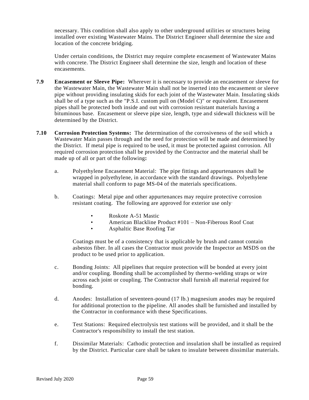necessary. This condition shall also apply to other underground utilities or structures being installed over existing Wastewater Mains. The District Engineer shall determine the size a nd location of the concrete bridging.

Under certain conditions, the District may require complete encasement of Wastewater Mains with concrete. The District Engineer shall determine the size, length and location of these encasements.

- **7.9 Encasement or Sleeve Pipe:** Wherever it is necessary to provide an encasement or sleeve for the Wastewater Main, the Wastewater Main shall not be inserted into the encasement or sleeve pipe without providing insulating skids for each joint of the Wastewater Main. Insula ting skids shall be of a type such as the "P.S.I. custom pull on (Model C)" or equivalent. Encasement pipes shall be protected both inside and out with corrosion resistant materials having a bituminous base. Encasement or sleeve pipe size, length, type and sidewall thickness will be determined by the District.
- **7.10 Corrosion Protection Systems:** The determination of the corrosiveness of the soil which a Wastewater Main passes through and the need for protection will be made and determined by the District. If metal pipe is required to be used, it must be protected against corrosion. All required corrosion protection shall be provided by the Contractor and the material shall be made up of all or part of the following**:**
	- a. Polyethylene Encasement Material: The pipe fittings and appurtenances shall be wrapped in polyethylene, in accordance with the standard drawings. Polyethylene material shall conform to page MS-04 of the materials specifications.
	- b. Coatings: Metal pipe and other appurtenances may require protective corrosion resistant coating. The following are approved for exterior use only.
		- Roskote A-51 Mastic
		- American Blackline Product #101 Non-Fiberous Roof Coat
		- Asphaltic Base Roofing Tar

Coatings must be of a consistency that is applicable by brush and cannot contain asbestos fiber. In all cases the Contractor must provide the Inspector an MSDS on the product to be used prior to application.

- c. Bonding Joints: All pipelines that require protection will be bonded at every joint and/or coupling. Bonding shall be accomplished by thermo-welding straps or wire across each joint or coupling. The Contractor shall furnish all material required for bonding.
- d. Anodes: Installation of seventeen-pound (17 lb.) magnesium anodes may be required for additional protection to the pipeline. All anodes shall be furnished and installed by the Contractor in conformance with these Specifications.
- e. Test Stations: Required electrolysis test stations will be provided, and it shall be the Contractor's responsibility to install the test station.
- f. Dissimilar Materials: Cathodic protection and insulation shall be installed as required by the District. Particular care shall be taken to insulate between dissimilar materials.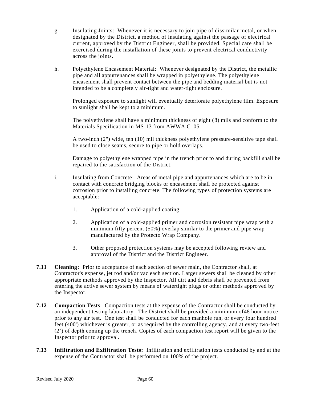- g. Insulating Joints: Whenever it is necessary to join pipe of dissimilar metal, or when designated by the District, a method of insulating against the passage of electrical current, approved by the District Engineer, shall be provided. Special care shall be exercised during the installation of these joints to prevent electrical conductivity across the joints.
- h. Polyethylene Encasement Material: Whenever designated by the District, the metallic pipe and all appurtenances shall be wrapped in polyethylene. The polyethylene encasement shall prevent contact between the pipe and bedding material but is not intended to be a completely air-tight and water-tight enclosure.

Prolonged exposure to sunlight will eventually deteriorate polyethylene film. Exposure to sunlight shall be kept to a minimum.

The polyethylene shall have a minimum thickness of eight (8) mils and conform to the Materials Specification in MS-13 from AWWA C105.

A two-inch (2") wide, ten (10) mil thickness polyethylene pressure-sensitive tape shall be used to close seams, secure to pipe or hold overlaps.

Damage to polyethylene wrapped pipe in the trench prior to and during backfill shall be repaired to the satisfaction of the District.

- i. Insulating from Concrete: Areas of metal pipe and appurtenances which are to be in contact with concrete bridging blocks or encasement shall be protected against corrosion prior to installing concrete. The following types of protection systems are acceptable:
	- 1. Application of a cold-applied coating.
	- 2. Application of a cold-applied primer and corrosion resistant pipe wrap with a minimum fifty percent (50%) overlap similar to the primer and pipe wrap manufactured by the Protecto Wrap Company.
	- 3. Other proposed protection systems may be accepted following review and approval of the District and the District Engineer.
- **7.11 Cleaning:** Prior to acceptance of each section of sewer main, the Contractor shall, at Contractor's expense, jet rod and/or vac each section. Larger sewers shall be cleaned by other appropriate methods approved by the Inspector. All dirt and debris shall be prevented from entering the active sewer system by means of watertight plugs or other methods approved by the Inspector.
- **7.12 Compaction Tests** Compaction tests at the expense of the Contractor shall be conducted by an independent testing laboratory. The District shall be provided a minimum of48 hour notice prior to any air test. One test shall be conducted for each manhole run, or every four hundred feet (400') whichever is greater, or as required by the controlling agency, and at every two-feet (2') of depth coming up the trench. Copies of each compaction test report will be given to the Inspector prior to approval.
- **7.13 Infiltration and Exfiltration Tests:** Infiltration and exfiltration tests conducted by and at the expense of the Contractor shall be performed on 100% of the project.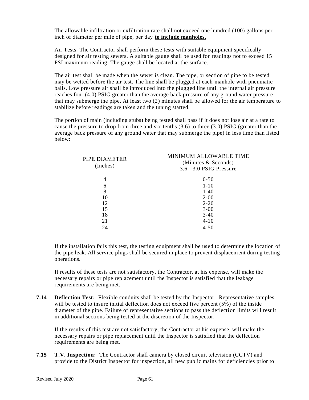The allowable infiltration or exfiltration rate shall not exceed one hundred (100) gallons per inch of diameter per mile of pipe, per day **to include manholes.**

Air Tests: The Contractor shall perform these tests with suitable equipment specifically designed for air testing sewers. A suitable gauge shall be used for readings not to exceed 15 PSI maximum reading. The gauge shall be located at the surface.

The air test shall be made when the sewer is clean. The pipe, or section of pipe to be tested may be wetted before the air test. The line shall be plugged at each manhole with pneumatic balls. Low pressure air shall be introduced into the plugged line until the internal air pressure reaches four (4.0) PSIG greater than the average back pressure of any ground water pressure that may submerge the pipe. At least two (2) minutes shall be allowed for the air temperature to stabilize before readings are taken and the tuning started.

The portion of main (including stubs) being tested shall pass if it does not lose air at a rate to cause the pressure to drop from three and six-tenths (3.6) to three (3.0) PSIG (greater than the average back pressure of any ground water that may submerge the pipe) in less time than listed below:

| PIPE DIAMETER<br>(Inches) | MINIMUM ALLOWABLE TIME<br>(Minutes & Seconds)<br>3.6 - 3.0 PSIG Pressure |
|---------------------------|--------------------------------------------------------------------------|
| 4                         | $0 - 50$                                                                 |
| 6                         | $1 - 10$                                                                 |
| 8                         | $1-40$                                                                   |
| 10                        | $2 - 00$                                                                 |
| 12                        | $2 - 20$                                                                 |
| 15                        | $3 - 00$                                                                 |
| 18                        | $3 - 40$                                                                 |
| 21                        | $4 - 10$                                                                 |
| 24                        | $4 - 50$                                                                 |
|                           |                                                                          |

If the installation fails this test, the testing equipment shall be used to determine the location of the pipe leak. All service plugs shall be secured in place to prevent displacement during testing operations.

If results of these tests are not satisfactory, the Contractor, at his expense, will make the necessary repairs or pipe replacement until the Inspector is satisfied that the leakage requirements are being met.

**7.14 Deflection Test:** Flexible conduits shall be tested by the Inspector. Representative samples will be tested to insure initial deflection does not exceed five percent (5%) of the inside diameter of the pipe. Failure of representative sections to pass the deflection limits will result in additional sections being tested at the discretion of the Inspector.

If the results of this test are not satisfactory, the Contractor at his expense, will make the necessary repairs or pipe replacement until the Inspector is satisfied that the deflection requirements are being met.

**7.15 T.V. Inspection:** The Contractor shall camera by closed circuit television (CCTV) and provide to the District Inspector for inspection, all new public mains for deficiencies prior to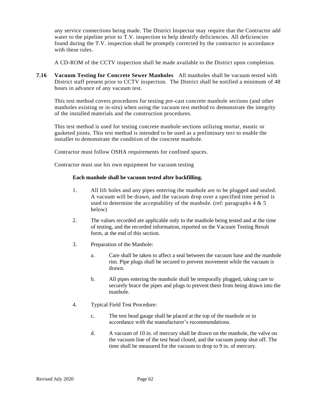any service connections being made. The District Inspector may require that the Contractor add water to the pipeline prior to T.V. inspection to help identify deficiencies. All deficiencies found during the T.V. inspection shall be promptly corrected by the contractor in accordance with these rules.

A CD-ROM of the CCTV inspection shall be made available to the District upon completion.

**7.16 Vacuum Testing for Concrete Sewer Manholes** All manholes shall be vacuum tested with District staff present prior to CCTV inspection. The District shall be notified a minimum of 48 hours in advance of any vacuum test.

This test method covers procedures for testing pre-cast concrete manhole sections (and other manholes existing or in-situ) when using the vacuum test method to demonstrate the integrity of the installed materials and the construction procedures.

This test method is used for testing concrete manhole sections utilizing mortar, mastic or gasketed joints. This test method is intended to be used as a preliminary test to enable the installer to demonstrate the condition of the concrete manhole.

Contractor must follow OSHA requirements for confined spaces.

Contractor must use his own equipment for vacuum testing

#### **Each manhole shall be vacuum tested after backfilling.**

- 1. All lift holes and any pipes entering the manhole are to be plugged and sealed. A vacuum will be drawn, and the vacuum drop over a specified time period is used to determine the acceptability of the manhole. (ref: paragraphs  $4 \& 5$ ) below)
- 2. The values recorded are applicable only to the manhole being tested and at the time of testing, and the recorded information, reported on the Vacuum Testing Result form, at the end of this section.
- 3. Preparation of the Manhole:
	- a. Care shall be taken to affect a seal between the vacuum base and the manhole rim. Pipe plugs shall be secured to prevent movement while the vacuum is drawn.
	- b. All pipes entering the manhole shall be temporally plugged, taking care to securely brace the pipes and plugs to prevent them from being drawn into the manhole.
- 4. Typical Field Test Procedure:
	- c. The test head gauge shall be placed at the top of the manhole or in accordance with the manufacturer's recommendations.
	- d. A vacuum of 10 in. of mercury shall be drawn on the manhole, the valve on the vacuum line of the test head closed, and the vacuum pump shut off. The time shall be measured for the vacuum to drop to 9 in. of mercury.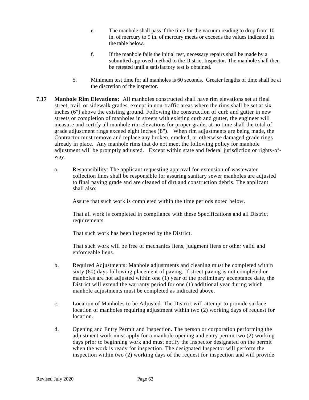- e. The manhole shall pass if the time for the vacuum reading to drop from 10 in. of mercury to 9 in. of mercury meets or exceeds the values indicated in the table below.
- f. If the manhole fails the initial test, necessary repairs shall be made by a submitted approved method to the District Inspector. The manhole shall then be retested until a satisfactory test is obtained.
- 5. Minimum test time for all manholes is 60 seconds. Greater lengths of time shall be at the discretion of the inspector.
- **7.17 Manhole Rim Elevations:** All manholes constructed shall have rim elevations set at final street, trail, or sidewalk grades, except in non-traffic areas where the rims shall be set at six inches (6") above the existing ground. Following the construction of curb and gutter in new streets or completion of manholes in streets with existing curb and gutter, the engineer will measure and certify all manhole rim elevations for proper grade, at no time shall the total of grade adjustment rings exceed eight inches (8"). When rim adjustments are being made, the Contractor must remove and replace any broken, cracked, or otherwise damaged grade rings already in place. Any manhole rims that do not meet the following policy for manhole adjustment will be promptly adjusted. Except within state and federal jurisdiction or rights-ofway.
	- a. Responsibility: The applicant requesting approval for extension of wastewater collection lines shall be responsible for assuring sanitary sewer manholes are adjusted to final paving grade and are cleaned of dirt and construction debris. The applicant shall also:

Assure that such work is completed within the time periods noted below.

That all work is completed in compliance with these Specifications and all District requirements.

That such work has been inspected by the District.

That such work will be free of mechanics liens, judgment liens or other valid and enforceable liens.

- b. Required Adjustments: Manhole adjustments and cleaning must be completed within sixty (60) days following placement of paving. If street paving is not completed or manholes are not adjusted within one (1) year of the preliminary acceptance date, the District will extend the warranty period for one (1) additional year during which manhole adjustments must be completed as indicated above.
- c. Location of Manholes to be Adjusted. The District will attempt to provide surface location of manholes requiring adjustment within two (2) working days of request for location.
- d. Opening and Entry Permit and Inspection. The person or corporation performing the adjustment work must apply for a manhole opening and entry permit two (2) working days prior to beginning work and must notify the Inspector designated on the permit when the work is ready for inspection. The designated Inspector will perform the inspection within two (2) working days of the request for inspection and will provide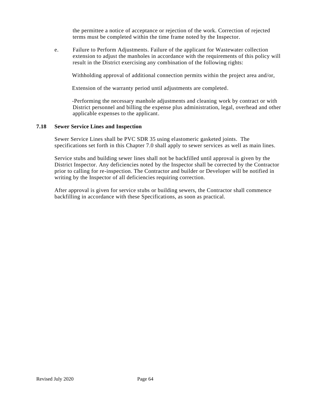the permittee a notice of acceptance or rejection of the work. Correction of rejected terms must be completed within the time frame noted by the Inspector.

e. Failure to Perform Adjustments. Failure of the applicant for Wastewater collection extension to adjust the manholes in accordance with the requirements of this policy will result in the District exercising any combination of the following rights:

Withholding approval of additional connection permits within the project area and/or,

Extension of the warranty period until adjustments are completed.

-Performing the necessary manhole adjustments and cleaning work by contract or with District personnel and billing the expense plus administration, legal, overhead and other applicable expenses to the applicant.

## **7.18 Sewer Service Lines and Inspection**

Sewer Service Lines shall be PVC SDR 35 using elastomeric gasketed joints. The specifications set forth in this Chapter 7.0 shall apply to sewer services as well as main lines.

Service stubs and building sewer lines shall not be backfilled until approval is given by the District Inspector. Any deficiencies noted by the Inspector shall be corrected by the Contractor prior to calling for re-inspection. The Contractor and builder or Developer will be notified in writing by the Inspector of all deficiencies requiring correction.

After approval is given for service stubs or building sewers, the Contractor shall commence backfilling in accordance with these Specifications, as soon as practical.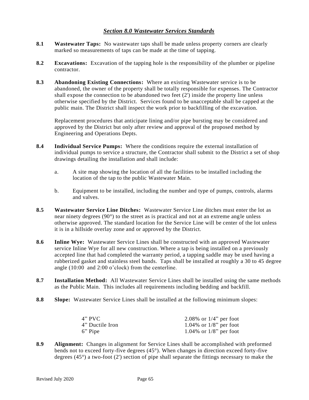# *Section 8.0 Wastewater Services Standards*

- **8.1 Wastewater Taps:** No wastewater taps shall be made unless property corners are clearly marked so measurements of taps can be made at the time of tapping.
- **8.2 Excavations:** Excavation of the tapping hole is the responsibility of the plumber or pipeline contractor.
- **8.3 Abandoning Existing Connections:** Where an existing Wastewater service is to be abandoned, the owner of the property shall be totally responsible for expenses. The Contractor shall expose the connection to be abandoned two feet (2') inside the property line unless otherwise specified by the District. Services found to be unacceptable shall be capped at the public main. The District shall inspect the work prior to backfilling of the excavation.

Replacement procedures that anticipate lining and/or pipe bursting may be considered and approved by the District but only after review and approval of the proposed method by Engineering and Operations Depts.

- **8.4 Individual Service Pumps:** Where the conditions require the external installation of individual pumps to service a structure, the Contractor shall submit to the District a set of shop drawings detailing the installation and shall include:
	- a. A site map showing the location of all the facilities to be installed including the location of the tap to the public Wastewater Main.
	- b. Equipment to be installed, including the number and type of pumps, controls, alarms and valves.
- **8.5 Wastewater Service Line Ditches:** Wastewater Service Line ditches must enter the lot as near ninety degrees (90°) to the street as is practical and not at an extreme angle unless otherwise approved. The standard location for the Service Line will be center of the lot unless it is in a hillside overlay zone and or approved by the District.
- **8.6 Inline Wye:** Wastewater Service Lines shall be constructed with an approved Wastewater service Inline Wye for all new construction. Where a tap is being installed on a previously accepted line that had completed the warranty period, a tapping saddle may be used having a rubberized gasket and stainless steel bands. Taps shall be installed at roughly a 30 to 45 degree angle (10:00 and 2:00 o'clock) from the centerline.
- **8.7 Installation Method:** All Wastewater Service Lines shall be installed using the same methods as the Public Main. This includes all requirements including bedding and backfill.
- **8.8 Slope:** Wastewater Service Lines shall be installed at the following minimum slopes:

| $4"$ PVC        | 2.08% or $1/4$ " per foot  |
|-----------------|----------------------------|
| 4" Ductile Iron | 1.04\% or $1/8$ " per foot |
| $6"$ Pipe       | 1.04% or $1/8$ " per foot  |

**8.9 Alignment:** Changes in alignment for Service Lines shall be accomplished with preformed bends not to exceed forty-five degrees (45°). When changes in direction exceed forty-five degrees  $(45^{\circ})$  a two-foot (2) section of pipe shall separate the fittings necessary to make the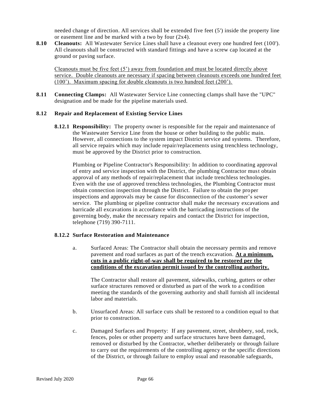needed change of direction. All services shall be extended five feet (5') inside the property line or easement line and be marked with a two by four (2x4).

**8.10 Cleanouts:** All Wastewater Service Lines shall have a cleanout every one hundred feet (100'). All cleanouts shall be constructed with standard fittings and have a screw cap located at the ground or paving surface.

Cleanouts must be five feet (5') away from foundation and must be located directly above service. Double cleanouts are necessary if spacing between cleanouts exceeds one hundred feet (100'). Maximum spacing for double cleanouts is two hundred feet (200').

**8.11 Connecting Clamps:** All Wastewater Service Line connecting clamps shall have the "UPC" designation and be made for the pipeline materials used.

## **8.12 Repair and Replacement of Existing Service Lines**

**8.12.1 Responsibility:** The property owner is responsible for the repair and maintenance of the Wastewater Service Line from the house or other building to the public main. However, all connections to the system impact District service and systems. Therefore, all service repairs which may include repair/replacements using trenchless technology, must be approved by the District prior to construction.

Plumbing or Pipeline Contractor's Responsibility: In addition to coordinating approval of entry and service inspection with the District, the plumbing Contractor must obtain approval of any methods of repair/replacement that include trenchless technologies. Even with the use of approved trenchless technologies, the Plumbing Contractor must obtain connection inspection through the District. Failure to obtain the proper inspections and approvals may be cause for disconnection of the customer's sewer service. The plumbing or pipeline contractor shall make the necessary excavations and barricade all excavations in accordance with the barricading instructions of the governing body, make the necessary repairs and contact the District for inspection, telephone (719) 390-7111.

### **8.12.2 Surface Restoration and Maintenance**

a. Surfaced Areas: The Contractor shall obtain the necessary permits and remove pavement and road surfaces as part of the trench excavation. **At a minimum, cuts in a public right-of-wav shall be required to be restored per the conditions of the excavation permit issued by the controlling authority.**

The Contractor shall restore all pavement, sidewalks, curbing, gutters or other surface structures removed or disturbed as part of the work to a condition meeting the standards of the governing authority and shall furnish all incidental labor and materials.

- b. Unsurfaced Areas: All surface cuts shall be restored to a condition equal to that prior to construction.
- c. Damaged Surfaces and Property: If any pavement, street, shrubbery, sod, rock, fences, poles or other property and surface structures have been damaged, removed or disturbed by the Contractor, whether deliberately or through failure to carry out the requirements of the controlling agency or the specific directions of the District, or through failure to employ usual and reasonable safeguards,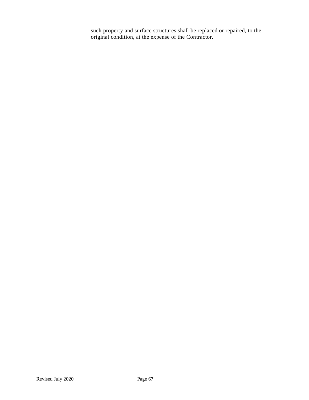such property and surface structures shall be replaced or repaired, to the original condition, at the expense of the Contractor.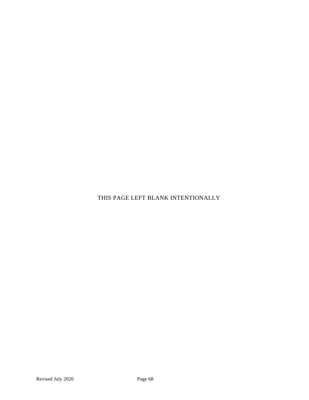THIS PAGE LEFT BLANK INTENTIONALLY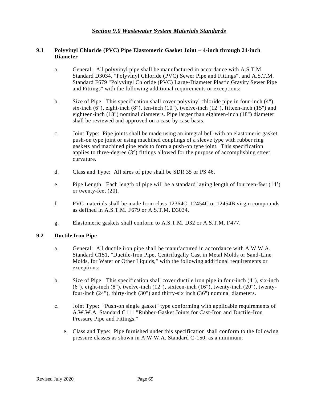# *Section 9.0 Wastewater System Materials Standards*

### **9.1 Polyvinyl Chloride (PVC) Pipe Elastomeric Gasket Joint – 4-inch through 24-inch Diameter**

- a. General: All polyvinyl pipe shall be manufactured in accordance with A.S.T.M. Standard D3034, "Polyvinyl Chloride (PVC) Sewer Pipe and Fittings", and A.S.T.M. Standard F679 "Polyvinyl Chloride (PVC) Large-Diameter Plastic Gravity Sewer Pipe and Fittings" with the following additional requirements or exceptions:
- b. Size of Pipe: This specification shall cover polyvinyl chloride pipe in four-inch (4"), six-inch (6"), eight-inch (8"), ten-inch  $(10")$ , twelve-inch  $(12")$ , fifteen-inch  $(15")$  and eighteen-inch (18") nominal diameters. Pipe larger than eighteen-inch (18") diameter shall be reviewed and approved on a case by case basis.
- c. Joint Type: Pipe joints shall be made using an integral bell with an elastomeric gasket push-on type joint or using machined couplings of a sleeve type with rubber ring gaskets and machined pipe ends to form a push-on type joint. This specification applies to three-degree (3°) fittings allowed for the purpose of accomplishing street curvature.
- d. Class and Type: All sires of pipe shall be SDR 35 or PS 46.
- e. Pipe Length: Each length of pipe will be a standard laying length of fourteen-feet (14') or twenty-feet (20).
- f. PVC materials shall be made from class 12364C, 12454C or 12454B virgin compounds as defined in A.S.T.M. F679 or A.S.T.M. D3034.
- g. Elastomeric gaskets shall conform to A.S.T.M. D32 or A.S.T.M. F477.

### **9.2 Ductile Iron Pipe**

- a. General: All ductile iron pipe shall be manufactured in accordance with A.W.W.A. Standard C151, "Ductile-Iron Pipe, Centrifugally Cast in Metal Molds or Sand-Line Molds, for Water or Other Liquids," with the following additional requirements or exceptions:
- b. Size of Pipe: This specification shall cover ductile iron pipe in four-inch (4"), six-inch  $(6")$ , eight-inch  $(8")$ , twelve-inch  $(12")$ , sixteen-inch  $(16")$ , twenty-inch  $(20")$ , twentyfour-inch (24"), thirty-inch (30") and thirty-six inch (36") nominal diameters.
- c. Joint Type: "Push-on single gasket" type conforming with applicable requirements of A.W.W.A. Standard C111 "Rubber-Gasket Joints for Cast-Iron and Ductile-Iron Pressure Pipe and Fittings."
	- e. Class and Type: Pipe furnished under this specification shall conform to the following pressure classes as shown in A.W.W.A. Standard C-150, as a minimum.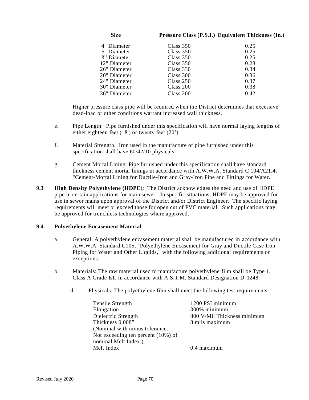| <b>Size</b>  |             | Pressure Class (P.S.I.) Equivalent Thickness (In.) |
|--------------|-------------|----------------------------------------------------|
| 4" Diameter  | Class $350$ | 0.25                                               |
| 6" Diameter  | Class $350$ | 0.25                                               |
| 8" Diameter  | Class $350$ | 0.25                                               |
| 12" Diameter | Class $350$ | 0.28                                               |
| 26" Diameter | Class 330   | 0.34                                               |
| 20" Diameter | Class 300   | 0.36                                               |
| 24" Diameter | Class $250$ | 0.37                                               |
| 30" Diameter | Class 200   | 0.38                                               |
| 36" Diameter | Class 200   | 0.42                                               |
|              |             |                                                    |

Higher pressure class pipe will be required when the District determines that excessive dead-load or other conditions warrant increased wall thickness.

- e. Pipe Length: Pipe furnished under this specification will have normal laying lengths of either eighteen feet (18') or twenty feet (20').
- f. Material Strength. Iron used in the manufacture of pipe furnished under this specification shall have 60/42/10 physicals.
- g. Cement Mortal Lining. Pipe furnished under this specification shall have standard thickness cement mortar linings in accordance with A.W.W.A. Standard C 104/A21.4, "Cement-Mortal Lining for Ductile-Iron and Gray-Iron Pipe and Fittings for Water."
- **9.3 High Density Polyethylene (HDPE**): The District acknowledges the need and use of HDPE pipe in certain applications for main sewer. In specific situations, HDPE may be approved for use in sewer mains upon approval of the District and/or District Engineer. The specific laying requirements will meet or exceed those for open cut of PVC material. Such applications may be approved for trenchless technologies where approved.

### **9.4 Polyethylene Encasement Material**

- a. General: A polyethylene encasement material shall be manufactured in accordance with A.W.W.A. Standard C105, "Polyethylene Encasement for Gray and Ductile Case Iron Piping for Water and Other Liquids," with the following additional requirements or exceptions:
- b. Materials: The raw material used to manufacture polyethylene film shall be Type 1, Class A Grade E1, in accordance with A.S.T.M. Standard Designation D-1248.
	- d. Physicals: The polyethylene film shall meet the following test requirements:

| Tensile Strength                      | 1200 PSI minimum            |
|---------------------------------------|-----------------------------|
| Elongation                            | 300% minimum                |
| Dielectric Strength                   | 800 V/Mil Thickness minimum |
| Thickness 0.008"                      | 8 mils maximum              |
| (Nominal with minus tolerance.)       |                             |
| Not exceeding ten percent $(10\%)$ of |                             |
| nominal Melt Index.)                  |                             |
| Melt Index                            | $0.4$ maximum               |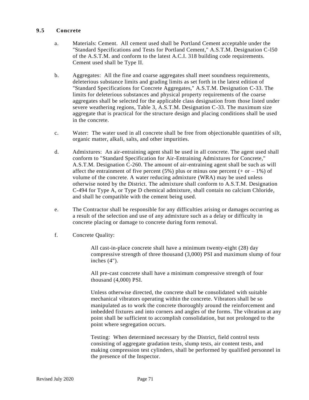### **9.5 Concrete**

- a. Materials: Cement. All cement used shall be Portland Cement acceptable under the "Standard Specifications and Tests for Portland Cement," A.S.T.M. Designation C-l50 of the A.S.T.M. and conform to the latest A.C.I. 318 building code requirements. Cement used shall be Type II.
- b. Aggregates: All the fine and coarse aggregates shall meet soundness requirements, deleterious substance limits and grading limits as set forth in the latest edition of "Standard Specifications for Concrete Aggregates," A.S.T.M. Designation C-33. The limits for deleterious substances and physical property requirements of the coarse aggregates shall be selected for the applicable class designation from those listed under severe weathering regions, Table 3, A.S.T.M. Designation C-33. The maximum size aggregate that is practical for the structure design and placing conditions shall be used in the concrete.
- c. Water: The water used in all concrete shall be free from objectionable quantities of silt, organic matter, alkali, salts, and other impurities.
- d. Admixtures: An air-entraining agent shall be used in all concrete. The agent used shall conform to "Standard Specification for Air-Entraining Admixtures for Concrete," A.S.T.M. Designation C-260. The amount of air-entraining agent shall be such as will affect the entrainment of five percent (5%) plus or minus one percent (+ or  $-1\%$ ) of volume of the concrete. A water reducing admixture (WRA) may be used unless otherwise noted by the District. The admixture shall conform to A.S.T.M. Designation C-494 for Type A, or Type D chemical admixture, shall contain no calcium Chloride, and shall he compatible with the cement being used.
- e. The Contractor shall be responsible for any difficulties arising or damages occurring as a result of the selection and use of any admixture such as a delay or difficulty in concrete placing or damage to concrete during form removal.
- f. Concrete Quality:

All cast-in-place concrete shall have a minimum twenty-eight (28) day compressive strength of three thousand (3,000) PSI and maximum slump of four inches (4").

All pre-cast concrete shall have a minimum compressive strength of four thousand (4,000) PSI.

Unless otherwise directed, the concrete shall be consolidated with suitable mechanical vibrators operating within the concrete. Vibrators shall be so manipulated as to work the concrete thoroughly around the reinforcement and imbedded fixtures and into corners and angles of the forms. The vibration at any point shall be sufficient to accomplish consolidation, but not prolonged to the point where segregation occurs.

Testing: When determined necessary by the District, field control tests consisting of aggregate gradation tests, slump tests, air content tests, and making compression test cylinders, shall be performed by qualified personnel in the presence of the Inspector.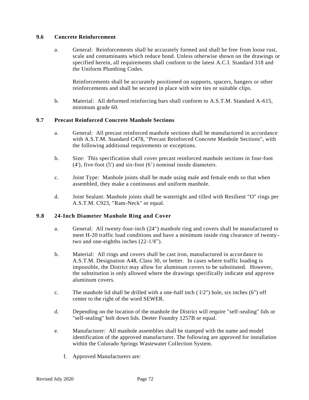#### **9.6 Concrete Reinforcement**

a. General: Reinforcements shall be accurately formed and shall be free from loose rust, scale and contaminants which reduce bond. Unless otherwise shown on the drawings or specified herein, all requirements shall conform to the latest A.C.I. Standard 318 and the Uniform Plumbing Codes.

Reinforcements shall be accurately positioned on supports, spacers, hangers or other reinforcements and shall be secured in place with wire ties or suitable clips.

b. Material: All deformed reinforcing bars shall conform to A.S.T.M. Standard A-615, minimum grade 60.

#### **9.7 Precast Reinforced Concrete Manhole Sections**

- a. General: All precast reinforced manhole sections shall be manufactured in accordance with A.S.T.M. Standard C478, "Precast Reinforced Concrete Manhole Sections", with the following additional requirements or exceptions.
- b. Size: This specification shall cover precast reinforced manhole sections in four-foot (4'), five-foot (5') and six-foot (6') nominal inside diameters.
- c. Joint Type: Manhole joints shall be made using male and female ends so that when assembled, they make a continuous and uniform manhole.
- d. Joint Sealant: Manhole joints shall be watertight and tilled with Resilient "O" rings per A.S.T.M. C923, "Ram-Neck" or equal.

#### **9.8 24-Inch Diameter Manhole Ring and Cover**

- a. General: All twenty-four-inch (24") manhole ring and covers shall be manufactured to meet H-20 traffic load conditions and have a minimum inside ring clearance of twentytwo and one-eighths inches (22-1/8").
- b. Material: All rings and covers shall be cast iron, manufactured in accordance to A.S.T.M. Designation A48, Class 30, or better. In cases where traffic loading is impossible, the District may allow for aluminum covers to be substituted. However, the substitution is only allowed where the drawings specifically indicate and approve aluminum covers.
- c. The manhole lid shall be drilled with a one-half inch  $(1/2")$  hole, six inches (6") off center to the right of the word SEWER.
- d. Depending on the location of the manhole the District will require "self-sealing" lids or "self-sealing" bolt down lids. Deeter Foundry 1257B or equal.
- e. Manufacturer: All manhole assemblies shall be stamped with the name and model identification of the approved manufacturer. The following are approved for installation within the Colorado Springs Wastewater Collection System.
	- f. Approved Manufacturers are: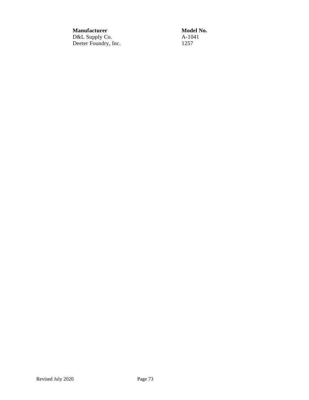**Manufacturer Model No.**<br>D&L Supply Co.  $A-1041$ D&L Supply Co. A-1041 Deeter Foundry, Inc. 1257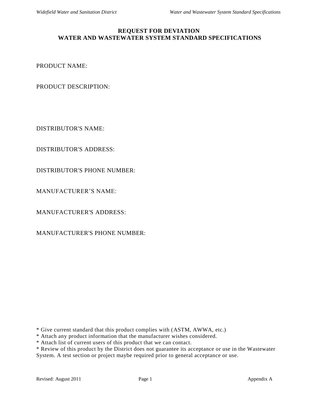# **REQUEST FOR DEVIATION WATER AND WASTEWATER SYSTEM STANDARD SPECIFICATIONS**

PRODUCT NAME:

PRODUCT DESCRIPTION:

DISTRIBUTOR'S NAME:

DISTRIBUTOR'S ADDRESS:

DISTRIBUTOR'S PHONE NUMBER:

MANUFACTURER'S NAME:

MANUFACTURER'S ADDRESS:

MANUFACTURER'S PHONE NUMBER:

\* Give current standard that this product complies with (ASTM, AWWA, etc.)

\* Attach any product information that the manufacturer wishes considered.

\* Attach list of current users of this product that we can contact.

\* Review of this product by the District does not guarantee its acceptance or use in the Wastewater System. A test section or project maybe required prior to general acceptance or use.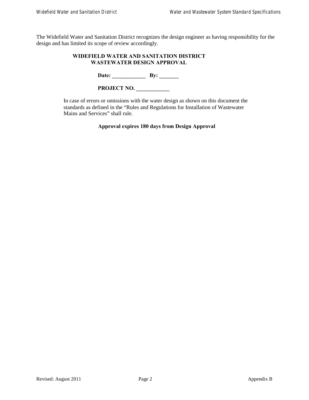The Widefield Water and Sanitation District recognizes the design engineer as having responsibility for the design and has limited its scope of review accordingly.

## **WIDEFIELD WATER AND SANITATION DISTRICT WASTEWATER DESIGN APPROVAL**

 **Date: \_\_\_\_\_\_\_\_\_\_\_\_ By: \_\_\_\_\_\_\_**

 **PROJECT NO. \_\_\_\_\_\_\_\_\_\_\_\_**

In case of errors or omissions with the water design as shown on this document the standards as defined in the "Rules and Regulations for Installation of Wastewater Mains and Services" shall rule.

**Approval expires 180 days from Design Approval**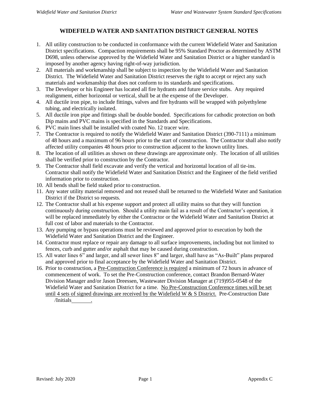# **WIDEFIELD WATER AND SANITATION DISTRICT GENERAL NOTES**

- 1. All utility construction to be conducted in conformance with the current Widefield Water and Sanitation District specifications. Compaction requirements shall be 95% Standard Proctor as determined by ASTM D698, unless otherwise approved by the Widefield Water and Sanitation District or a higher standard is imposed by another agency having right-of-way jurisdiction.
- 2. All materials and workmanship shall be subject to inspection by the Widefield Water and Sanitation District. The Widefield Water and Sanitation District reserves the right to accept or reject any such materials and workmanship that does not conform to its standards and specifications.
- 3. The Developer or his Engineer has located all fire hydrants and future service stubs. Any required realignment, either horizontal or vertical, shall be at the expense of the Developer.
- 4. All ductile iron pipe, to include fittings, valves and fire hydrants will be wrapped with polyethylene tubing, and electrically isolated.
- 5. All ductile iron pipe and fittings shall be double bonded. Specifications for cathodic protection on both Dip mains and PVC mains is specified in the Standards and Specifications.
- 6. PVC main lines shall be installed with coated No. 12 tracer wire.
- 7. The Contractor is required to notify the Widefield Water and Sanitation District (390-7111) a minimum of 48 hours and a maximum of 96 hours prior to the start of construction. The Contractor shall also notify affected utility companies 48 hours prior to construction adjacent to the known utility lines.
- 8. The location of all utilities as shown on these drawings are approximate only. The location of all utilities shall be verified prior to construction by the Contractor.
- 9. The Contractor shall field excavate and verify the vertical and horizontal location of all tie-ins. Contractor shall notify the Widefield Water and Sanitation District and the Engineer of the field verified information prior to construction.
- 10. All bends shall be field staked prior to construction.
- 11. Any water utility material removed and not reused shall be returned to the Widefield Water and Sanitation District if the District so requests.
- 12. The Contractor shall at his expense support and protect all utility mains so that they will function continuously during construction. Should a utility main fail as a result of the Contractor's operation, it will be replaced immediately by either the Contractor or the Widefield Water and Sanitation District at full cost of labor and materials to the Contractor.
- 13. Any pumping or bypass operations must be reviewed and approved prior to execution by both the Widefield Water and Sanitation District and the Engineer.
- 14. Contractor must replace or repair any damage to all surface improvements, including but not limited to fences, curb and gutter and/or asphalt that may be caused during construction.
- 15. All water lines 6" and larger, and all sewer lines 8" and larger, shall have as "As-Built" plans prepared and approved prior to final acceptance by the Widefield Water and Sanitation District.
- 16. Prior to construction, a Pre-Construction Conference is required a minimum of 72 hours in advance of commencement of work. To set the Pre-Construction conference, contact Brandon Bernard-Water Division Manager and/or Jason Dreessen, Wastewater Division Manager at (719)955-0548 of the Widefield Water and Sanitation District for a time. No Pre-Construction Conference times will be set until 4 sets of signed drawings are received by the Widefield W & S District. Pre-Construction Date

/Initials .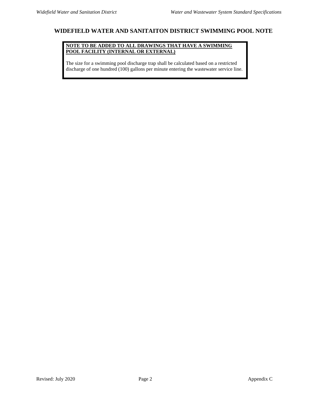# **WIDEFIELD WATER AND SANITAITON DISTRICT SWIMMING POOL NOTE**

### **NOTE TO BE ADDED TO ALL DRAWINGS THAT HAVE A SWIMMING POOL FACILITY (INTERNAL OR EXTERNAL)**

The size for a swimming pool discharge trap shall be calculated based on a restricted discharge of one hundred (100) gallons per minute entering the wastewater service line.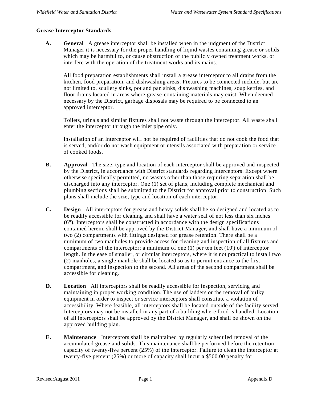## **Grease Interceptor Standards**

**A. General** A grease interceptor shall be installed when in the judgment of the District Manager it is necessary for the proper handling of liquid wastes containing grease or solids which may be harmful to, or cause obstruction of the publicly owned treatment works, or interfere with the operation of the treatment works and its mains.

All food preparation establishments shall install a grease interceptor to all drains from the kitchen, food preparation, and dishwashing areas. Fixtures to be connected include, but are not limited to, scullery sinks, pot and pan sinks, dishwashing machines, soup kettles, and floor drains located in areas where grease-containing materials may exist. When deemed necessary by the District, garbage disposals may be required to be connected to an approved interceptor.

Toilets, urinals and similar fixtures shall not waste through the interceptor. All waste shall enter the interceptor through the inlet pipe only.

Installation of an interceptor will not be required of facilities that do not cook the food that is served, and/or do not wash equipment or utensils associated with preparation or service of cooked foods.

- **B. Approval** The size, type and location of each interceptor shall be approved and inspected by the District, in accordance with District standards regarding interceptors. Except where otherwise specifically permitted, no wastes other than those requiring separation shall be discharged into any interceptor. One (1) set of plans, including complete mechanical and plumbing sections shall be submitted to the District for approval prior to construction. Such plans shall include the size, type and location of each interceptor.
- **C. Design** All interceptors for grease and heavy solids shall be so designed and located as to be readily accessible for cleaning and shall have a water seal of not less than six inches (6"). Interceptors shall be constructed in accordance with the design specifications contained herein, shall be approved by the District Manager, and shall have a minimum of two (2) compartments with fittings designed for grease retention. There shall be a minimum of two manholes to provide access for cleaning and inspection of all fixtures and compartments of the interceptor; a minimum of one (1) per ten feet (10') of interceptor length. In the ease of smaller, or circular interceptors, where it is not practical to install two (2) manholes, a single manhole shall be located so as to permit entrance to the first compartment, and inspection to the second. All areas of the second compartment shall be accessible for cleaning.
- **D. Location** All interceptors shall be readily accessible for inspection, servicing and maintaining in proper working condition. The use of ladders or the removal of bulky equipment in order to inspect or service interceptors shall constitute a violation of accessibility. Where feasible, all interceptors shall be located outside of the facility served. Interceptors may not be installed in any part of a building where food is handled. Location of all interceptors shall be approved by the District Manager, and shall be shown on the approved building plan.
- **E. Maintenance** Interceptors shall be maintained by regularly scheduled removal of the accumulated grease and solids. This maintenance shall be performed before the retention capacity of twenty-five percent (25%) of the interceptor. Failure to clean the interceptor at twenty-five percent (25%) or more of capacity shall incur a \$500.00 penalty for